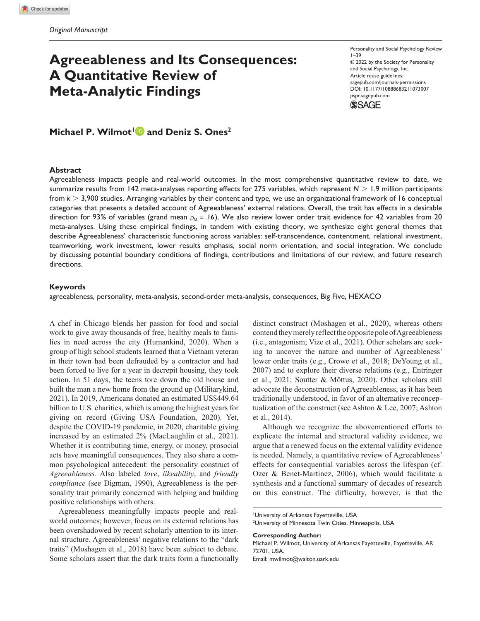# **Agreeableness and Its Consequences: A Quantitative Review of Meta-Analytic Findings**

Personality and Social Psychology Review  $1 - 39$ © 2022 by the Society for Personality and Social Psychology, Inc. Article reuse guidelines: sagepub.com/journals-permissions https://doi.org/10.1177/10888683211073007 DOI: 10.1177/10888683211073007 pspr.sagepub.com **SSAGE** 

**Michael P. Wilmot<sup>1</sup> and Deniz S. Ones<sup>2</sup>**

### **Abstract**

Agreeableness impacts people and real-world outcomes. In the most comprehensive quantitative review to date, we summarize results from 142 meta-analyses reporting effects for 275 variables, which represent *N* > 1.9 million participants from *k* > 3,900 studies. Arranging variables by their content and type, we use an organizational framework of 16 conceptual categories that presents a detailed account of Agreeableness' external relations. Overall, the trait has effects in a desirable direction for 93% of variables (grand mean  $\bar{p}_M = 0.16$ ). We also review lower order trait evidence for 42 variables from 20 meta-analyses. Using these empirical findings, in tandem with existing theory, we synthesize eight general themes that describe Agreeableness' characteristic functioning across variables: self-transcendence, contentment, relational investment, teamworking, work investment, lower results emphasis, social norm orientation, and social integration. We conclude by discussing potential boundary conditions of findings, contributions and limitations of our review, and future research directions.

#### **Keywords**

agreeableness, personality, meta-analysis, second-order meta-analysis, consequences, Big Five, HEXACO

A chef in Chicago blends her passion for food and social work to give away thousands of free, healthy meals to families in need across the city (Humankind, 2020). When a group of high school students learned that a Vietnam veteran in their town had been defrauded by a contractor and had been forced to live for a year in decrepit housing, they took action. In 51 days, the teens tore down the old house and built the man a new home from the ground up (Militarykind, 2021). In 2019, Americans donated an estimated US\$449.64 billion to U.S. charities, which is among the highest years for giving on record (Giving USA Foundation, 2020). Yet, despite the COVID-19 pandemic, in 2020, charitable giving increased by an estimated 2% (MacLaughlin et al., 2021). Whether it is contributing time, energy, or money, prosocial acts have meaningful consequences. They also share a common psychological antecedent: the personality construct of *Agreeableness*. Also labeled *love*, *likeability*, and *friendly compliance* (see Digman, 1990), Agreeableness is the personality trait primarily concerned with helping and building positive relationships with others.

Agreeableness meaningfully impacts people and realworld outcomes; however, focus on its external relations has been overshadowed by recent scholarly attention to its internal structure. Agreeableness' negative relations to the "dark traits" (Moshagen et al., 2018) have been subject to debate. Some scholars assert that the dark traits form a functionally

distinct construct (Moshagen et al., 2020), whereas others contend they merely reflect the opposite pole of Agreeableness (i.e., antagonism; Vize et al., 2021). Other scholars are seeking to uncover the nature and number of Agreeableness' lower order traits (e.g., Crowe et al., 2018; DeYoung et al., 2007) and to explore their diverse relations (e.g., Entringer et al., 2021; Soutter & Mõttus, 2020). Other scholars still advocate the deconstruction of Agreeableness, as it has been traditionally understood, in favor of an alternative reconceptualization of the construct (see Ashton & Lee, 2007; Ashton et al., 2014).

Although we recognize the abovementioned efforts to explicate the internal and structural validity evidence, we argue that a renewed focus on the external validity evidence is needed. Namely, a quantitative review of Agreeableness' effects for consequential variables across the lifespan (cf. Ozer & Benet-Martínez, 2006), which would facilitate a synthesis and a functional summary of decades of research on this construct. The difficulty, however, is that the

#### **Corresponding Author:**

<sup>1</sup>University of Arkansas Fayetteville, USA

<sup>2</sup>University of Minnesota Twin Cities, Minneapolis, USA

Michael P. Wilmot, University of Arkansas Fayetteville, Fayetteville, AR 72701, USA. Email: mwilmot@walton.uark.edu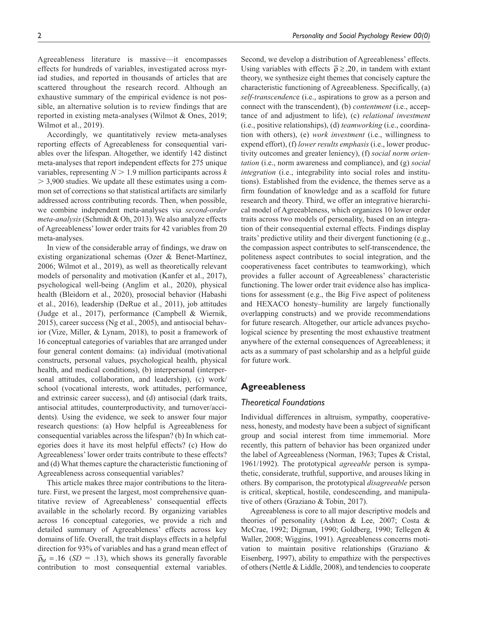Agreeableness literature is massive—it encompasses effects for hundreds of variables, investigated across myriad studies, and reported in thousands of articles that are scattered throughout the research record. Although an exhaustive summary of the empirical evidence is not possible, an alternative solution is to review findings that are reported in existing meta-analyses (Wilmot & Ones, 2019; Wilmot et al., 2019).

Accordingly, we quantitatively review meta-analyses reporting effects of Agreeableness for consequential variables over the lifespan. Altogether, we identify 142 distinct meta-analyses that report independent effects for 275 unique variables, representing *N* > 1.9 million participants across *k* > 3,900 studies. We update all these estimates using a common set of corrections so that statistical artifacts are similarly addressed across contributing records. Then, when possible, we combine independent meta-analyses via *second-order meta-analysis* (Schmidt & Oh, 2013). We also analyze effects of Agreeableness' lower order traits for 42 variables from 20 meta-analyses.

In view of the considerable array of findings, we draw on existing organizational schemas (Ozer & Benet-Martínez, 2006; Wilmot et al., 2019), as well as theoretically relevant models of personality and motivation (Kanfer et al., 2017), psychological well-being (Anglim et al., 2020), physical health (Bleidorn et al., 2020), prosocial behavior (Habashi et al., 2016), leadership (DeRue et al., 2011), job attitudes (Judge et al., 2017), performance (Campbell & Wiernik, 2015), career success (Ng et al., 2005), and antisocial behavior (Vize, Miller, & Lynam, 2018), to posit a framework of 16 conceptual categories of variables that are arranged under four general content domains: (a) individual (motivational constructs, personal values, psychological health, physical health, and medical conditions), (b) interpersonal (interpersonal attitudes, collaboration, and leadership), (c) work/ school (vocational interests, work attitudes, performance, and extrinsic career success), and (d) antisocial (dark traits, antisocial attitudes, counterproductivity, and turnover/accidents). Using the evidence, we seek to answer four major research questions: (a) How helpful is Agreeableness for consequential variables across the lifespan? (b) In which categories does it have its most helpful effects? (c) How do Agreeableness' lower order traits contribute to these effects? and (d) What themes capture the characteristic functioning of Agreeableness across consequential variables?

This article makes three major contributions to the literature. First, we present the largest, most comprehensive quantitative review of Agreeableness' consequential effects available in the scholarly record. By organizing variables across 16 conceptual categories, we provide a rich and detailed summary of Agreeableness' effects across key domains of life. Overall, the trait displays effects in a helpful direction for 93% of variables and has a grand mean effect of  $\overline{\rho}_M$  = .16 (*SD* = .13), which shows its generally favorable contribution to most consequential external variables.

Second, we develop a distribution of Agreeableness' effects. Using variables with effects  $\bar{\rho} \ge .20$ , in tandem with extant theory, we synthesize eight themes that concisely capture the characteristic functioning of Agreeableness. Specifically, (a) *self-transcendenc*e (i.e., aspirations to grow as a person and connect with the transcendent), (b) *contentment* (i.e., acceptance of and adjustment to life), (c) *relational investment* (i.e., positive relationships), (d) *teamworking* (i.e., coordination with others), (e) *work investment* (i.e., willingness to expend effort), (f) *lower results emphasis* (i.e., lower productivity outcomes and greater leniency), (f) *social norm orientation* (i.e., norm awareness and compliance), and (g) *social integration* (i.e., integrability into social roles and institutions). Established from the evidence, the themes serve as a firm foundation of knowledge and as a scaffold for future research and theory. Third, we offer an integrative hierarchical model of Agreeableness, which organizes 10 lower order traits across two models of personality, based on an integration of their consequential external effects. Findings display traits' predictive utility and their divergent functioning (e.g., the compassion aspect contributes to self-transcendence, the politeness aspect contributes to social integration, and the cooperativeness facet contributes to teamworking), which provides a fuller account of Agreeableness' characteristic functioning. The lower order trait evidence also has implications for assessment (e.g., the Big Five aspect of politeness and HEXACO honesty–humility are largely functionally overlapping constructs) and we provide recommendations for future research. Altogether, our article advances psychological science by presenting the most exhaustive treatment anywhere of the external consequences of Agreeableness; it acts as a summary of past scholarship and as a helpful guide for future work.

# **Agreeableness**

# *Theoretical Foundations*

Individual differences in altruism, sympathy, cooperativeness, honesty, and modesty have been a subject of significant group and social interest from time immemorial. More recently, this pattern of behavior has been organized under the label of Agreeableness (Norman, 1963; Tupes & Cristal, 1961/1992). The prototypical *agreeable* person is sympathetic, considerate, truthful, supportive, and arouses liking in others. By comparison, the prototypical *disagreeable* person is critical, skeptical, hostile, condescending, and manipulative of others (Graziano & Tobin, 2017).

Agreeableness is core to all major descriptive models and theories of personality (Ashton & Lee, 2007; Costa & McCrae, 1992; Digman, 1990; Goldberg, 1990; Tellegen & Waller, 2008; Wiggins, 1991). Agreeableness concerns motivation to maintain positive relationships (Graziano & Eisenberg, 1997), ability to empathize with the perspectives of others (Nettle & Liddle, 2008), and tendencies to cooperate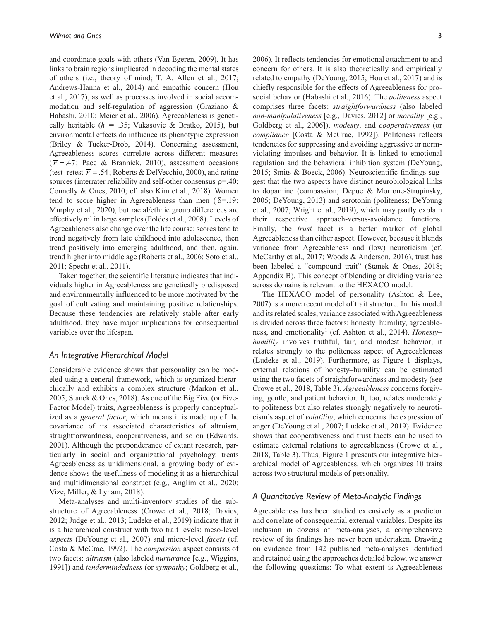and coordinate goals with others (Van Egeren, 2009). It has links to brain regions implicated in decoding the mental states of others (i.e., theory of mind; T. A. Allen et al., 2017; Andrews-Hanna et al., 2014) and empathic concern (Hou et al., 2017), as well as processes involved in social accommodation and self-regulation of aggression (Graziano & Habashi, 2010; Meier et al., 2006). Agreeableness is genetically heritable ( $h = .35$ ; Vukasovic & Bratko, 2015), but environmental effects do influence its phenotypic expression (Briley & Tucker-Drob, 2014). Concerning assessment, Agreeableness scores correlate across different measures  $(\bar{r} = .47;$  Pace & Brannick, 2010), assessment occasions (test–retest  $\bar{r}$  = .54; Roberts & DelVecchio, 2000), and rating sources (interrater reliability and self-other consensus  $\bar{p}$ =.40; Connelly & Ones, 2010; cf. also Kim et al., 2018). Women tend to score higher in Agreeableness than men ( $\delta = 19$ ; Murphy et al., 2020), but racial/ethnic group differences are effectively nil in large samples (Foldes et al., 2008). Levels of Agreeableness also change over the life course; scores tend to trend negatively from late childhood into adolescence, then trend positively into emerging adulthood, and then, again, trend higher into middle age (Roberts et al., 2006; Soto et al., 2011; Specht et al., 2011).

Taken together, the scientific literature indicates that individuals higher in Agreeableness are genetically predisposed and environmentally influenced to be more motivated by the goal of cultivating and maintaining positive relationships. Because these tendencies are relatively stable after early adulthood, they have major implications for consequential variables over the lifespan.

### *An Integrative Hierarchical Model*

Considerable evidence shows that personality can be modeled using a general framework, which is organized hierarchically and exhibits a complex structure (Markon et al., 2005; Stanek & Ones, 2018). As one of the Big Five (or Five-Factor Model) traits, Agreeableness is properly conceptualized as a *general factor*, which means it is made up of the covariance of its associated characteristics of altruism, straightforwardness, cooperativeness, and so on (Edwards, 2001). Although the preponderance of extant research, particularly in social and organizational psychology, treats Agreeableness as unidimensional, a growing body of evidence shows the usefulness of modeling it as a hierarchical and multidimensional construct (e.g., Anglim et al., 2020; Vize, Miller, & Lynam, 2018).

Meta-analyses and multi-inventory studies of the substructure of Agreeableness (Crowe et al., 2018; Davies, 2012; Judge et al., 2013; Ludeke et al., 2019) indicate that it is a hierarchical construct with two trait levels: meso-level *aspects* (DeYoung et al., 2007) and micro-level *facets* (cf. Costa & McCrae, 1992). The *compassion* aspect consists of two facets: *altruism* (also labeled *nurturance* [e.g., Wiggins, 1991]) and *tendermindedness* (or *sympathy*; Goldberg et al.,

2006). It reflects tendencies for emotional attachment to and concern for others. It is also theoretically and empirically related to empathy (DeYoung, 2015; Hou et al., 2017) and is chiefly responsible for the effects of Agreeableness for prosocial behavior (Habashi et al., 2016). The *politeness* aspect comprises three facets: *straightforwardness* (also labeled *non-manipulativeness* [e.g., Davies, 2012] or *morality* [e.g., Goldberg et al., 2006]), *modesty*, and *cooperativeness* (or *compliance* [Costa & McCrae, 1992]). Politeness reflects tendencies for suppressing and avoiding aggressive or normviolating impulses and behavior. It is linked to emotional regulation and the behavioral inhibition system (DeYoung, 2015; Smits & Boeck, 2006). Neuroscientific findings suggest that the two aspects have distinct neurobiological links to dopamine (compassion; Depue & Morrone-Strupinsky, 2005; DeYoung, 2013) and serotonin (politeness; DeYoung et al., 2007; Wright et al., 2019), which may partly explain their respective approach-versus-avoidance functions. Finally, the *trust* facet is a better marker of global Agreeableness than either aspect. However, because it blends variance from Agreeableness and (low) neuroticism (cf. McCarthy et al., 2017; Woods & Anderson, 2016), trust has been labeled a "compound trait" (Stanek & Ones, 2018; Appendix B). This concept of blending or dividing variance across domains is relevant to the HEXACO model.

The HEXACO model of personality (Ashton & Lee, 2007) is a more recent model of trait structure. In this model and its related scales, variance associated with Agreeableness is divided across three factors: honesty–humility, agreeableness, and emotionality<sup>1</sup> (cf. Ashton et al., 2014). *Honestyhumility* involves truthful, fair, and modest behavior; it relates strongly to the politeness aspect of Agreeableness (Ludeke et al., 2019). Furthermore, as Figure 1 displays, external relations of honesty–humility can be estimated using the two facets of straightforwardness and modesty (see Crowe et al., 2018, Table 3). *Agreeableness* concerns forgiving, gentle, and patient behavior. It, too, relates moderately to politeness but also relates strongly negatively to neuroticism's aspect of *volatility*, which concerns the expression of anger (DeYoung et al., 2007; Ludeke et al., 2019). Evidence shows that cooperativeness and trust facets can be used to estimate external relations to agreeableness (Crowe et al., 2018, Table 3). Thus, Figure 1 presents our integrative hierarchical model of Agreeableness, which organizes 10 traits across two structural models of personality.

#### *A Quantitative Review of Meta-Analytic Findings*

Agreeableness has been studied extensively as a predictor and correlate of consequential external variables. Despite its inclusion in dozens of meta-analyses, a comprehensive review of its findings has never been undertaken. Drawing on evidence from 142 published meta-analyses identified and retained using the approaches detailed below, we answer the following questions: To what extent is Agreeableness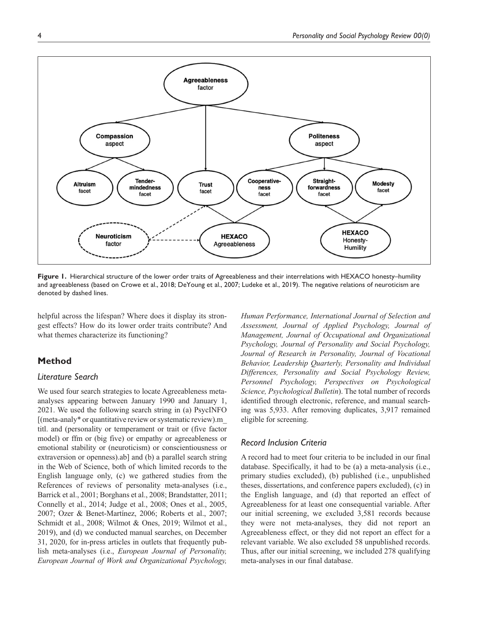

**Figure 1.** Hierarchical structure of the lower order traits of Agreeableness and their interrelations with HEXACO honesty–humility and agreeableness (based on Crowe et al., 2018; DeYoung et al., 2007; Ludeke et al., 2019). The negative relations of neuroticism are denoted by dashed lines.

helpful across the lifespan? Where does it display its strongest effects? How do its lower order traits contribute? And what themes characterize its functioning?

# **Method**

# *Literature Search*

We used four search strategies to locate Agreeableness metaanalyses appearing between January 1990 and January 1, 2021. We used the following search string in (a) PsycINFO [(meta-analy\* or quantitative review or systematic review).m\_ titl. and (personality or temperament or trait or (five factor model) or ffm or (big five) or empathy or agreeableness or emotional stability or (neuroticism) or conscientiousness or extraversion or openness).ab] and (b) a parallel search string in the Web of Science, both of which limited records to the English language only, (c) we gathered studies from the References of reviews of personality meta-analyses (i.e., Barrick et al., 2001; Borghans et al., 2008; Brandstatter, 2011; Connelly et al., 2014; Judge et al., 2008; Ones et al., 2005, 2007; Ozer & Benet-Martínez, 2006; Roberts et al., 2007; Schmidt et al., 2008; Wilmot & Ones, 2019; Wilmot et al., 2019), and (d) we conducted manual searches, on December 31, 2020, for in-press articles in outlets that frequently publish meta-analyses (i.e., *European Journal of Personality, European Journal of Work and Organizational Psychology,* 

*Human Performance, International Journal of Selection and Assessment, Journal of Applied Psychology, Journal of Management, Journal of Occupational and Organizational Psychology, Journal of Personality and Social Psychology, Journal of Research in Personality, Journal of Vocational Behavior, Leadership Quarterly, Personality and Individual Differences, Personality and Social Psychology Review, Personnel Psychology, Perspectives on Psychological Science, Psychological Bulletin*). The total number of records identified through electronic, reference, and manual searching was 5,933. After removing duplicates, 3,917 remained eligible for screening.

### *Record Inclusion Criteria*

A record had to meet four criteria to be included in our final database. Specifically, it had to be (a) a meta-analysis (i.e., primary studies excluded), (b) published (i.e., unpublished theses, dissertations, and conference papers excluded), (c) in the English language, and (d) that reported an effect of Agreeableness for at least one consequential variable. After our initial screening, we excluded 3,581 records because they were not meta-analyses, they did not report an Agreeableness effect, or they did not report an effect for a relevant variable. We also excluded 58 unpublished records. Thus, after our initial screening, we included 278 qualifying meta-analyses in our final database.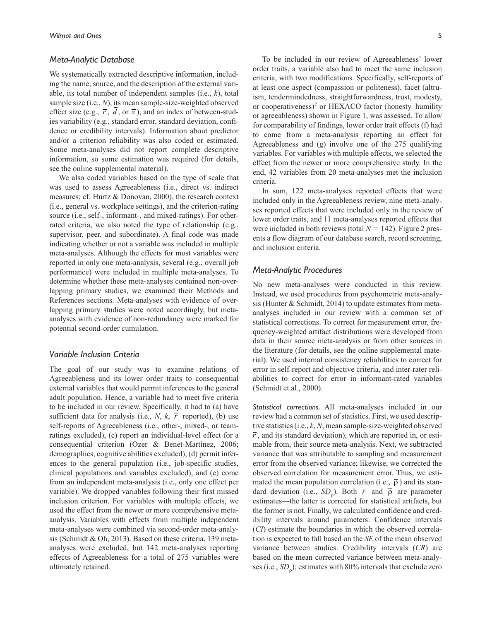### *Meta-Analytic Database*

We systematically extracted descriptive information, including the name, source, and the description of the external variable, its total number of independent samples (i.e., *k*), total sample size (i.e., *N*), its mean sample-size-weighted observed effect size (e.g.,  $\overline{r}$ ,  $d$ , or  $\overline{z}$ ), and an index of between-studies variability (e.g., standard error, standard deviation, confidence or credibility intervals). Information about predictor and/or a criterion reliability was also coded or estimated. Some meta-analyses did not report complete descriptive information, so some estimation was required (for details, see the online supplemental material).

We also coded variables based on the type of scale that was used to assess Agreeableness (i.e., direct vs. indirect measures; cf. Hurtz & Donovan, 2000), the research context (i.e., general vs. workplace settings), and the criterion-rating source (i.e., self-, informant-, and mixed-ratings). For otherrated criteria, we also noted the type of relationship (e.g., supervisor, peer, and subordinate). A final code was made indicating whether or not a variable was included in multiple meta-analyses. Although the effects for most variables were reported in only one meta-analysis, several (e.g., overall job performance) were included in multiple meta-analyses. To determine whether these meta-analyses contained non-overlapping primary studies, we examined their Methods and References sections. Meta-analyses with evidence of overlapping primary studies were noted accordingly, but metaanalyses with evidence of non-redundancy were marked for potential second-order cumulation.

# *Variable Inclusion Criteria*

The goal of our study was to examine relations of Agreeableness and its lower order traits to consequential external variables that would permit inferences to the general adult population. Hence, a variable had to meet five criteria to be included in our review. Specifically, it had to (a) have sufficient data for analysis (i.e.,  $N$ ,  $k$ ,  $\bar{r}$  reported), (b) use self-reports of Agreeableness (i.e., other-, mixed-, or teamratings excluded), (c) report an individual-level effect for a consequential criterion (Ozer & Benet-Martínez, 2006; demographics, cognitive abilities excluded), (d) permit inferences to the general population (i.e., job-specific studies, clinical populations and variables excluded), and (e) come from an independent meta-analysis (i.e., only one effect per variable). We dropped variables following their first missed inclusion criterion. For variables with multiple effects, we used the effect from the newer or more comprehensive metaanalysis. Variables with effects from multiple independent meta-analyses were combined via second-order meta-analysis (Schmidt & Oh, 2013). Based on these criteria, 139 metaanalyses were excluded, but 142 meta-analyses reporting effects of Agreeableness for a total of 275 variables were ultimately retained.

To be included in our review of Agreeableness' lower order traits, a variable also had to meet the same inclusion criteria, with two modifications. Specifically, self-reports of at least one aspect (compassion or politeness), facet (altruism, tendermindedness, straightforwardness, trust, modesty, or cooperativeness)<sup>2</sup> or HEXACO factor (honesty–humility or agreeableness) shown in Figure 1, was assessed. To allow for comparability of findings, lower order trait effects (f) had to come from a meta-analysis reporting an effect for Agreeableness and (g) involve one of the 275 qualifying variables. For variables with multiple effects, we selected the effect from the newer or more comprehensive study. In the end, 42 variables from 20 meta-analyses met the inclusion criteria.

In sum, 122 meta-analyses reported effects that were included only in the Agreeableness review, nine meta-analyses reported effects that were included only in the review of lower order traits, and 11 meta-analyses reported effects that were included in both reviews (total  $N = 142$ ). Figure 2 presents a flow diagram of our database search, record screening, and inclusion criteria.

### *Meta-Analytic Procedures*

No new meta-analyses were conducted in this review. Instead, we used procedures from psychometric meta-analysis (Hunter & Schmidt, 2014) to update estimates from metaanalyses included in our review with a common set of statistical corrections. To correct for measurement error, frequency-weighted artifact distributions were developed from data in their source meta-analysis or from other sources in the literature (for details, see the online supplemental material). We used internal consistency reliabilities to correct for error in self-report and objective criteria, and inter-rater reliabilities to correct for error in informant-rated variables (Schmidt et al., 2000).

*Statistical corrections.* All meta-analyses included in our review had a common set of statistics. First, we used descriptive statistics (i.e., *k*, *N*, mean sample-size-weighted observed  $\bar{r}$ , and its standard deviation), which are reported in, or estimable from, their source meta-analysis. Next, we subtracted variance that was attributable to sampling and measurement error from the observed variance; likewise, we corrected the observed correlation for measurement error. Thus, we estimated the mean population correlation (i.e.,  $\overline{\rho}$ ) and its standard deviation (i.e.,  $SD_{\rho}$ ). Both  $\bar{r}$  and  $\bar{\rho}$  are parameter estimates—the latter is corrected for statistical artifacts, but the former is not. Finally, we calculated confidence and credibility intervals around parameters. Confidence intervals (*CI*) estimate the boundaries in which the observed correlation is expected to fall based on the *SE* of the mean observed variance between studies. Credibility intervals (*CR*) are based on the mean corrected variance between meta-analyses (i.e., *SD*<sup>ρ</sup> ); estimates with 80% intervals that exclude zero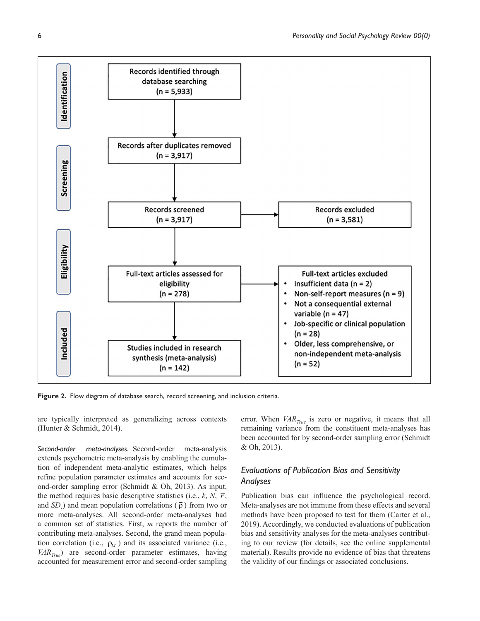

Figure 2. Flow diagram of database search, record screening, and inclusion criteria.

are typically interpreted as generalizing across contexts (Hunter & Schmidt, 2014).

*Second-order meta-analyses.* Second-order meta-analysis extends psychometric meta-analysis by enabling the cumulation of independent meta-analytic estimates, which helps refine population parameter estimates and accounts for second-order sampling error (Schmidt & Oh, 2013). As input, the method requires basic descriptive statistics (i.e.,  $k$ ,  $N$ ,  $\overline{r}$ , and  $SD<sub>r</sub>$ ) and mean population correlations ( $\bar{\rho}$ ) from two or more meta-analyses. All second-order meta-analyses had a common set of statistics. First, *m* reports the number of contributing meta-analyses. Second, the grand mean population correlation (i.e.,  $\bar{p}_M$ ) and its associated variance (i.e., *VARTrue*) are second-order parameter estimates, having accounted for measurement error and second-order sampling

error. When *VAR*<sub>*True*</sub> is zero or negative, it means that all remaining variance from the constituent meta-analyses has been accounted for by second-order sampling error (Schmidt & Oh, 2013).

# *Evaluations of Publication Bias and Sensitivity Analyses*

Publication bias can influence the psychological record. Meta-analyses are not immune from these effects and several methods have been proposed to test for them (Carter et al., 2019). Accordingly, we conducted evaluations of publication bias and sensitivity analyses for the meta-analyses contributing to our review (for details, see the online supplemental material). Results provide no evidence of bias that threatens the validity of our findings or associated conclusions.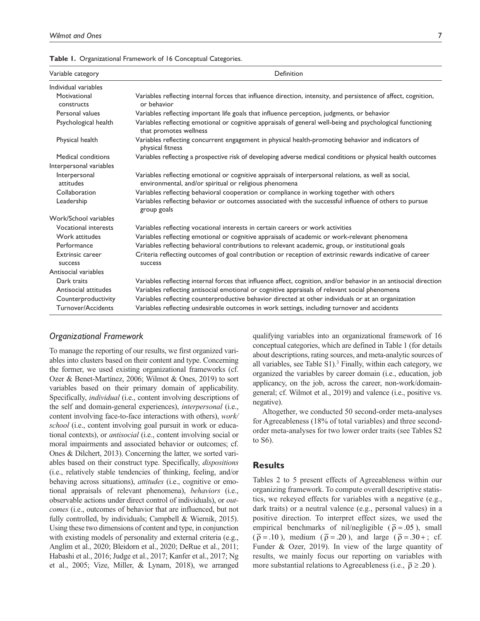|  | Table 1. Organizational Framework of 16 Conceptual Categories. |  |  |  |  |
|--|----------------------------------------------------------------|--|--|--|--|
|--|----------------------------------------------------------------|--|--|--|--|

| Variable category                  | Definition                                                                                                                                                      |
|------------------------------------|-----------------------------------------------------------------------------------------------------------------------------------------------------------------|
| Individual variables               |                                                                                                                                                                 |
| Motivational<br>constructs         | Variables reflecting internal forces that influence direction, intensity, and persistence of affect, cognition,<br>or behavior                                  |
| Personal values                    | Variables reflecting important life goals that influence perception, judgments, or behavior                                                                     |
| Psychological health               | Variables reflecting emotional or cognitive appraisals of general well-being and psychological functioning<br>that promotes wellness                            |
| Physical health                    | Variables reflecting concurrent engagement in physical health-promoting behavior and indicators of<br>physical fitness                                          |
| Medical conditions                 | Variables reflecting a prospective risk of developing adverse medical conditions or physical health outcomes                                                    |
| Interpersonal variables            |                                                                                                                                                                 |
| Interpersonal<br>attitudes         | Variables reflecting emotional or cognitive appraisals of interpersonal relations, as well as social,<br>environmental, and/or spiritual or religious phenomena |
| Collaboration                      | Variables reflecting behavioral cooperation or compliance in working together with others                                                                       |
| Leadership                         | Variables reflecting behavior or outcomes associated with the successful influence of others to pursue<br>group goals                                           |
| Work/School variables              |                                                                                                                                                                 |
| <b>Vocational interests</b>        | Variables reflecting vocational interests in certain careers or work activities                                                                                 |
| Work attitudes                     | Variables reflecting emotional or cognitive appraisals of academic or work-relevant phenomena                                                                   |
| Performance                        | Variables reflecting behavioral contributions to relevant academic, group, or institutional goals                                                               |
| <b>Extrinsic career</b><br>success | Criteria reflecting outcomes of goal contribution or reception of extrinsic rewards indicative of career<br>success                                             |
| Antisocial variables               |                                                                                                                                                                 |
| Dark traits                        | Variables reflecting internal forces that influence affect, cognition, and/or behavior in an antisocial direction                                               |
| Antisocial attitudes               | Variables reflecting antisocial emotional or cognitive appraisals of relevant social phenomena                                                                  |
| Counterproductivity                | Variables reflecting counterproductive behavior directed at other individuals or at an organization                                                             |
| Turnover/Accidents                 | Variables reflecting undesirable outcomes in work settings, including turnover and accidents                                                                    |

# *Organizational Framework*

To manage the reporting of our results, we first organized variables into clusters based on their content and type. Concerning the former, we used existing organizational frameworks (cf. Ozer & Benet-Martínez, 2006; Wilmot & Ones, 2019) to sort variables based on their primary domain of applicability. Specifically, *individual* (i.e., content involving descriptions of the self and domain-general experiences), *interpersonal* (i.e., content involving face-to-face interactions with others), *work/ school* (i.e., content involving goal pursuit in work or educational contexts), or *antisocial* (i.e., content involving social or moral impairments and associated behavior or outcomes; cf. Ones & Dilchert, 2013). Concerning the latter, we sorted variables based on their construct type. Specifically, *dispositions* (i.e., relatively stable tendencies of thinking, feeling, and/or behaving across situations), *attitudes* (i.e., cognitive or emotional appraisals of relevant phenomena), *behaviors* (i.e., observable actions under direct control of individuals), or *outcomes* (i.e., outcomes of behavior that are influenced, but not fully controlled, by individuals; Campbell & Wiernik, 2015). Using these two dimensions of content and type, in conjunction with existing models of personality and external criteria (e.g., Anglim et al., 2020; Bleidorn et al., 2020; DeRue et al., 2011; Habashi et al., 2016; Judge et al., 2017; Kanfer et al., 2017; Ng et al., 2005; Vize, Miller, & Lynam, 2018), we arranged

qualifying variables into an organizational framework of 16 conceptual categories, which are defined in Table 1 (for details about descriptions, rating sources, and meta-analytic sources of all variables, see Table S1).<sup>3</sup> Finally, within each category, we organized the variables by career domain (i.e., education, job applicancy, on the job, across the career, non-work/domaingeneral; cf. Wilmot et al., 2019) and valence (i.e., positive vs. negative).

Altogether, we conducted 50 second-order meta-analyses for Agreeableness (18% of total variables) and three secondorder meta-analyses for two lower order traits (see Tables S2 to S6).

### **Results**

Tables 2 to 5 present effects of Agreeableness within our organizing framework. To compute overall descriptive statistics, we rekeyed effects for variables with a negative (e.g., dark traits) or a neutral valence (e.g., personal values) in a positive direction. To interpret effect sizes, we used the empirical benchmarks of nil/negligible ( $\overline{p} = .05$ ), small  $(\bar{\rho} = .10)$ , medium  $(\bar{\rho} = .20)$ , and large  $(\bar{\rho} = .30 + ; \text{ cf.})$ Funder & Ozer, 2019). In view of the large quantity of results, we mainly focus our reporting on variables with more substantial relations to Agreeableness (i.e.,  $\bar{\rho} \geq .20$ ).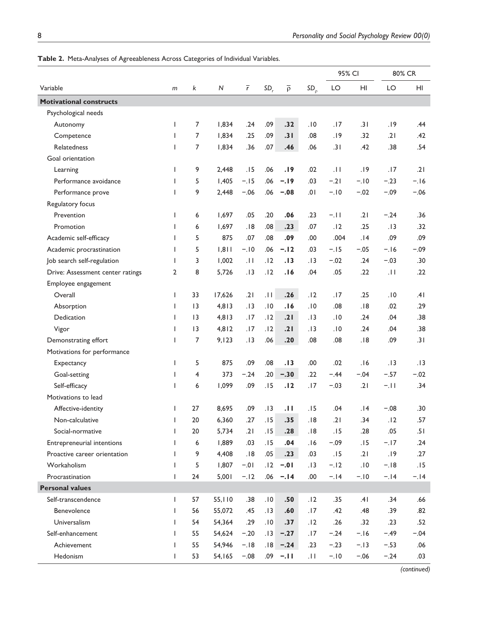|                                  |              |                 |           |                |                 |                   |                 | 95% CI      |        | 80% CR |        |
|----------------------------------|--------------|-----------------|-----------|----------------|-----------------|-------------------|-----------------|-------------|--------|--------|--------|
| Variable                         | m            | k               | ${\sf N}$ | $\overline{r}$ | SD <sub>r</sub> | $\overline{\rho}$ | SD <sub>0</sub> | LO          | HI     | LO     | HI     |
| <b>Motivational constructs</b>   |              |                 |           |                |                 |                   |                 |             |        |        |        |
| Psychological needs              |              |                 |           |                |                 |                   |                 |             |        |        |        |
| Autonomy                         | $\mathbf{I}$ | 7               | 1,834     | .24            | .09             | .32               | .10             | .17         | .31    | .19    | .44    |
| Competence                       | $\mathbf{I}$ | 7               | 1,834     | .25            | .09             | .31               | .08             | .19         | .32    | .21    | .42    |
| Relatedness                      | $\mathsf{I}$ | 7               | 1,834     | .36            | .07             | .46               | .06             | .31         | .42    | .38    | .54    |
| Goal orientation                 |              |                 |           |                |                 |                   |                 |             |        |        |        |
| Learning                         | $\mathsf{I}$ | 9               | 2.448     | .15            | .06             | .19               | .02             | $  \cdot  $ | .19    | .17    | .21    |
| Performance avoidance            | $\mathbf{I}$ | 5               | 1,405     | $-.15$         | .06             | $-.19$            | .03             | $-21$       | $-.10$ | $-.23$ | $-.16$ |
| Performance prove                | $\mathbf{I}$ | 9               | 2,448     | $-.06$         | .06             | $-.08$            | .01             | $-.10$      | $-.02$ | $-.09$ | $-.06$ |
| Regulatory focus                 |              |                 |           |                |                 |                   |                 |             |        |        |        |
| Prevention                       | $\mathsf{I}$ | 6               | 1,697     | .05            | .20             | .06               | .23             | $-.11$      | .21    | $-.24$ | .36    |
| Promotion                        | $\mathbf{I}$ | 6               | 1,697     | .18            | .08             | .23               | .07             | .12         | .25    | .13    | .32    |
| Academic self-efficacy           | $\mathbf{I}$ | 5               | 875       | .07            | .08             | .09               | .00             | .004        | .14    | .09    | .09    |
| Academic procrastination         | $\mathsf{I}$ | 5               | 1,811     | $-.10$         | .06             | $-.12$            | .03             | $-.15$      | $-.05$ | $-.16$ | $-.09$ |
| Job search self-regulation       | $\mathsf{I}$ | 3               | 1,002     | .11            | .12             | .13               | .13             | $-.02$      | .24    | $-.03$ | .30    |
| Drive: Assessment center ratings | 2            | 8               | 5,726     | .13            | .12             | .16               | .04             | .05         | .22    | .11    | .22    |
| Employee engagement              |              |                 |           |                |                 |                   |                 |             |        |        |        |
| Overall                          | $\mathbf{I}$ | 33              | 17,626    | .21            | $\overline{11}$ | .26               | .12             | .17         | .25    | .10    | .41    |
| Absorption                       | $\mathsf{I}$ | $\overline{13}$ | 4,813     | .13            | .10             | .16               | .10             | .08         | .18    | .02    | .29    |
| Dedication                       | $\mathsf{I}$ | 3               | 4,813     | .17            | .12             | .21               | .13             | .10         | .24    | .04    | .38    |
| Vigor                            | $\mathsf{I}$ | 3               | 4,812     | .17            | .12             | .21               | .13             | .10         | .24    | .04    | .38    |
| Demonstrating effort             | $\mathsf{I}$ | 7               | 9,123     | .13            | .06             | .20               | .08             | .08         | .18    | .09    | .31    |
| Motivations for performance      |              |                 |           |                |                 |                   |                 |             |        |        |        |
| Expectancy                       | $\mathbf{I}$ | 5               | 875       | .09            | .08             | .13               | .00             | .02         | 16.    | .13    | . I 3  |
| Goal-setting                     | $\mathsf{I}$ | 4               | 373       | $-.24$         | .20             | $-.30$            | .22             | $-.44$      | $-.04$ | $-.57$ | $-.02$ |
| Self-efficacy                    | $\mathbf{I}$ | 6               | 1,099     | .09            | .15             | .12               | .17             | $-.03$      | .21    | $-.11$ | .34    |
| Motivations to lead              |              |                 |           |                |                 |                   |                 |             |        |        |        |
| Affective-identity               | $\mathsf{I}$ | 27              | 8,695     | .09            | .13             | .11               | .15             | .04         | 14.    | $-.08$ | .30    |
| Non-calculative                  | $\mathsf{I}$ | 20              | 6,360     | .27            | .15             | .35               | .18             | .21         | .34    | .12    | .57    |
| Social-normative                 | $\mathsf{I}$ | 20              | 5,734     | .21            | .15             | .28               | .18             | .15         | .28    | .05    | .51    |
| Entrepreneurial intentions       | $\mathsf{I}$ | 6               | 1,889     | .03            | .15             | .04               | .16             | $-.09$      | .15    | $-.17$ | .24    |
| Proactive career orientation     | $\mathbf{I}$ | 9               | 4,408     | .18            | .05             | .23               | .03             | .15         | .21    | .19    | .27    |
| Workaholism                      | $\mathsf{I}$ | 5               | 1,807     | $-0.01$        | .12             | $-.01$            | .13             | $-.12$      | .10    | $-.18$ | .15    |
| Procrastination                  | $\mathsf{I}$ | 24              | 5,001     | $-.12$         | .06             | $-.14$            | .00             | $-.14$      | $-.10$ | $-.14$ | $-.14$ |
| <b>Personal values</b>           |              |                 |           |                |                 |                   |                 |             |        |        |        |
| Self-transcendence               | $\mathsf{I}$ | 57              | 55,110    | .38            | .10             | .50               | .12             | .35         | .41    | .34    | .66    |
| Benevolence                      | $\mathsf{I}$ | 56              | 55,072    | .45            | .13             | .60               | .17             | .42         | .48    | .39    | .82    |
| Universalism                     | $\mathsf{I}$ | 54              | 54,364    | .29            | .10             | .37               | .12             | .26         | .32    | .23    | .52    |
| Self-enhancement                 | $\mathsf{I}$ | 55              | 54,624    | $-.20$         | .13             | $-.27$            | .17             | $-.24$      | $-.16$ | $-.49$ | $-.04$ |
| Achievement                      | $\mathbf{I}$ | 55              | 54,946    | $-.18$         | .18             | $-.24$            | .23             | $-.23$      | $-.13$ | $-.53$ | .06    |
| Hedonism                         | $\mathsf{L}$ | 53              | 54,165    | $-.08$         | .09             | $-.11$            | $  \cdot  $     | $-.10$      | $-.06$ | $-.24$ | .03    |

**Table 2.** Meta-Analyses of Agreeableness Across Categories of Individual Variables.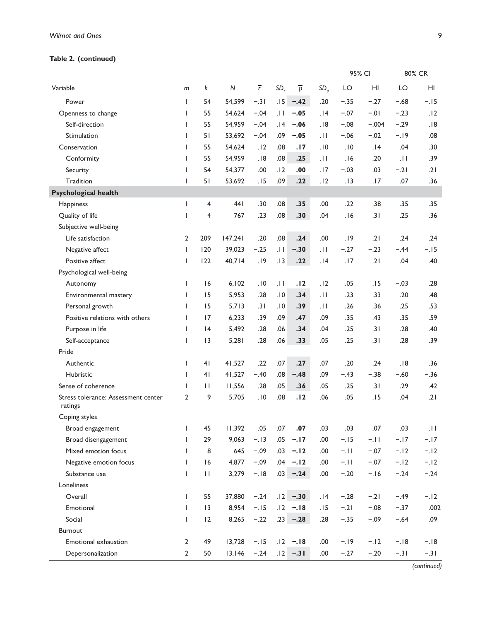# **Table 2. (continued)**

|                                                |                |                         |         |                |                 |                   |              | 95% CI |         | 80% CR |        |
|------------------------------------------------|----------------|-------------------------|---------|----------------|-----------------|-------------------|--------------|--------|---------|--------|--------|
| Variable                                       | m              | k                       | N       | $\overline{r}$ | SD <sub>r</sub> | $\overline{\rho}$ | $SD_{\rho}$  | LO     | HI      | LO     | HI     |
| Power                                          | $\mathsf{I}$   | 54                      | 54,599  | $-.31$         | .15             | $-.42$            | .20          | $-.35$ | $-.27$  | $-.68$ | $-.15$ |
| Openness to change                             | $\mathsf{I}$   | 55                      | 54,624  | $-.04$         | $  \cdot  $     | $-.05$            | .14          | $-.07$ | $-0.01$ | $-.23$ | .12    |
| Self-direction                                 | $\mathsf{I}$   | 55                      | 54,959  | $-.04$         | .14             | $-.06$            | .18          | $-.08$ | $-.004$ | $-.29$ | .18    |
| Stimulation                                    | $\mathbf{I}$   | 51                      | 53,692  | $-.04$         | .09             | $-.05$            | .11          | $-.06$ | $-.02$  | $-.19$ | .08    |
| Conservation                                   | $\mathsf{I}$   | 55                      | 54,624  | .12            | .08             | .17               | .10          | .10    | .14     | .04    | .30    |
| Conformity                                     | $\mathbf{I}$   | 55                      | 54,959  | .18            | .08             | .25               | .11          | .16    | .20     | .11    | .39    |
| Security                                       | $\mathsf{I}$   | 54                      | 54,377  | .00            | .12             | .00               | .17          | $-.03$ | .03     | $-.21$ | .21    |
| Tradition                                      | $\mathsf{I}$   | 51                      | 53,692  | .15            | .09             | .22               | .12          | .13    | .17     | .07    | .36    |
| <b>Psychological health</b>                    |                |                         |         |                |                 |                   |              |        |         |        |        |
| Happiness                                      | $\mathsf{I}$   | $\overline{\mathbf{4}}$ | 441     | .30            | .08             | .35               | .00          | .22    | .38     | .35    | .35    |
| Quality of life                                | I              | $\overline{\mathbf{4}}$ | 767     | .23            | .08             | .30               | .04          | .16    | .31     | .25    | .36    |
| Subjective well-being                          |                |                         |         |                |                 |                   |              |        |         |        |        |
| Life satisfaction                              | $\overline{2}$ | 209                     | 147,241 | .20            | .08             | .24               | .00          | .19    | .21     | .24    | .24    |
| Negative affect                                | $\mathsf{I}$   | 120                     | 39,023  | $-.25$         | $\overline{11}$ | $-.30$            | $ 11\rangle$ | $-.27$ | $-.23$  | $-.44$ | $-.15$ |
| Positive affect                                | L              | 122                     | 40,714  | .19            | .13             | .22               | .14          | .17    | .21     | .04    | .40    |
| Psychological well-being                       |                |                         |         |                |                 |                   |              |        |         |        |        |
| Autonomy                                       | $\mathsf{I}$   | 16                      | 6,102   | .10            | $  \cdot  $     | .12               | .12          | .05    | .15     | $-.03$ | .28    |
| Environmental mastery                          | I              | 15                      | 5,953   | .28            | .10             | .34               | $  \cdot  $  | .23    | .33     | .20    | .48    |
| Personal growth                                | $\mathbf{I}$   | 15                      | 5,713   | .31            | .10             | .39               | $  \cdot  $  | .26    | .36     | .25    | .53    |
| Positive relations with others                 | $\mathsf{I}$   | 17                      | 6,233   | .39            | .09             | .47               | .09          | .35    | .43     | .35    | .59    |
| Purpose in life                                | $\mathbf{I}$   | 4                       | 5,492   | .28            | .06             | .34               | .04          | .25    | .31     | .28    | .40    |
| Self-acceptance                                | $\mathsf{I}$   | 3                       | 5,281   | .28            | .06             | .33               | .05          | .25    | .31     | .28    | .39    |
| Pride                                          |                |                         |         |                |                 |                   |              |        |         |        |        |
| Authentic                                      | I              | 41                      | 41,527  | .22            | .07             | .27               | .07          | .20    | .24     | .18    | .36    |
| Hubristic                                      | $\mathbf{I}$   | 41                      | 41,527  | $-.40$         | .08             | $-.48$            | .09          | $-.43$ | $-.38$  | $-.60$ | $-.36$ |
| Sense of coherence                             | $\mathbf{I}$   | $\mathbf{H}$            | 11,556  | .28            | .05             | .36               | .05          | .25    | .31     | .29    | .42    |
| Stress tolerance: Assessment center<br>ratings | $\overline{2}$ | 9                       | 5,705   | .10            | .08             | .12               | .06          | .05    | .15     | .04    | .21    |
| Coping styles                                  |                |                         |         |                |                 |                   |              |        |         |        |        |
| Broad engagement                               | $\mathsf{I}$   | 45                      | 11,392  | .05            | .07             | .07               | .03          | .03    | .07     | .03    | .11.   |
| Broad disengagement                            | $\mathsf{I}$   | 29                      | 9,063   | $-.13$         | .05             | $-.17$            | .00          | $-.15$ | $-11$   | $-.17$ | $-.17$ |
| Mixed emotion focus                            | $\mathbf{I}$   | 8                       | 645     | $-.09$         | .03             | $-.12$            | .00.         | $-.11$ | $-.07$  | $-.12$ | $-.12$ |
| Negative emotion focus                         | $\mathsf{L}$   | 16                      | 4,877   | $-.09$         | .04             | $-.12$            | .00          | $-.11$ | $-.07$  | $-.12$ | $-.12$ |
| Substance use                                  | $\mathsf{I}$   | $\mathbf{H}$            | 3,279   | $-.18$         | .03             | $-.24$            | .00          | $-.20$ | $-.16$  | $-.24$ | $-.24$ |
| Loneliness                                     |                |                         |         |                |                 |                   |              |        |         |        |        |
| Overall                                        | L              | 55                      | 37,880  | $-.24$         | .12             | $-.30$            | .14          | $-.28$ | $-.21$  | $-.49$ | $-.12$ |
| Emotional                                      | $\mathsf{L}$   | 3                       | 8,954   | $-.15$         | .12             | $-.18$            | .15          | $-.21$ | $-.08$  | $-.37$ | .002   |
| Social                                         | $\mathsf{L}$   | 12                      | 8,265   | $-.22$         | $.23 -$         | $-.28$            | .28          | $-.35$ | $-.09$  | $-.64$ | .09    |
| Burnout                                        |                |                         |         |                |                 |                   |              |        |         |        |        |
| Emotional exhaustion                           | $\overline{2}$ | 49                      | 13,728  | $-.15$         | .12             | $-.18$            | .00          | $-.19$ | $-.12$  | $-.18$ | $-.18$ |
| Depersonalization                              | $\overline{2}$ | 50                      | 13,146  | $-.24$         | .12             | $-.31$            | .00.         | $-.27$ | $-.20$  | $-.31$ | $-.31$ |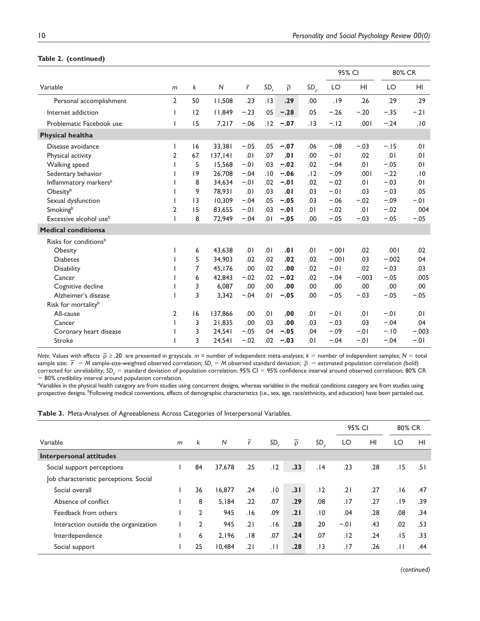# **Table 2. (continued)**

|                                    |                          |    |         |                |                 |                   |             |         | 95% CI  |         | 80% CR         |  |
|------------------------------------|--------------------------|----|---------|----------------|-----------------|-------------------|-------------|---------|---------|---------|----------------|--|
| Variable                           | $m$                      | k  | N       | $\overline{r}$ | SD <sub>r</sub> | $\overline{\rho}$ | $SD_{\rho}$ | LO      | HI      | LO      | H <sub>l</sub> |  |
| Personal accomplishment            | $\overline{2}$           | 50 | 11,508  | .23            | .13             | .29               | .00         | .19     | .26     | .29     | .29            |  |
| Internet addiction                 |                          | 12 | 11,849  | $-.23$         | .05             | $-.28$            | .05         | $-.26$  | $-.20$  | $-.35$  | $-.21$         |  |
| Problematic Facebook use           |                          | 15 | 7,217   | $-.06$         | .12             | $-.07$            | .13         | $-.12$  | 100.    | $-.24$  | .10            |  |
| <b>Physical healtha</b>            |                          |    |         |                |                 |                   |             |         |         |         |                |  |
| Disease avoidance                  | $\overline{\phantom{a}}$ | 16 | 33,381  | $-.05$         | .05             | $-.07$            | .06         | $-.08$  | $-.03$  | $-.15$  | .01            |  |
| Physical activity                  | 2                        | 67 | 137,141 | .01            | .07             | .01               | .00         | $-0.01$ | .02     | .01     | .01            |  |
| Walking speed                      |                          | 5  | 15,568  | $-.01$         | .03             | $-.02$            | .02         | $-.04$  | .01     | $-.05$  | 10.            |  |
| Sedentary behavior                 |                          | 9  | 26,708  | $-.04$         | .10             | $-.06$            | .12         | $-.09$  | .001    | $-.22$  | .10            |  |
| Inflammatory markers <sup>b</sup>  |                          | 8  | 34,634  | $-0.01$        | .02             | $-.01$            | .02         | $-.02$  | 10.     | $-.03$  | 10.            |  |
| Obesityb                           |                          | 9  | 78,931  | .01            | .03             | .01               | .03         | $-.01$  | .03     | $-.03$  | .05            |  |
| Sexual dysfunction                 |                          | 13 | 10,309  | $-.04$         | .05             | $-.05$            | .03         | $-.06$  | $-.02$  | $-.09$  | $-0.1$         |  |
| Smokingb                           | $\overline{2}$           | 15 | 83,655  | $-.01$         | .03             | $-.01$            | 10.         | $-.02$  | 10.     | $-.02$  | .004           |  |
| Excessive alcohol use <sup>b</sup> |                          | 8  | 72,949  | $-.04$         | .01             | $-.05$            | .00.        | $-.05$  | $-.03$  | $-.05$  | $-.05$         |  |
| <b>Medical conditionsa</b>         |                          |    |         |                |                 |                   |             |         |         |         |                |  |
| Risks for conditions <sup>b</sup>  |                          |    |         |                |                 |                   |             |         |         |         |                |  |
| Obesity                            |                          | 6  | 43,638  | .01            | .01             | .01               | 10.         | $-.001$ | .02     | .001    | .02            |  |
| <b>Diabetes</b>                    |                          | 5  | 34,903  | .02            | .02             | .02               | .02         | $-.001$ | .03     | $-.002$ | .04            |  |
| <b>Disability</b>                  |                          | 7  | 45,176  | .00            | .02             | .00               | .02         | $-.01$  | .02     | $-.03$  | .03            |  |
| Cancer                             |                          | 6  | 42,843  | $-.02$         | .02             | $-.02$            | .02         | $-.04$  | $-.003$ | $-.05$  | .005           |  |
| Cognitive decline                  |                          | 3  | 6,087   | .00            | .00             | .00               | .00         | .00     | .00     | .00     | .00            |  |
| Alzheimer's disease                |                          | 3  | 3,342   | $-.04$         | .01             | $-.05$            | .00.        | $-.05$  | $-.03$  | $-.05$  | $-.05$         |  |
| Risk for mortality <sup>b</sup>    |                          |    |         |                |                 |                   |             |         |         |         |                |  |
| All-cause                          | $\overline{2}$           | 16 | 137,866 | .00            | .01             | .00               | .01         | $-.01$  | 10.     | $-.01$  | .01            |  |
| Cancer                             |                          | 3  | 21.835  | .00            | .03             | .00               | .03         | $-.03$  | .03     | $-.04$  | .04            |  |
| Coronary heart disease             |                          | 3  | 24,541  | $-.05$         | .04             | $-.05$            | .04         | $-.09$  | $-.01$  | $-.10$  | $-.003$        |  |
| Stroke                             |                          | 3  | 24,541  | $-.02$         | .02             | $-.03$            | 10.         | $-.04$  | $-01$   | $-.04$  | $-0.1$         |  |

*Note.* Values with effects  $\bar{p} \ge 0.20$  are presented in grayscale. *m* = number of independent meta-analyses;  $k =$  number of independent samples;  $N =$  total sample size;  $\bar{r} = M$  sample-size-weighted observed correlation;  $SD_r = M$  observed standard deviation;  $\bar{p}$  = estimated population correlation (bold) corrected for unreliability; SD<sub>p</sub> = standard deviation of population correlation; 95% CI = 95% confidence interval around observed correlation; 80% CR = 80% credibility interval around population correlation.

aVariables in the physical health category are from studies using concurrent designs, whereas variables in the medical conditions category are from studies using prospective designs. <sup>b</sup>Following medical conventions, effects of demographic characteristics (i.e., sex, age, race/ethnicity, and education) have been partialed out.

| Table 3. Meta-Analyses of Agreeableness Across Categories of Interpersonal Variables. |  |  |  |
|---------------------------------------------------------------------------------------|--|--|--|
|---------------------------------------------------------------------------------------|--|--|--|

|                                        |   |                |        |                |     |                   |                | 95% CI |     | 80% CR |     |
|----------------------------------------|---|----------------|--------|----------------|-----|-------------------|----------------|--------|-----|--------|-----|
| Variable                               | m | k              | N      | $\overline{r}$ | SD. | $\overline{\rho}$ | SD<br>$\Omega$ | LO     | HI  | LO     | HI  |
| <b>Interpersonal attitudes</b>         |   |                |        |                |     |                   |                |        |     |        |     |
| Social support perceptions             |   | 84             | 37,678 | .25            | .12 | .33               | .14            | .23    | .28 | .15    | 51. |
| Job characteristic perceptions: Social |   |                |        |                |     |                   |                |        |     |        |     |
| Social overall                         |   | 36             | 16.877 | .24            | .10 | .31               | .12            | .21    | .27 | 16.    | .47 |
| Absence of conflict                    |   | 8              | 5.184  | .22            | .07 | .29               | .08            | .17    | .27 | .19    | .39 |
| Feedback from others                   |   | 2              | 945    | 16.            | .09 | .21               | .10            | .04    | .28 | .08    | .34 |
| Interaction outside the organization   |   | $\overline{2}$ | 945    | .21            | .16 | .28               | .20            | $-.01$ | .43 | .02    | .53 |
| Interdependence                        |   | 6              | 2.196  | .18            | .07 | .24               | .07            | .12    | .24 | . I 5  | .33 |
| Social support                         |   | 25             | 10.484 | .21            | .11 | .28               | .13            | .17    | .26 | .11    | .44 |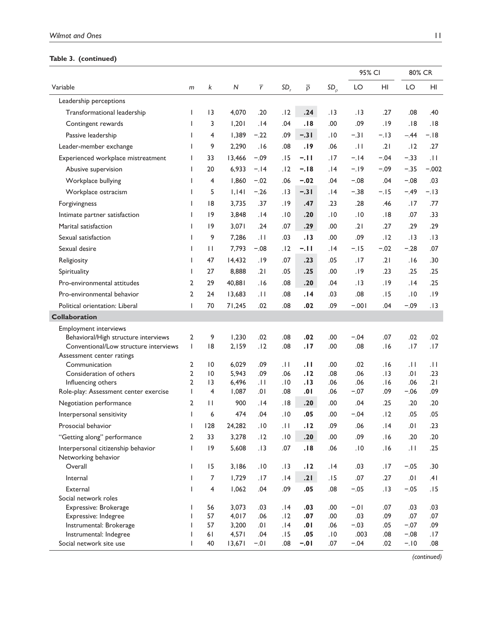# **Table 3. (continued)**

|                                                                               |                |                 |                |                 |                 |                   |             | 95% CI        |            | 80% CR          |            |
|-------------------------------------------------------------------------------|----------------|-----------------|----------------|-----------------|-----------------|-------------------|-------------|---------------|------------|-----------------|------------|
| Variable                                                                      | m              | k               | $\mathsf{N}$   | $\overline{r}$  | SD <sub>r</sub> | $\overline{\rho}$ | $SD_{\rho}$ | LO            | HI         | LO              | HI         |
| Leadership perceptions                                                        |                |                 |                |                 |                 |                   |             |               |            |                 |            |
| Transformational leadership                                                   | L              | 3               | 4,070          | .20             | .12             | .24               | .13         | . 13          | .27        | .08             | .40        |
| Contingent rewards                                                            | L              | 3               | 1,201          | .14             | .04             | .18               | .00         | .09           | .19        | .18             | .18        |
| Passive leadership                                                            | L              | 4               | 1,389          | $-.22$          | .09             | $-.31$            | .10         | $-.31$        | $-.13$     | $-.44$          | $-.18$     |
| Leader-member exchange                                                        | L              | 9               | 2,290          | .16             | .08             | .19               | .06         | .11           | .21        | .12             | .27        |
| Experienced workplace mistreatment                                            | L              | 33              | 13,466         | $-.09$          | . I 5           | $-.11$            | .17         | $-.14$        | $-.04$     | $-.33$          | .11        |
| Abusive supervision                                                           | L              | 20              | 6,933          | $-.14$          | .12             | $-.18$            | .14         | $-.19$        | $-.09$     | $-.35$          | $-.002$    |
| Workplace bullying                                                            | L              | 4               | 1,860          | $-.02$          | .06             | $-.02$            | .04         | $-.08$        | .04        | $-.08$          | .03        |
| Workplace ostracism                                                           | L              | 5               | 1,141          | $-.26$          | . I 3           | $-.31$            | 14.         | $-.38$        | $-.15$     | $-.49$          | $-.13$     |
| Forgivingness                                                                 | L              | 8               | 3,735          | .37             | .19             | .47               | .23         | .28           | .46        | .17             | .77        |
| Intimate partner satisfaction                                                 | L              | 9               | 3,848          | 14.             | ١٥.             | .20               | .10         | .10           | .18        | .07             | .33        |
| Marital satisfaction                                                          | L              | 9               | 3,071          | .24             | .07             | .29               | .00         | .21           | .27        | .29             | .29        |
| Sexual satisfaction                                                           | L              | 9               | 7,286          | $\overline{11}$ | .03             | . I 3             | .00         | .09           | .12        | . I 3           | .13        |
| Sexual desire                                                                 | L              | $\mathbf{H}$    | 7,793          | $-.08$          | .12             | $-.11$            | .14         | $-.15$        | $-.02$     | $-.28$          | .07        |
|                                                                               | L              | 47              | 14,432         | .19             | .07             | .23               | .05         | .17           | .21        | 16.             | .30        |
| Religiosity                                                                   | L              | 27              | 8,888          | .21             | .05             | .25               | .00         | .19           | .23        | .25             | .25        |
| Spirituality                                                                  |                |                 |                |                 |                 |                   |             |               |            |                 |            |
| Pro-environmental attitudes                                                   | $\overline{2}$ | 29              | 40,881         | .16             | .08             | .20               | .04         | .13           | .19        | 14.             | .25        |
| Pro-environmental behavior                                                    | $\overline{2}$ | 24              | 13,683         | $\overline{11}$ | .08             | 14.               | .03         | .08           | .15        | .10             | .19        |
| Political orientation: Liberal                                                | L              | 70              | 71,245         | .02             | .08             | .02               | .09         | $-.001$       | .04        | $-.09$          | .13        |
| Collaboration                                                                 |                |                 |                |                 |                 |                   |             |               |            |                 |            |
| <b>Employment interviews</b>                                                  |                |                 |                |                 |                 |                   |             |               |            |                 |            |
| Behavioral/High structure interviews<br>Conventional/Low structure interviews | 2<br>L         | 9<br> 8         | 1,230<br>2,159 | .02<br>.12      | .08<br>.08      | .02<br>.17        | .00<br>.00  | $-.04$<br>.08 | .07<br>.16 | .02<br>.17      | .02<br>.17 |
| Assessment center ratings                                                     |                |                 |                |                 |                 |                   |             |               |            |                 |            |
| Communication                                                                 | $\overline{2}$ | 10              | 6,029          | .09             | .H              | .11               | .00         | .02           | 16.        | $\overline{11}$ | .11        |
| Consideration of others                                                       | $\overline{2}$ | $\overline{10}$ | 5,943          | .09             | .06             | .12               | .08         | .06           | .13        | .01             | .23        |
| Influencing others                                                            | $\overline{2}$ | 3               | 6,496          | $ 11\rangle$    | .10             | .13               | .06         | .06           | .16        | .06             | .21        |
| Role-play: Assessment center exercise                                         | $\mathbf{I}$   | 4               | 1,087          | .01             | .08             | .01               | .06         | $-.07$        | .09        | $-.06$          | .09        |
| Negotiation performance                                                       | $\overline{2}$ | П               | 900            | 14.             | .18             | .20               | .00         | .04           | .25        | .20             | .20        |
| Interpersonal sensitivity                                                     | L              | 6               | 474            | .04             | .10             | .05               | .00         | $-.04$        | .12        | .05             | .05        |
| Prosocial behavior                                                            | I              | 128             | 24,282         | .10             | $\overline{11}$ | .12               | .09         | .06           | .14        | .01             | .23        |
| "Getting along" performance                                                   | $\overline{2}$ | 33              | 3,278          | .12             | .10             | .20               | .00         | .09           | .16        | .20             | .20        |
| Interpersonal citizenship behavior                                            | L              | 9               | 5,608          | .13             | .07             | .18               | .06         | .10           | .16        | $  \cdot  $     | .25        |
| Networking behavior<br>Overall                                                | L              | 15              | 3,186          | .10             | .13             | .12               | .14         | .03           | .17        | $-.05$          | .30        |
| Internal                                                                      | L              | 7               | 1,729          | .17             | .14             | .21               | .15         | .07           | .27        | .01             | .41        |
| External                                                                      | L              | 4               | 1,062          | .04             | .09             | .05               | .08         | $-.05$        | .13        | $-.05$          | .15        |
| Social network roles                                                          |                |                 |                |                 |                 |                   |             |               |            |                 |            |
| Expressive: Brokerage                                                         | L              | 56              | 3,073          | .03             | .14             | .03               | .00         | $-0.1$        | .07        | .03             | .03        |
| Expressive: Indegree                                                          | ı              | 57              | 4,017          | .06             | .12             | .07               | .00         | .03           | .09        | .07             | .07        |
| Instrumental: Brokerage                                                       | L              | 57              | 3,200          | .01             | .14             | .01               | .06         | $-.03$        | .05        | $-.07$          | .09        |
| Instrumental: Indegree                                                        | L              | 61              | 4,571          | .04             | .15             | .05               | .10         | .003          | .08        | $-.08$          | .17        |
| Social network site use                                                       | L              | 40              | 13,671         | $-0.01$         | .08             | $-.01$            | .07         | $-.04$        | .02        | $-.10$          | .08        |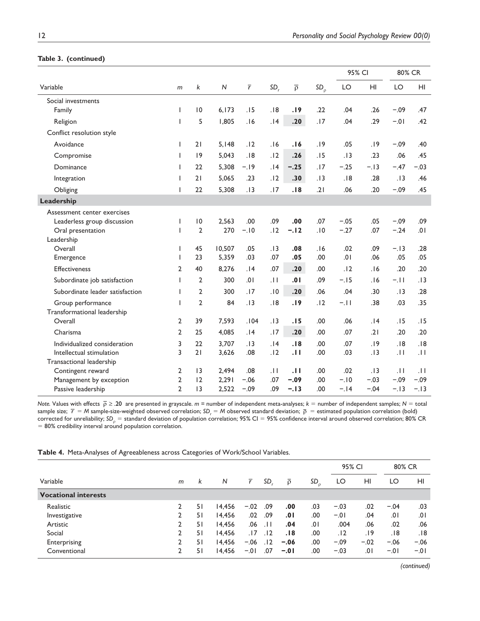|  | Table 3. (continued) |  |
|--|----------------------|--|
|--|----------------------|--|

|                                 |                |                |           |           |             |                   |             | 95% CI |        | 80% CR          |                 |
|---------------------------------|----------------|----------------|-----------|-----------|-------------|-------------------|-------------|--------|--------|-----------------|-----------------|
| Variable                        | m              | k              | ${\sf N}$ | $\bar{r}$ | SD,         | $\overline{\rho}$ | $SD_{\rho}$ | LO     | HI     | LO              | HI              |
| Social investments              |                |                |           |           |             |                   |             |        |        |                 |                 |
| Family                          | L              | 10             | 6,173     | .15       | .18         | .19               | .22         | .04    | .26    | $-.09$          | .47             |
| Religion                        | T              | 5              | 1,805     | .16       | .14         | .20               | .17         | .04    | .29    | $-0.01$         | .42             |
| Conflict resolution style       |                |                |           |           |             |                   |             |        |        |                 |                 |
| Avoidance                       | L              | 21             | 5,148     | .12       | .16         | .16               | .19         | .05    | .19    | $-.09$          | .40             |
| Compromise                      | L              | 9              | 5,043     | .18       | .12         | .26               | .15         | .13    | .23    | .06             | .45             |
| Dominance                       | L              | 22             | 5,308     | $-19$     | .14         | $-.25$            | .17         | $-.25$ | $-.13$ | $-.47$          | $-.03$          |
| Integration                     | L              | 21             | 5,065     | .23       | .12         | .30               | .13         | .18    | .28    | .13             | .46             |
| Obliging                        | L              | 22             | 5,308     | .13       | .17         | .18               | .21         | .06    | .20    | $-.09$          | .45             |
| Leadership                      |                |                |           |           |             |                   |             |        |        |                 |                 |
| Assessment center exercises     |                |                |           |           |             |                   |             |        |        |                 |                 |
| Leaderless group discussion     |                | 10             | 2.563     | .00       | .09         | .00               | .07         | $-.05$ | .05    | $-.09$          | .09             |
| Oral presentation               | L              | $\overline{2}$ | 270       | $-.10$    | .12         | $-.12$            | .10         | $-.27$ | .07    | $-.24$          | 10.             |
| Leadership                      |                |                |           |           |             |                   |             |        |        |                 |                 |
| Overall                         | L              | 45             | 10,507    | .05       | .13         | .08               | .16         | .02    | .09    | $-.13$          | .28             |
| Emergence                       | T              | 23             | 5,359     | .03       | .07         | .05               | .00         | .01    | .06    | .05             | .05             |
| <b>Effectiveness</b>            | $\overline{2}$ | 40             | 8,276     | .14       | .07         | .20               | .00         | .12    | .16    | .20             | .20             |
| Subordinate job satisfaction    | L              | $\overline{2}$ | 300       | 10.       | .11         | .01               | .09         | $-.15$ | .16    | $-.11$          | .13             |
| Subordinate leader satisfaction | L              | $\overline{2}$ | 300       | .17       | .10         | .20               | .06         | .04    | .30    | .13             | .28             |
| Group performance               | L              | $\overline{2}$ | 84        | .13       | .18         | .19               | .12         | $-.11$ | .38    | .03             | .35             |
| Transformational leadership     |                |                |           |           |             |                   |             |        |        |                 |                 |
| Overall                         | $\overline{2}$ | 39             | 7,593     | .104      | .13         | .15               | .00         | .06    | .14    | .15             | .15             |
| Charisma                        | $\overline{2}$ | 25             | 4,085     | .14       | .17         | .20               | .00         | .07    | .21    | .20             | .20             |
| Individualized consideration    | 3              | 22             | 3,707     | .13       | .14         | .18               | .00         | .07    | .19    | .18             | .18             |
| Intellectual stimulation        | 3              | 21             | 3,626     | .08       | .12         | .11               | .00         | .03    | .13    | .11             | $\overline{11}$ |
| Transactional leadership        |                |                |           |           |             |                   |             |        |        |                 |                 |
| Contingent reward               | $\overline{2}$ | 3              | 2,494     | .08       | $  \cdot  $ | .11               | .00         | .02    | .13    | $\overline{11}$ | .11             |
| Management by exception         | $\overline{2}$ | 12             | 2,291     | $-.06$    | .07         | $-.09$            | .00         | $-.10$ | $-.03$ | $-.09$          | $-.09$          |
| Passive leadership              | $\overline{2}$ | 3              | 2,522     | $-.09$    | .09         | $-.13$            | .00         | $-.14$ | $-.04$ | $-.13$          | $-.13$          |

*Note.* Values with effects  $\bar{p} \ge 0.20$  are presented in grayscale. *m* = number of independent meta-analyses;  $k =$  number of independent samples;  $N =$  total sample size;  $\bar{r} = M$  sample-size-weighted observed correlation;  $SD_r = M$  observed standard deviation;  $\bar{p}$  = estimated population correlation (bold) corrected for unreliability; SD<sub>p</sub> = standard deviation of population correlation; 95% CI = 95% confidence interval around observed correlation; 80% CR  $= 80\%$  credibility interval around population correlation.

|                             |   |    |        |                |                 |                   |             | 95% CI |        | 80% CR |        |
|-----------------------------|---|----|--------|----------------|-----------------|-------------------|-------------|--------|--------|--------|--------|
| Variable                    | m | k  | N      | $\overline{r}$ | SD.             | $\overline{\rho}$ | $SD_{\rho}$ | LO     | HI     | LO     | HI     |
| <b>Vocational interests</b> |   |    |        |                |                 |                   |             |        |        |        |        |
| Realistic                   |   | 51 | 14.456 | $-.02$         | .09             | .00               | .03         | $-.03$ | .02    | $-.04$ | .03    |
| Investigative               |   | 51 | 14.456 | .02            | .09             | .01               | .00         | $-.01$ | .04    | 0١.    | .01    |
| Artistic                    | 2 | 51 | 14,456 | .06            | $\overline{11}$ | .04               | .01         | .004   | .06    | .02    | .06    |
| Social                      | 2 | 51 | 14,456 | . 17           | .12             | . 18              | .00         | .12    | ۱9.    | .18    | .18    |
| Enterprising                |   | 51 | 14.456 | $-.06$         | .12             | $-.06$            | .00         | $-.09$ | $-.02$ | $-.06$ | $-.06$ |
| Conventional                | 2 | 51 | 14,456 | $-.01$         | .07             | $-.01$            | .00         | $-.03$ | .01    | $-.01$ | $-.01$ |

**Table 4.** Meta-Analyses of Agreeableness across Categories of Work/School Variables.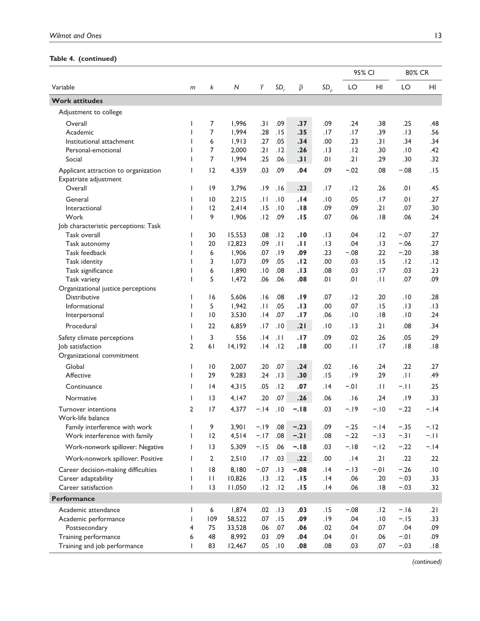# **Table 4. (continued)**

|                                      |                |                 |                |                |                 |                   |             |            | 95% CI          |            | 80% CR     |
|--------------------------------------|----------------|-----------------|----------------|----------------|-----------------|-------------------|-------------|------------|-----------------|------------|------------|
| Variable                             | m              | k               | N              | $\overline{r}$ | SD <sub>r</sub> | $\overline{\rho}$ | $SD_{\rho}$ | LO         | H <sub>II</sub> | LO         | HI         |
| <b>Work attitudes</b>                |                |                 |                |                |                 |                   |             |            |                 |            |            |
| Adjustment to college                |                |                 |                |                |                 |                   |             |            |                 |            |            |
| Overall                              | I              | 7               | 1,996          | .31            | .09             | .37               | .09         | .24        | .38             | .25        | .48        |
| Academic                             | ı              | 7               | 1,994          | .28            | .15             | .35               | .17         | .17        | .39             | .13        | .56        |
| Institutional attachment             | ı              | 6               | 1,913          | .27            | .05             | .34               | .00         | .23        | .31             | .34        | .34        |
| Personal-emotional                   |                | 7               | 2,000          | .21            | .12             | .26               | .13         | .12        | .30             | .10        | .42        |
| Social                               |                | 7               | 1,994          | .25            | .06             | .31               | .01         | .21        | .29             | .30        | .32        |
| Applicant attraction to organization | I              | 12              | 4,359          | .03            | .09             | .04               | .09         | $-.02$     | .08             | $-.08$     | .15        |
| Expatriate adjustment                |                |                 |                |                |                 |                   |             |            |                 |            |            |
| Overall                              | I              | 19              | 3,796          | .19            | .16             | .23               | .17         | .12        | .26             | .01        | .45        |
| General                              |                | 10              | 2,215          | $ 11\rangle$   | .10             | .14               | .10         | .05        | .17             | .01        | .27        |
| Interactional                        | ı              | 12              | 2,414          | .15            | .10             | .18               | .09         | .09        | .21             | .07        | .30        |
| Work                                 | $\mathbf{I}$   | 9               | 1,906          | .12            | .09             | .15               | .07         | .06        | .18             | .06        | .24        |
| Job characteristic perceptions: Task |                |                 |                |                |                 |                   |             |            |                 |            |            |
| Task overall                         | $\mathbf{I}$   | 30              | 15,553         | .08            | . 12            | . I O             | . 13        | .04        | . 12            | $-.07$     | .27        |
| Task autonomy                        | ı              | 20              | 12,823         | .09            | .11             | .11               | .13         | .04        | .13             | $-.06$     | .27        |
| Task feedback                        | ı              | 6               | 1,906          | .07            | .19             | .09               | .23         | $-.08$     | .22             | $-.20$     | .38        |
| Task identity<br>Task significance   | ı<br>ı         | 3<br>6          | 1,073<br>1,890 | .09<br>.10     | .05<br>.08      | .12<br>.13        | .00<br>.08  | .03<br>.03 | .15<br>.17      | .12<br>.03 | .12<br>.23 |
| Task variety                         |                | 5               | 1,472          | .06            | .06             | .08               | .01         | 10.        | $\pm$           | .07        | .09        |
| Organizational justice perceptions   |                |                 |                |                |                 |                   |             |            |                 |            |            |
| <b>Distributive</b>                  | $\mathbf{I}$   | 16              | 5,606          | 16.            | .08             | .19               | .07         | .12        | .20             | .10        | .28        |
| Informational                        | I              | 5               | 1,942          | .11            | .05             | .13               | .00         | .07        | .15             | .13        | .13        |
| Interpersonal                        | ı              | $\overline{10}$ | 3,530          | .14            | .07             | .17               | .06         | .10        | .18             | .10        | .24        |
| Procedural                           |                | 22              | 6,859          | .17            | .10             | .21               | .10         | .13        | .21             | .08        | .34        |
| Safety climate perceptions           | L              | 3               | 556            | 14.            | .11             | .17               | .09         | .02        | .26             | .05        | .29        |
| Job satisfaction                     | $\overline{2}$ | 61              | 14,192         | .14            | .12             | .18               | .00         | .11        | .17             | .18        | .18        |
| Organizational commitment            |                |                 |                |                |                 |                   |             |            |                 |            |            |
| Global                               | L              | 10              | 2,007          | .20            | .07             | .24               | .02         | 16.        | .24             | .22        | .27        |
| Affective                            | I              | 29              | 9,283          | .24            | .13             | .30               | .15         | .19        | .29             | .H         | .49        |
| Continuance                          | T              | $\overline{14}$ | 4,315          | .05            | .12             | .07               | 14.         | $-.01$     | .H              | $-.11$     | .25        |
| Normative                            | $\mathbf{I}$   | 3               | 4,147          | .20            | .07             | .26               | .06         | .16        | .24             | .19        | .33        |
| Turnover intentions                  | $\overline{2}$ | 17              | 4,377          | $-.14$         | .10             | $-.18$            | .03         | $-.19$     | $-.10$          | $-.22$     | $-.14$     |
| Work-life balance                    |                |                 |                |                |                 |                   |             |            |                 |            |            |
| Family interference with work        |                | 9               | 3,901          | $-.19$         | .08             | $-.23$            | .09         | $-.25$     | $-.14$          | $-.35$     | $-.12$     |
| Work interference with family        | L              | 12              | 4,514          | $-.17$         | .08             | $-.21$            | .08         | $-.22$     | $-.13$          | $-.31$     | $-.11$     |
| Work-nonwork spillover: Negative     | L              | 13              | 5,309          | $-.15$         | .06             | $-.18$            | .03         | $-.18$     | $-.12$          | $-.22$     | $-.14$     |
| Work-nonwork spillover: Positive     | L              | $\overline{2}$  | 2,510          | .17            | .03             | .22               | .00         | .14        | .21             | .22        | .22        |
| Career decision-making difficulties  | L              | 18              | 8,180          | $-.07$         | .13             | $-.08$            | .14         | $-.13$     | $-0.01$         | $-.26$     | .10        |
| Career adaptability                  | L              | П               | 10,826         | .13            | .12             | .15               | .14         | .06        | .20             | $-.03$     | .33        |
| Career satisfaction                  | T              | 3               | 11,050         | .12            | .12             | .15               | .14         | .06        | .18             | $-.03$     | .32        |
| Performance                          |                |                 |                |                |                 |                   |             |            |                 |            |            |
| Academic attendance                  | L              | 6               | 1,874          | .02            | .13             | .03               | .15         | $-.08$     | .12             | $-.16$     | .21        |
| Academic performance                 | L              | 109             | 58,522         | .07            | .15             | .09               | .19         | .04        | .10             | $-.15$     | .33        |
| Postsecondary                        | 4              | 75              | 33,528         | .06            | .07             | .06               | .02         | .04        | .07             | .04        | .09        |
| Training performance                 | 6              | 48              | 8,992          | .03            | .09             | .04               | .04         | .01        | .06             | $-0.1$     | .09        |
| Training and job performance         | L              | 83              | 12,467         | .05            | .10             | .08               | .08         | .03        | .07             | $-.03$     | .18        |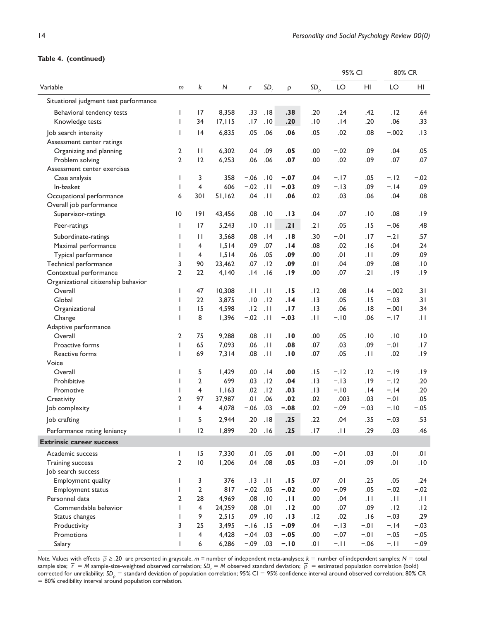### **Table 4. (continued)**

|                                       |                          |                 |         |                |                 |                   |             | 95% CI  |                 | 80% CR  |              |
|---------------------------------------|--------------------------|-----------------|---------|----------------|-----------------|-------------------|-------------|---------|-----------------|---------|--------------|
| Variable                              | m                        | k               | N       | $\overline{r}$ | SD <sub>r</sub> | $\overline{\rho}$ | $SD_{\rho}$ | LO      | HI              | LO      | HI           |
| Situational judgment test performance |                          |                 |         |                |                 |                   |             |         |                 |         |              |
| Behavioral tendency tests             | ı                        | 17              | 8,358   | .33            | .18             | .38               | .20         | .24     | .42             | .12     | .64          |
| Knowledge tests                       | $\overline{\phantom{a}}$ | 34              | 17, 115 | .17            | .10             | .20               | .10         | .14     | .20             | .06     | .33          |
| Job search intensity                  | $\overline{\phantom{a}}$ | 4               | 6,835   | .05            | .06             | .06               | .05         | .02     | .08             | $-.002$ | .13          |
| Assessment center ratings             |                          |                 |         |                |                 |                   |             |         |                 |         |              |
| Organizing and planning               | 2                        | $\mathbf{H}$    | 6,302   | .04            | .09             | .05               | .00         | $-.02$  | .09             | .04     | .05          |
| Problem solving                       | $\overline{2}$           | 12              | 6,253   | .06            | .06             | .07               | .00         | .02     | .09             | .07     | .07          |
| Assessment center exercises           |                          |                 |         |                |                 |                   |             |         |                 |         |              |
| Case analysis                         | 1                        | 3               | 358     | $-.06$         | .10             | $-.07$            | .04         | $-.17$  | .05             | $-.12$  | $-.02$       |
| In-basket                             | 1                        | 4               | 606     | $-.02$         | .11             | $-.03$            | .09         | $-.13$  | .09             | $-.14$  | .09          |
| Occupational performance              | 6                        | 301             | 51,162  | .04            | .11             | .06               | .02         | .03     | .06             | .04     | .08          |
| Overall job performance               |                          |                 |         |                |                 |                   |             |         |                 |         |              |
| Supervisor-ratings                    | $\overline{10}$          | 9               | 43,456  | .08            | .10             | .13               | .04         | .07     | .10             | .08     | .19          |
| Peer-ratings                          | $\overline{1}$           | 17              | 5,243   | .10            | .11             | .21               | .21         | .05     | .15             | $-.06$  | .48          |
| Subordinate-ratings                   | 1                        | $\mathbf{H}$    | 3,568   | .08            | .14             | .18               | .30         | $-0.01$ | .17             | $-.21$  | .57          |
| Maximal performance                   | $\overline{1}$           | 4               | 1,514   | .09            | .07             | .14               | .08         | .02     | .16             | .04     | .24          |
| Typical performance                   | ı                        | 4               | 1,514   | .06            | .05             | .09               | .00         | .01     | .11             | .09     | .09          |
| Technical performance                 | 3                        | 90              | 23,462  | .07            | .12             | .09               | ا 0.        | .04     | .09             | .08     | .10          |
| Contextual performance                | 2                        | 22              | 4,140   | .14            | .16             | .19               | .00         | .07     | .21             | .19     | .19          |
| Organizational citizenship behavior   |                          |                 |         |                |                 |                   |             |         |                 |         |              |
| Overall                               | ı                        | 47              | 10,308  | .H             | . I I           | .15               | .12         | .08     | 14.             | $-.002$ | .31          |
| Global                                | ı                        | 22              | 3,875   | .10            | .12             | .14               | .13         | .05     | .15             | $-.03$  | .31          |
| Organizational                        | $\mathbf{I}$             | 15              | 4,598   | .12            | .11             | .17               | .13         | .06     | .18             | $-.001$ | .34          |
| Change                                | $\mathbf{I}$             | 8               | 1,396   | $-.02$         | .11             | $-.03$            | ا ا.        | $-.10$  | .06             | $-.17$  | .11          |
| Adaptive performance                  |                          |                 |         |                |                 |                   |             |         |                 |         |              |
| Overall                               | 2                        | 75              | 9,288   | .08            | .11             | .10               | .00         | .05     | .10             | .10     | .10          |
| Proactive forms                       | T                        | 65              | 7,093   | .06            | .11             | .08               | .07         | .03     | .09             | $-0.1$  | .17          |
| Reactive forms                        | T                        | 69              | 7,314   | .08            | .11             | .10               | .07         | .05     | .11             | .02     | .19          |
| Voice                                 |                          |                 |         |                |                 |                   |             |         |                 |         |              |
| Overall                               |                          | 5               | 1,429   | .00            | .14             | .00               | .15         | $-.12$  | .12             | $-.19$  | .19          |
| Prohibitive                           |                          | $\overline{2}$  | 699     | .03            | .12             | .04               | .13         | $-.13$  | .19             | $-.12$  | .20          |
| Promotive                             |                          | 4               | 1,163   | .02            | .12             | .03               | .13         | $-.10$  | .14             | $-.14$  | .20          |
| Creativity                            | $\overline{2}$           | 97              | 37,987  | .01            | .06             | .02               | .02         | .003    | .03             | $-.01$  | .05          |
| Job complexity                        | I.                       | 4               | 4,078   | $-.06$         | .03             | $-.08$            | .02         | $-.09$  | $-.03$          | $-.10$  | $-.05$       |
| Job crafting                          |                          | 5               | 2,944   | .20            | .18             | .25               | .22         | .04     | .35             | $-.03$  | .53          |
| Performance rating leniency           | T                        | 12              | 1,899   | .20            | .16             | .25               | .17         | .H      | .29             | .03     | .46          |
| <b>Extrinsic career success</b>       |                          |                 |         |                |                 |                   |             |         |                 |         |              |
| Academic success                      | I                        | 15              | 7,330   | .01            | .05             | .01               | .00         | $-0.01$ | .03             | 10.     | .01          |
| <b>Training success</b>               | $\overline{2}$           | $\overline{10}$ | 1,206   | .04            | .08             | .05               | .03         | $-0.01$ | .09             | 10.     | .10          |
| Job search success                    |                          |                 |         |                |                 |                   |             |         |                 |         |              |
| Employment quality                    | T                        | 3               | 376     | .13            | .11             | .15               | .07         | .01     | .25             | .05     | .24          |
| Employment status                     | I.                       | $\overline{2}$  | 817     | $-.02$         | .05             | $-.02$            | .00         | $-.09$  | .05             | $-.02$  | $-.02$       |
| Personnel data                        | $\overline{2}$           | 28              | 4,969   | .08            | .10             | .11               | .00         | .04     | $\overline{11}$ | .11     | $ 11\rangle$ |
| Commendable behavior                  | ı                        | $\overline{4}$  | 24,259  | .08            | .01             | .12               | .00         | .07     | .09             | .12     | .12          |
| Status changes                        | ı                        | 9               | 2,515   | .09            | .10             | .13               | .12         | .02     | .16             | $-.03$  | .29          |
| Productivity                          | 3                        | 25              | 3,495   | $-.16$         | .15             | $-.09$            | .04         | $-.13$  | $-0.01$         | $-.14$  | $-.03$       |
| Promotions                            | -1                       | 4               | 4,428   | $-.04$         | .03             | $-.05$            | .00         | $-.07$  | $-0.01$         | $-.05$  | $-.05$       |
| Salary                                | -1                       | 6               | 6,286   | $-.09$         | .03             | $-.10$            | .01         | $-.11$  | $-.06$          | $-.11$  | $-.09$       |

*Note.* Values with effects  $\bar{\rho} \ge 0.20$  are presented in grayscale.  $m$  = number of independent meta-analyses;  $k$  = number of independent samples;  $N$  = total sample size;  $\bar{r} = M$  sample-size-weighted observed correlation; SD<sub>r</sub> = M observed standard deviation;  $\bar{\rho}$  = estimated population correlation (bold) corrected for unreliability; SD<sub>0</sub> = standard deviation of population correlation; 95% CI = 95% confidence interval around observed correlation; 80% CR  $= 80\%$  credibility interval around population correlation.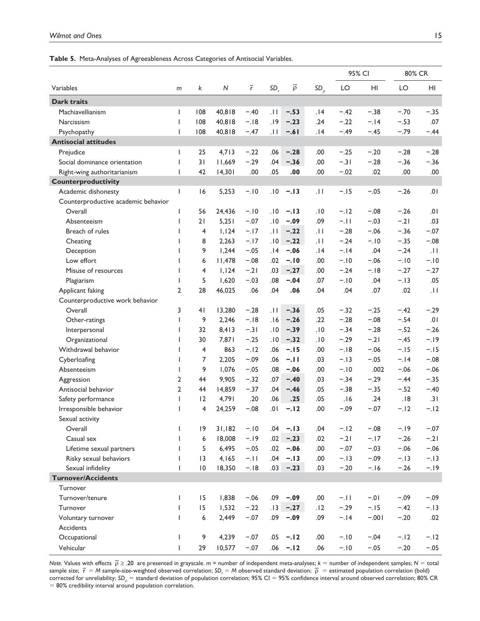#### **Table 5.** Meta-Analyses of Agreeableness Across Categories of Antisocial Variables.

|                                     |                |                 |              |                |                 |                   |                 | 95% CI |         | 80% CR |        |
|-------------------------------------|----------------|-----------------|--------------|----------------|-----------------|-------------------|-----------------|--------|---------|--------|--------|
| Variables                           | m              | k               | $\mathsf{N}$ | $\overline{r}$ | SD <sub>r</sub> | $\overline{\rho}$ | SD <sub>0</sub> | LO     | HI      | LO     | HI     |
| <b>Dark traits</b>                  |                |                 |              |                |                 |                   |                 |        |         |        |        |
| Machiavellianism                    | $\mathsf{I}$   | 108             | 40,818       | $-.40$         | $\overline{11}$ | $-.53$            | 14.             | $-.42$ | $-.38$  | $-.70$ | $-.35$ |
| Narcissism                          | $\mathsf{I}$   | 108             | 40,818       | $-.18$         | .19             | $-.23$            | .24             | $-.22$ | $-.14$  | $-.53$ | .07    |
| Psychopathy                         | $\overline{1}$ | 108             | 40,818       | $-.47$         | $\overline{11}$ | $-.61$            | .14             | $-.49$ | $-.45$  | $-.79$ | $-.44$ |
| <b>Antisocial attitudes</b>         |                |                 |              |                |                 |                   |                 |        |         |        |        |
| Prejudice                           | ı              | 25              | 4,713        | $-.22$         | .06             | $-.28$            | .00             | $-.25$ | $-.20$  | $-.28$ | $-.28$ |
| Social dominance orientation        | $\mathbf{I}$   | 31              | 11,669       | $-.29$         | .04             | $-.36$            | .00             | $-.31$ | $-.28$  | $-.36$ | $-.36$ |
| Right-wing authoritarianism         | ı              | 42              | 14,301       | .00            | .05             | .00               | .00             | $-.02$ | .02     | .00    | .00    |
| Counterproductivity                 |                |                 |              |                |                 |                   |                 |        |         |        |        |
| Academic dishonesty                 | $\mathbf{I}$   | 16              | 5,253        | $-.10$         | .10             | $-.13$            | .11             | $-.15$ | $-.05$  | $-.26$ | .01    |
| Counterproductive academic behavior |                |                 |              |                |                 |                   |                 |        |         |        |        |
| Overall                             | $\mathbf{I}$   | 56              | 24,436       | $-.10$         | .10             | $-.13$            | .10             | $-.12$ | $-.08$  | $-.26$ | .01    |
| Absenteeism                         | $\mathsf{l}$   | 21              | 5,251        | $-.07$         | .10             | $-.09$            | .09             | $-.11$ | $-.03$  | $-.21$ | .03    |
| Breach of rules                     |                | 4               | 1,124        | $-.17$         | . I I           | $-.22$            | .11             | $-.28$ | $-.06$  | $-.36$ | $-.07$ |
| Cheating                            | <b>I</b>       | 8               | 2,263        | $-.17$         | .10             | $-.22$            | .11             | $-.24$ | $-.10$  | $-.35$ | $-.08$ |
| Deception                           | $\mathbf{I}$   | 9               | 1,244        | $-.05$         | 14.             | $-.06$            | 14.             | $-.14$ | .04     | $-.24$ | .11    |
| Low effort                          | $\mathbf{I}$   | 6               | 11,478       | $-.08$         | .02             | $-.10$            | .00             | $-.10$ | $-.06$  | $-.10$ | $-.10$ |
| Misuse of resources                 | $\mathbf{I}$   | 4               | 1,124        | $-.21$         | .03             | $-.27$            | .00             | $-.24$ | $-.18$  | $-.27$ | $-.27$ |
| Plagiarism                          |                | 5               | 1,620        | $-.03$         | .08             | $-.04$            | .07             | $-.10$ | .04     | $-.13$ | .05    |
| Applicant faking                    | $\overline{2}$ | 28              | 46,025       | .06            | .04             | .06               | .04             | .04    | .07     | .02    | .11    |
| Counterproductive work behavior     |                |                 |              |                |                 |                   |                 |        |         |        |        |
| Overall                             | 3              | 41              | 13,280       | $-.28$         | $  \cdot  $     | $-.36$            | .05             | $-.32$ | $-.25$  | $-.42$ | $-.29$ |
| Other-ratings                       | T              | 9               | 2,246        | $-.18$         | .16             | $-.26$            | .22             | $-.28$ | $-.08$  | $-.54$ | .01    |
| Interpersonal                       | ı              | 32              | 8,413        | $-.31$         | .10             | $-.39$            | .10             | $-.34$ | $-.28$  | $-.52$ | $-.26$ |
| Organizational                      |                | 30              | 7,871        | $-.25$         | .10             | $-.32$            | .10             | $-.29$ | $-.21$  | $-.45$ | $-.19$ |
| Withdrawal behavior                 |                | 4               | 863          | $-.12$         | .06             | $-.15$            | .00             | $-.18$ | $-.06$  | $-.15$ | $-.15$ |
| Cyberloafing                        |                | 7               | 2,205        | $-.09$         | .06             | $-.11$            | .03             | $-.13$ | $-.05$  | $-.14$ | $-.08$ |
| Absenteeism                         |                | 9               | 1,076        | $-.05$         | .08             | $-.06$            | .00             | $-.10$ | .002    | $-.06$ | $-.06$ |
| Aggression                          | $\overline{2}$ | 44              | 9,905        | $-.32$         | .07             | $-.40$            | .03             | $-.34$ | $-.29$  | $-.44$ | $-.35$ |
| Antisocial behavior                 | $\overline{2}$ | 44              | 14,859       | $-.37$         | .04             | $-.46$            | .05             | $-.38$ | $-.35$  | $-.52$ | $-.40$ |
| Safety performance                  | L              | 12              | 4,791        | .20            | .06             | .25               | .05             | .16    | .24     | .18    | .31    |
| Irresponsible behavior              |                | 4               | 24,259       | $-.08$         | .01             | $-.12$            | .00             | $-.09$ | $-.07$  | $-.12$ | $-.12$ |
| Sexual activity                     |                |                 |              |                |                 |                   |                 |        |         |        |        |
| Overall                             | T              | $ 9\rangle$     | 31,182       | $-.10$         | .04             | $-.13$            | .04             | $-.12$ | $-.08$  | $-19$  | $-.07$ |
| Casual sex                          | T              | 6               | 18,008       | $-19$          | .02             | $-.23$            | .02             | $-.21$ | $-.17$  | $-.26$ | $-.21$ |
| Lifetime sexual partners            | T              | 5               | 6,495        | $-.05$         | .02             | $-.06$            | .00             | $-.07$ | $-.03$  | $-.06$ | $-.06$ |
| Risky sexual behaviors              | I.             | $\overline{13}$ | 4,165        | $-.11$         | .04             | $-.13$            | .00             | $-.13$ | $-.09$  | $-.13$ | $-.13$ |
| Sexual infidelity                   | ı              | $\overline{10}$ | 18,350       | $-.18$         | .03             | $-.23$            | .03             | $-.20$ | $-.16$  | $-.26$ | $-.19$ |
| <b>Turnover/Accidents</b>           |                |                 |              |                |                 |                   |                 |        |         |        |        |
| Turnover                            |                |                 |              |                |                 |                   |                 |        |         |        |        |
| Turnover/tenure                     | T              | 15              | 1,838        | $-.06$         | .09             | $-.09$            | .00             | $-.11$ | $-0.1$  | $-.09$ | $-.09$ |
| Turnover                            | $\mathbf{I}$   | 15              | 1,532        | $-.22$         | .13             | $-.27$            | .12             | $-.29$ | $-.15$  | $-.42$ | $-.13$ |
| Voluntary turnover                  | $\mathbf{I}$   | 6               | 2,449        | $-.07$         | .09             | $-.09$            | .09             | $-.14$ | $-.001$ | $-.20$ | .02    |
| Accidents                           |                |                 |              |                |                 |                   |                 |        |         |        |        |
| Occupational                        | $\mathbf{I}$   | 9               | 4,239        | $-.07$         | .05             | $-.12$            | .00             | $-.10$ | $-.04$  | $-.12$ | $-.12$ |
| Vehicular                           | $\mathsf{I}$   | 29              | 10,577       | $-.07$         | .06             | $-.12$            | .06             | $-.10$ | $-.05$  | $-.20$ | $-.05$ |

*Note.* Values with effects  $\bar{p} \ge 0.20$  are presented in grayscale. *m* = number of independent meta-analyses; *k* = number of independent samples; *N* = total sample size;  $\bar{r} = M$  sample-size-weighted observed correlation;  $SD_r = M$  observed standard deviation;  $\bar{p}$  = estimated population correlation (bold) corrected for unreliability; SD<sub>p</sub> = standard deviation of population correlation; 95% CI = 95% confidence interval around observed correlation; 80% CR  $= 80\%$  credibility interval around population correlation.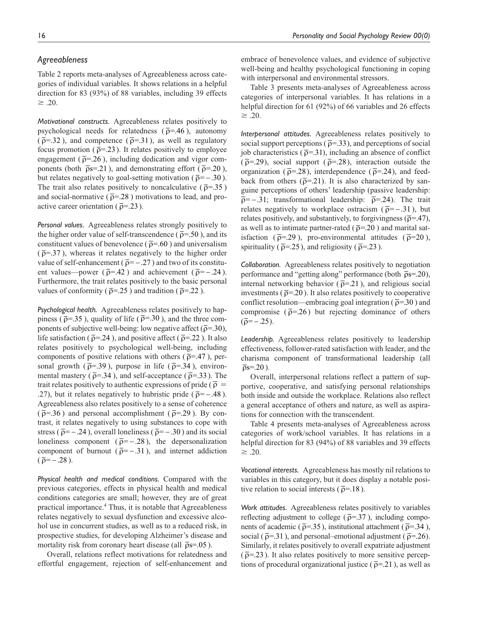# *Agreeableness*

Table 2 reports meta-analyses of Agreeableness across categories of individual variables. It shows relations in a helpful direction for 83 (93%) of 88 variables, including 39 effects  $\geq$  .20.

*Motivational constructs.* Agreeableness relates positively to psychological needs for relatedness ( $\bar{\rho}$ =.46), autonomy  $(\bar{\rho} = .32)$ , and competence  $(\bar{\rho} = .31)$ , as well as regulatory focus promotion ( $\bar{\rho}$ =.23). It relates positively to employee engagement ( $\bar{\rho}$ =.26), including dedication and vigor components (both  $\bar{\rho}$ s=.21), and demonstrating effort ( $\bar{\rho}$ =.20), but relates negatively to goal-setting motivation ( $\bar{p}$ = –.30). The trait also relates positively to noncalculative ( $\bar{\rho}$ =.35) and social-normative ( $\bar{\rho}$ =.28) motivations to lead, and proactive career orientation ( $\bar{\rho}$ =.23).

*Personal values.* Agreeableness relates strongly positively to the higher order value of self-transcendence ( $\bar{\rho}$ =.50), and its constituent values of benevolence ( $\bar{\rho}$ =.60) and universalism  $(\bar{\rho} = 37)$ , whereas it relates negatively to the higher order value of self-enhancement ( $\bar{p} = -.27$ ) and two of its constituent values—power ( $\bar{\rho}$ =.42) and achievement ( $\bar{\rho}$ =-.24). Furthermore, the trait relates positively to the basic personal values of conformity ( $\bar{\rho}$ =.25) and tradition ( $\bar{\rho}$ =.22).

*Psychological health.* Agreeableness relates positively to happiness ( $\bar{\rho}$ =.35), quality of life ( $\bar{\rho}$ =.30), and the three components of subjective well-being: low negative affect ( $\bar{\rho}$ =.30), life satisfaction ( $\bar{\rho}$ =.24), and positive affect ( $\bar{\rho}$ =.22). It also relates positively to psychological well-being, including components of positive relations with others ( $\bar{\rho}$ =.47), personal growth ( $\bar{\rho}$ =.39), purpose in life ( $\bar{\rho}$ =.34), environmental mastery ( $\bar{\rho}$ =.34), and self-acceptance ( $\bar{\rho}$ =.33). The trait relates positively to authentic expressions of pride ( $\overline{\rho}$  = .27), but it relates negatively to hubristic pride ( $\bar{p}$ = -.48). Agreeableness also relates positively to a sense of coherence  $(\bar{\rho} = .36)$  and personal accomplishment ( $\bar{\rho} = .29$ ). By contrast, it relates negatively to using substances to cope with stress ( $\bar{p}$ = -.24), overall loneliness ( $\bar{p}$ = -.30) and its social loneliness component ( $\bar{p}$ = -.28), the depersonalization component of burnout ( $\bar{p}$ = -.31), and internet addiction  $(\bar{\rho} = -.28)$ .

*Physical health and medical conditions.* Compared with the previous categories, effects in physical health and medical conditions categories are small; however, they are of great practical importance.<sup>4</sup> Thus, it is notable that Agreeableness relates negatively to sexual dysfunction and excessive alcohol use in concurrent studies, as well as to a reduced risk, in prospective studies, for developing Alzheimer's disease and mortality risk from coronary heart disease (all  $\bar{p}s$ =.05).

Overall, relations reflect motivations for relatedness and effortful engagement, rejection of self-enhancement and embrace of benevolence values, and evidence of subjective well-being and healthy psychological functioning in coping with interpersonal and environmental stressors.

Table 3 presents meta-analyses of Agreeableness across categories of interpersonal variables. It has relations in a helpful direction for 61 (92%) of 66 variables and 26 effects  $\geq$  .20.

*Interpersonal attitudes.* Agreeableness relates positively to social support perceptions ( $\bar{\rho}$ =.33), and perceptions of social job characteristics ( $\bar{\rho}$ =.31), including an absence of conflict  $(\bar{\rho} = .29)$ , social support  $(\bar{\rho} = .28)$ , interaction outside the organization ( $\bar{\rho}$ =.28), interdependence ( $\bar{\rho}$ =.24), and feedback from others ( $\bar{\rho}$ =.21). It is also characterized by sanguine perceptions of others' leadership (passive leadership:  $\bar{p}$ = -.31; transformational leadership:  $\bar{p}$ =.24). The trait relates negatively to workplace ostracism ( $\bar{p}$ = -.31), but relates positively, and substantively, to forgivingness ( $\bar{\rho}$ =.47), as well as to intimate partner-rated ( $\bar{\rho}$ =.20) and marital satisfaction ( $\bar{\rho}$ =.29), pro-environmental attitudes ( $\bar{\rho}$ =20), spirituality ( $\bar{\rho}$ =.25), and religiosity ( $\bar{\rho}$ =.23).

*Collaboration.* Agreeableness relates positively to negotiation performance and "getting along" performance (both  $\bar{\rho}$ s=.20), internal networking behavior ( $\bar{p}$ =.21), and religious social investments ( $\bar{\rho}$ =.20). It also relates positively to cooperative conflict resolution—embracing goal integration ( $\bar{\rho}$ =.30) and compromise ( $\bar{\rho}$ =.26) but rejecting dominance of others  $(\bar{\rho} = -.25)$ .

*Leadership.* Agreeableness relates positively to leadership effectiveness, follower-rated satisfaction with leader, and the charisma component of transformational leadership (all  $\overline{\rho}$ s=.20).

Overall, interpersonal relations reflect a pattern of supportive, cooperative, and satisfying personal relationships both inside and outside the workplace. Relations also reflect a general acceptance of others and nature, as well as aspirations for connection with the transcendent.

Table 4 presents meta-analyses of Agreeableness across categories of work/school variables. It has relations in a helpful direction for 83 (94%) of 88 variables and 39 effects  $\geq$  .20.

*Vocational interests.* Agreeableness has mostly nil relations to variables in this category, but it does display a notable positive relation to social interests ( $\bar{\rho}$ =.18).

*Work attitudes.* Agreeableness relates positively to variables reflecting adjustment to college ( $\bar{\rho}$ =.37), including components of academic ( $\bar{\rho}$ =.35), institutional attachment ( $\bar{\rho}$ =.34), social ( $\bar{\rho}$ =.31), and personal–emotional adjustment ( $\bar{\rho}$ =.26). Similarly, it relates positively to overall expatriate adjustment  $(\bar{\rho} = 23)$ . It also relates positively to more sensitive perceptions of procedural organizational justice ( $\bar{\rho}$ =.21), as well as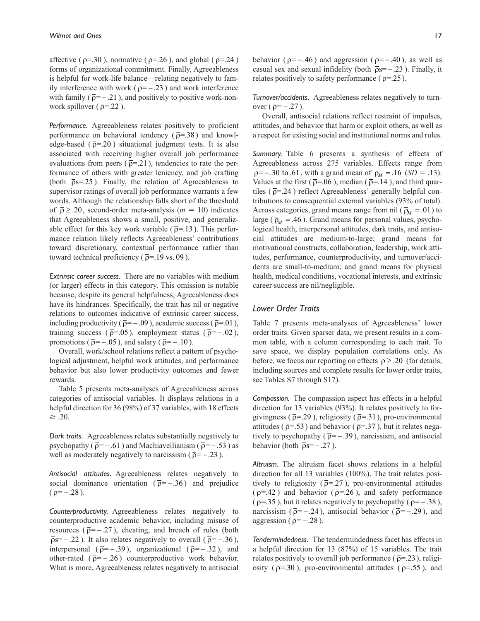affective ( $\bar{\rho}$ =.30), normative ( $\bar{\rho}$ =.26), and global ( $\bar{\rho}$ =.24) forms of organizational commitment. Finally, Agreeableness is helpful for work-life balance—relating negatively to family interference with work ( $\bar{p}$ = −.23) and work interference with family ( $\bar{\rho}$ = -.21), and positively to positive work-nonwork spillover ( $\bar{\rho}$ =.22).

*Performance.* Agreeableness relates positively to proficient performance on behavioral tendency ( $\bar{\rho}$ =.38) and knowledge-based ( $\bar{\rho}$ =.20) situational judgment tests. It is also associated with receiving higher overall job performance evaluations from peers ( $\bar{\rho}$ =.21), tendencies to rate the performance of others with greater leniency, and job crafting (both  $\bar{\rho}s$ =.25). Finally, the relation of Agreeableness to supervisor ratings of overall job performance warrants a few words. Although the relationship falls short of the threshold of  $\bar{\rho} \ge 0.20$ , second-order meta-analysis ( $m = 10$ ) indicates that Agreeableness shows a small, positive, and generalizable effect for this key work variable ( $\bar{\rho}$ =.13). This performance relation likely reflects Agreeableness' contributions toward discretionary, contextual performance rather than toward technical proficiency ( $\bar{\rho}$ =.19 vs. 09).

*Extrinsic career success.* There are no variables with medium (or larger) effects in this category. This omission is notable because, despite its general helpfulness, Agreeableness does have its hindrances. Specifically, the trait has nil or negative relations to outcomes indicative of extrinsic career success, including productivity ( $\bar{\rho}$ = -.09), academic success ( $\bar{\rho}$ =.01), training success ( $\bar{\rho}$ =.05), employment status ( $\bar{\rho}$ =-.02), promotions ( $\bar{p}$ = −.05), and salary ( $\bar{p}$ = −.10).

Overall, work/school relations reflect a pattern of psychological adjustment, helpful work attitudes, and performance behavior but also lower productivity outcomes and fewer rewards.

Table 5 presents meta-analyses of Agreeableness across categories of antisocial variables. It displays relations in a helpful direction for 36 (98%) of 37 variables, with 18 effects  $\geq$  .20.

*Dark traits.* Agreeableness relates substantially negatively to psychopathy ( $\bar{p}$ = −.61) and Machiavellianism ( $\bar{p}$ = −.53) as well as moderately negatively to narcissism ( $\bar{p}$ = –.23).

*Antisocial attitudes.* Agreeableness relates negatively to social dominance orientation ( $\bar{p}$ = −.36) and prejudice  $(\bar{\rho} = -.28)$ .

*Counterproductivity.* Agreeableness relates negatively to counterproductive academic behavior, including misuse of resources ( $\bar{p}$ = −.27), cheating, and breach of rules (both  $\bar{\rho}$ s= −.22). It also relates negatively to overall ( $\bar{\rho}$ = −.36), interpersonal ( $\bar{\rho}$ = −.39), organizational ( $\bar{\rho}$ = −.32), and other-rated ( $\bar{p}$ = −.26) counterproductive work behavior. What is more, Agreeableness relates negatively to antisocial

*Turnover/accidents.* Agreeableness relates negatively to turnover  $(\bar{\rho} = -.27)$ .

Overall, antisocial relations reflect restraint of impulses, attitudes, and behavior that harm or exploit others, as well as a respect for existing social and institutional norms and rules.

*Summary.* Table 6 presents a synthesis of effects of Agreeableness across 275 variables. Effects range from  $\overline{p}$ = -.30 to .61, with a grand mean of  $\overline{p}_M$  = .16 (*SD* = .13). Values at the first ( $\bar{\rho}$ =.06), median ( $\bar{\rho}$ =.14), and third quartiles ( $\bar{\rho}$ =.24) reflect Agreeableness' generally helpful contributions to consequential external variables (93% of total). Across categories, grand means range from nil ( $\bar{p}_M = .01$ ) to large ( $\bar{p}_M$  = .46). Grand means for personal values, psychological health, interpersonal attitudes, dark traits, and antisocial attitudes are medium-to-large; grand means for motivational constructs, collaboration, leadership, work attitudes, performance, counterproductivity, and turnover/accidents are small-to-medium; and grand means for physical health, medical conditions, vocational interests, and extrinsic career success are nil/negligible.

### *Lower Order Traits*

Table 7 presents meta-analyses of Agreeableness' lower order traits. Given sparser data, we present results in a common table, with a column corresponding to each trait. To save space, we display population correlations only. As before, we focus our reporting on effects  $\bar{\rho} \ge .20$  (for details, including sources and complete results for lower order traits, see Tables S7 through S17).

*Compassion.* The compassion aspect has effects in a helpful direction for 13 variables (93%). It relates positively to forgivingness ( $\bar{\rho}$ =.29), religiosity ( $\bar{\rho}$ =.31), pro-environmental attitudes ( $\bar{\rho}$ =.53) and behavior ( $\bar{\rho}$ =.37), but it relates negatively to psychopathy ( $\bar{p}$ = -.39), narcissism, and antisocial behavior (both  $\bar{p}s = -.27$ ).

*Altruism.* The altruism facet shows relations in a helpful direction for all 13 variables (100%). The trait relates positively to religiosity ( $\bar{\rho}$ =.27), pro-environmental attitudes  $(\bar{\rho} = .42)$  and behavior  $(\bar{\rho} = .26)$ , and safety performance ( $\bar{\rho}$ =.35), but it relates negatively to psychopathy ( $\bar{\rho}$ = -.38), narcissism ( $\bar{p}$ = -.24), antisocial behavior ( $\bar{p}$ = -.29), and aggression ( $\bar{p}$ = -.28).

*Tendermindedness.* The tendermindedness facet has effects in a helpful direction for 13 (87%) of 15 variables. The trait relates positively to overall job performance ( $\bar{\rho}$ =.23), religiosity ( $\bar{\rho}$ =.30), pro-environmental attitudes ( $\bar{\rho}$ =.55), and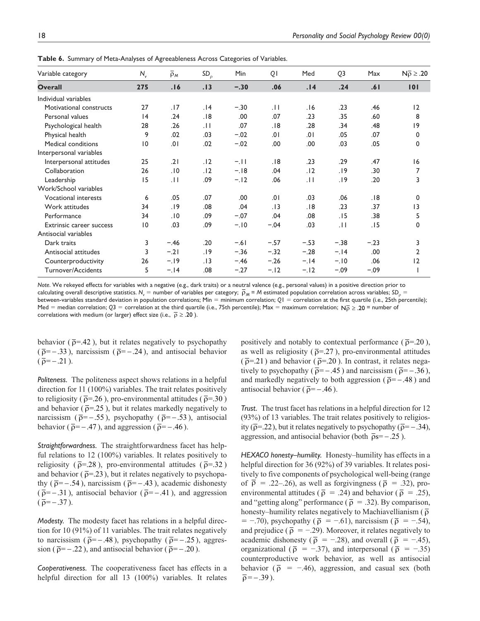| Variable category           | $N_{\rm v}$     | $\overline{\rho}_M$ | $SD_{\rho}$ | Min    | QI              | Med    | Q <sub>3</sub> | Max    | $N\overline{p} \ge .20$ |
|-----------------------------|-----------------|---------------------|-------------|--------|-----------------|--------|----------------|--------|-------------------------|
| <b>Overall</b>              | 275             | .16                 | .13         | $-.30$ | .06             | .14    | .24            | .61    | 101                     |
| Individual variables        |                 |                     |             |        |                 |        |                |        |                         |
| Motivational constructs     | 27              | .17                 | .14         | $-.30$ | $\overline{11}$ | 6 .    | .23            | .46    | 12                      |
| Personal values             | 4               | .24                 | .18         | .00    | .07             | .23    | .35            | .60    | 8                       |
| Psychological health        | 28              | .26                 | $  \cdot  $ | .07    | .18             | .28    | .34            | .48    | 9                       |
| Physical health             | 9               | .02                 | .03         | $-.02$ | .01             | .01    | .05            | .07    | 0                       |
| Medical conditions          | $\overline{10}$ | .01                 | .02         | $-.02$ | .00             | .00    | .03            | .05    | 0                       |
| Interpersonal variables     |                 |                     |             |        |                 |        |                |        |                         |
| Interpersonal attitudes     | 25              | .21                 | .12         | $-.11$ | .18             | .23    | .29            | .47    | 16                      |
| Collaboration               | 26              | .10                 | .12         | $-.18$ | .04             | .12    | .19            | .30    | 7                       |
| Leadership                  | 15              | $\overline{11}$     | .09         | $-.12$ | .06             | .11    | .19            | .20    | 3                       |
| Work/School variables       |                 |                     |             |        |                 |        |                |        |                         |
| <b>Vocational interests</b> | 6               | .05                 | .07         | .00    | .01             | .03    | .06            | .18    | 0                       |
| Work attitudes              | 34              | .19                 | .08         | .04    | .13             | .18    | .23            | .37    | 3                       |
| Performance                 | 34              | .10                 | .09         | $-.07$ | .04             | .08    | .15            | .38    | 5                       |
| Extrinsic career success    | 10              | .03                 | .09         | $-.10$ | $-.04$          | .03    | $ 11\rangle$   | .15    | 0                       |
| Antisocial variables        |                 |                     |             |        |                 |        |                |        |                         |
| Dark traits                 | 3               | $-.46$              | .20         | $-.61$ | $-.57$          | $-.53$ | $-.38$         | $-.23$ | 3                       |
| Antisocial attitudes        | 3               | $-.21$              | .19         | $-.36$ | $-.32$          | $-.28$ | $-.14$         | .00    | $\overline{2}$          |
| Counterproductivity         | 26              | $-.19$              | .13         | $-.46$ | $-.26$          | $-.14$ | $-.10$         | .06    | 12                      |
| Turnover/Accidents          | 5               | $-.14$              | .08         | $-.27$ | $-.12$          | $-.12$ | $-.09$         | $-.09$ |                         |

**Table 6.** Summary of Meta-Analyses of Agreeableness Across Categories of Variables.

*Note*. We rekeyed effects for variables with a negative (e.g., dark traits) or a neutral valence (e.g., personal values) in a positive direction prior to calculating overall descriptive statistics. N<sub>*v*</sub> = number of variables per category;  $\bar{\rho}_M$  = M estimated population correlation across variables; SD<sub>ρ</sub> = between-variables standard deviation in population correlations; Min = minimum correlation; QI = correlation at the first quartile (i.e., 25th percentile); Med = median correlation;  $Q3$  = correlation at the third quartile (i.e., 75th percentile); Max = maximum correlation;  $N_{\text{D}} > 20$  = number of correlations with medium (or larger) effect size (i.e.,  $\bar{\rho} \ge .20$ ).

behavior ( $\bar{\rho}$ =.42), but it relates negatively to psychopathy  $(\bar{\rho} = -.33)$ , narcissism ( $\bar{\rho} = -.24$ ), and antisocial behavior  $(\bar{\rho} = -.21)$ .

*Politeness.* The politeness aspect shows relations in a helpful direction for 11 (100%) variables. The trait relates positively to religiosity ( $\bar{\rho}$ =.26), pro-environmental attitudes ( $\bar{\rho}$ =.30) and behavior ( $\bar{\rho}$ =.25), but it relates markedly negatively to narcissism ( $\bar{p}$ = -.55), psychopathy ( $\bar{p}$ = -.53), antisocial behavior ( $\bar{p}$ = -.47), and aggression ( $\bar{p}$ = -.46).

*Straightforwardness.* The straightforwardness facet has helpful relations to 12 (100%) variables. It relates positively to religiosity ( $\bar{\rho}$ =.28), pro-environmental attitudes ( $\bar{\rho}$ =.32) and behavior ( $\bar{\rho}$ =.23), but it relates negatively to psychopathy ( $\bar{p}$ = -.54), narcissism ( $\bar{p}$ = -.43), academic dishonesty  $(\bar{\rho} = -.31)$ , antisocial behavior ( $\bar{\rho} = -.41$ ), and aggression  $(\bar{\rho} = -.37)$ .

*Modesty.* The modesty facet has relations in a helpful direction for 10 (91%) of 11 variables. The trait relates negatively to narcissism ( $\bar{\rho}$ = -.48), psychopathy ( $\bar{\rho}$ = -.25), aggression ( $\bar{p}$ = -.22), and antisocial behavior ( $\bar{p}$ = -.20).

*Cooperativeness.* The cooperativeness facet has effects in a helpful direction for all 13 (100%) variables. It relates positively and notably to contextual performance ( $\bar{\rho}$ =.20), as well as religiosity ( $\bar{\rho}$ =.27), pro-environmental attitudes  $(\bar{\rho} = 21)$  and behavior ( $\bar{\rho} = 20$ ). In contrast, it relates negatively to psychopathy ( $\bar{p}$ = −.45) and narcissism ( $\bar{p}$ = −.36), and markedly negatively to both aggression ( $\bar{p}$ = −.48) and antisocial behavior ( $\bar{p}$ = −.46).

*Trust.* The trust facet has relations in a helpful direction for 12 (93%) of 13 variables. The trait relates positively to religiosity ( $\bar{\rho}$ =.22), but it relates negatively to psychopathy ( $\bar{\rho}$ = -.34), aggression, and antisocial behavior (both  $\bar{p}s = -.25$ ).

*HEXACO honesty–humility.* Honesty–humility has effects in a helpful direction for 36 (92%) of 39 variables. It relates positively to five components of psychological well-being (range of  $\overline{p}$  = .22–.26), as well as forgivingness ( $\overline{p}$  = .32), proenvironmental attitudes ( $\bar{\rho}$  = .24) and behavior ( $\bar{\rho}$  = .25), and "getting along" performance ( $\bar{\rho}$  = .32). By comparison, honesty–humility relates negatively to Machiavellianism ( $\overline{\rho}$  $=$  -.70), psychopathy ( $\bar{\rho}$  = -.61), narcissism ( $\bar{\rho}$  = -.54), and prejudice ( $\bar{\rho} = -.29$ ). Moreover, it relates negatively to academic dishonesty ( $\bar{\rho}$  = -.28), and overall ( $\bar{\rho}$  = -.45), organizational ( $\bar{\rho}$  = −.37), and interpersonal ( $\bar{\rho}$  = −.35) counterproductive work behavior, as well as antisocial behavior ( $\bar{\rho}$  = -.46), aggression, and casual sex (both  $\bar{\rho}$  = -.39).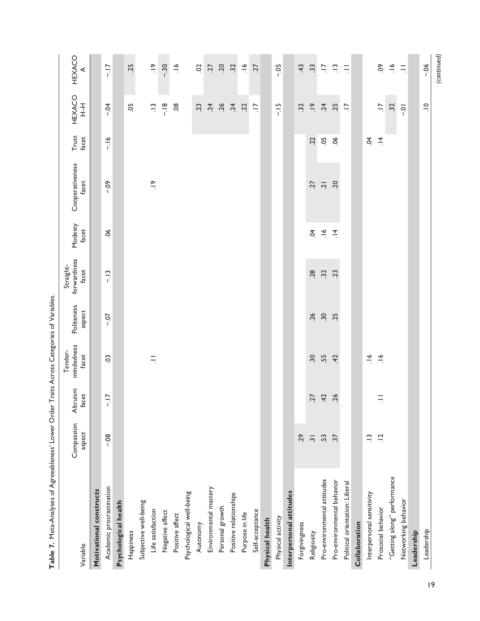| DISTURBANCE IN THE PROPERTY OF A PAYSTER AND INTERNATIONAL PROPERTY OF A PAYSTER AND INTERNATIONAL CONTINUES. |                          |                   | <b>Internet Display Cool Cool Cool Internet</b> |                      |                                   |                  |                          |                |                          |                |
|---------------------------------------------------------------------------------------------------------------|--------------------------|-------------------|-------------------------------------------------|----------------------|-----------------------------------|------------------|--------------------------|----------------|--------------------------|----------------|
| Variable                                                                                                      | Compassion<br>aspect     | Altruism<br>facet | mindedness<br>Tender-<br>facet                  | Politeness<br>aspect | forwardness<br>Straight-<br>facet | Modesty<br>facet | Cooperativeness<br>facet | Trust<br>facet | HEXACO<br>$rac{1}{1}$    | HEXACO<br>⋖    |
| Motivational constructs                                                                                       |                          |                   |                                                 |                      |                                   |                  |                          |                |                          |                |
| Academic procrastination                                                                                      | $-08$                    | $-17$             | SO                                              | $-0.7$               | $-13$                             | $\frac{8}{1}$    | $-0.09$                  | $-16$          | $-5$                     | $-17$          |
| Psychological health                                                                                          |                          |                   |                                                 |                      |                                   |                  |                          |                |                          |                |
| Happiness                                                                                                     |                          |                   |                                                 |                      |                                   |                  |                          |                | 50                       | .25            |
| Subjective well-being                                                                                         |                          |                   |                                                 |                      |                                   |                  |                          |                |                          |                |
| Life satisfaction                                                                                             |                          |                   | $\equiv$                                        |                      |                                   |                  | $\frac{\infty}{\cdot}$   |                | $\frac{1}{2}$            | $\frac{6}{1}$  |
| Negative affect                                                                                               |                          |                   |                                                 |                      |                                   |                  |                          |                | $-18$                    | $-0.30$        |
| Positive affect                                                                                               |                          |                   |                                                 |                      |                                   |                  |                          |                | 08                       | $\frac{6}{1}$  |
| Psychological well-being                                                                                      |                          |                   |                                                 |                      |                                   |                  |                          |                |                          |                |
| Autonomy                                                                                                      |                          |                   |                                                 |                      |                                   |                  |                          |                | 23                       | S              |
| Environmental mastery                                                                                         |                          |                   |                                                 |                      |                                   |                  |                          |                | .24                      | <b>Z7</b>      |
| Personal growth                                                                                               |                          |                   |                                                 |                      |                                   |                  |                          |                | .26                      | 20             |
| Positive relationships                                                                                        |                          |                   |                                                 |                      |                                   |                  |                          |                | .24                      | 32             |
| Purpose in life                                                                                               |                          |                   |                                                 |                      |                                   |                  |                          |                | $\ddot{5}$               | $\tilde{\xi}$  |
| Self-acceptance                                                                                               |                          |                   |                                                 |                      |                                   |                  |                          |                | $\ddot{=}$               | <b>ZZ</b>      |
| Physical health                                                                                               |                          |                   |                                                 |                      |                                   |                  |                          |                |                          |                |
| Physical activity                                                                                             |                          |                   |                                                 |                      |                                   |                  |                          |                | $-15$                    | $-0.5$         |
| Interpersonal attitudes                                                                                       |                          |                   |                                                 |                      |                                   |                  |                          |                |                          |                |
| Forgivingness                                                                                                 | 29                       |                   |                                                 |                      |                                   |                  |                          |                | 32                       | $\ddot{+}$     |
| Religiosity                                                                                                   | $\overline{\mathcal{S}}$ | <b>Z7</b>         | $\ddot{.}$                                      | 26                   | 28                                | S.               | 77                       | 22             | $\frac{1}{2}$            | $\ddot{3}$     |
| Pro-environmental attitudes                                                                                   | 53                       | 42                | 55                                              | $\ddot{.}$           | 32                                | $\frac{6}{1}$    | $\overline{2}$           | 05             | .24                      | $\overline{a}$ |
| Pro-environmental behavior                                                                                    | $\overline{37}$          | .26               | 42                                              | .25                  | 23                                | $\vec{=}$        | 20                       | $\infty$       | .25                      | $\frac{1}{2}$  |
| Political orientation: Liberal                                                                                |                          |                   |                                                 |                      |                                   |                  |                          |                | $\equiv$                 | $\equiv$       |
| Collaboration                                                                                                 |                          |                   |                                                 |                      |                                   |                  |                          |                |                          |                |
| Interpersonal sensitivity                                                                                     | $\tilde{\Xi}$            |                   | $\frac{9}{1}$                                   |                      |                                   |                  |                          | Ś.             |                          |                |
| Prosocial behavior                                                                                            | $\frac{1}{2}$            | $\equiv$          | $\frac{6}{1}$                                   |                      |                                   |                  |                          | $\overline{4}$ | $\overline{\phantom{a}}$ | $\mathcal{S}$  |
| "Getting along" performance                                                                                   |                          |                   |                                                 |                      |                                   |                  |                          |                | 32                       | $\frac{8}{1}$  |
| Networking behavior                                                                                           |                          |                   |                                                 |                      |                                   |                  |                          |                | $\overline{Q}$           | $\equiv$       |
| Leadership                                                                                                    |                          |                   |                                                 |                      |                                   |                  |                          |                |                          |                |
| Leadership                                                                                                    |                          |                   |                                                 |                      |                                   |                  |                          |                | $\frac{1}{2}$            | $-06$          |
|                                                                                                               |                          |                   |                                                 |                      |                                   |                  |                          |                |                          | (continued)    |

Table 7. Meta-Analyses of Agreeableness' Lower Order Traits Across Categories of Variables. **Table 7.** Meta-Analyses of Agreeableness' Lower Order Traits Across Categories of Variables.

19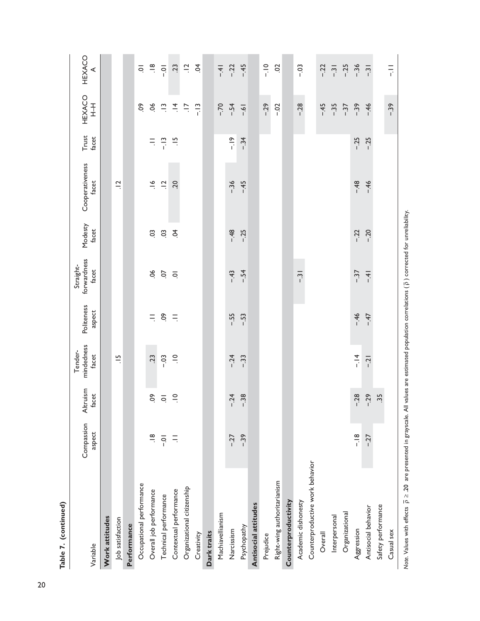| Table 7. (continued)            |                      |                    |                                |                      |                                   |                  |                          |                |                       |                        |
|---------------------------------|----------------------|--------------------|--------------------------------|----------------------|-----------------------------------|------------------|--------------------------|----------------|-----------------------|------------------------|
| Variable                        | Compassion<br>aspect | Altruism<br>facet  | mindedness<br>Tender-<br>facet | Politeness<br>aspect | forwardness<br>Straight-<br>facet | Modesty<br>facet | Cooperativeness<br>facet | Trust<br>facet | HEXACO<br>$rac{1}{1}$ | HEXACO<br>⋖            |
| Work attitudes                  |                      |                    |                                |                      |                                   |                  |                          |                |                       |                        |
| Job satisfaction                |                      |                    | $\frac{5}{1}$                  |                      |                                   |                  | $\frac{1}{2}$            |                |                       |                        |
| Performance                     |                      |                    |                                |                      |                                   |                  |                          |                |                       |                        |
| Occupational performance        |                      |                    |                                |                      |                                   |                  |                          |                | S.                    | $\overline{\circ}$     |
| Overall job performance         | $\frac{8}{1}$        | So                 | .23                            | $\equiv$             | $\frac{8}{1}$                     | S.               | $\frac{8}{1}$            | $\equiv$       | $\infty$              | $\frac{\infty}{\cdot}$ |
| Technical performance           | $\overline{O}$ .     | $\overline{\circ}$ | $-03$                          | δò                   | CO.                               | C <sub>3</sub>   | $\overline{a}$           | $-13$          | $\tilde{=}$           | $\overline{Q}$         |
| Contextual performance          | $\equiv$             | $\supseteq$        | $\frac{1}{2}$                  | $\equiv$             | $\overline{Q}$                    | $\tilde{S}$      | 20                       | $\frac{15}{1}$ | $\vec{=}$             | 23                     |
| Organizational citizenship      |                      |                    |                                |                      |                                   |                  |                          |                | $\overline{a}$        | $\ddot{a}$             |
| Creativity                      |                      |                    |                                |                      |                                   |                  |                          |                | $-13$                 | $\tilde{q}$            |
| Dark traits                     |                      |                    |                                |                      |                                   |                  |                          |                |                       |                        |
| Machiavellianism                |                      |                    |                                |                      |                                   |                  |                          |                | $-70$                 | $-41$                  |
| Narcissism                      | $-27$                | $-24$              | $-24$                          | $-55$                | $-43$                             | $-48$            | $-36$                    | $\frac{9}{1}$  | $-54$                 | $-22$                  |
| Psychopathy                     | $-39$                | $-38$              | $-33$                          | $-53$                | $-54$                             | $-25$            | $-45$                    | $-34$          | $-6 -$                | $-45$                  |
| Antisocial attitudes            |                      |                    |                                |                      |                                   |                  |                          |                |                       |                        |
| Prejudice                       |                      |                    |                                |                      |                                   |                  |                          |                | $-29$                 | $-10$                  |
| Right-wing authoritarianism     |                      |                    |                                |                      |                                   |                  |                          |                | $-0.2$                | $\overline{c}$         |
| Counterproductivity             |                      |                    |                                |                      |                                   |                  |                          |                |                       |                        |
| Academic dishonesty             |                      |                    |                                |                      | $-31$                             |                  |                          |                | $-0.28$               | $-03$                  |
| Counterproductive work behavior |                      |                    |                                |                      |                                   |                  |                          |                |                       |                        |
| Overall                         |                      |                    |                                |                      |                                   |                  |                          |                | $-45$                 | $-22$                  |
| Interpersonal                   |                      |                    |                                |                      |                                   |                  |                          |                | $-0.35$               | $-31$                  |
| Organizational                  |                      |                    |                                |                      |                                   |                  |                          |                | $-37$                 | $-25$                  |
| Aggression                      | $\frac{8}{1}$        | $-28$              | $\frac{4}{1}$                  | $-46$                | $-37$                             | $-22$            | $-48$                    | $-25$          | $-39$                 | $-36$                  |
| Antisocial behavior             | $-27$                | $-29$              | $-21$                          | $-47$                | $-4$                              | $-20$            | $-46$                    | $-25$          | $-46$                 | $-31$                  |
| Safety performance              |                      | 35                 |                                |                      |                                   |                  |                          |                |                       |                        |
| Casual sex                      |                      |                    |                                |                      |                                   |                  |                          |                | $-39$                 | $\frac{1}{1}$          |
|                                 |                      |                    |                                |                      |                                   |                  |                          |                |                       |                        |

Note. Values with effects  $\bar{\rho} \geq 20$  are presented in grayscale. All values are estimated population correlations ( $\bar{\rho}$ ) corrected for unreliability. *Note.* Values with effects ρ ≥ .20 are presented in grayscale. All values are estimated population correlations ( ρ ) corrected for unreliability.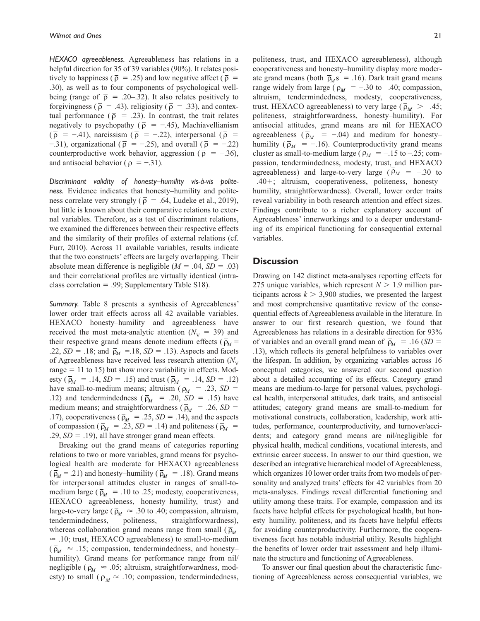*HEXACO agreeableness.* Agreeableness has relations in a helpful direction for 35 of 39 variables (90%). It relates positively to happiness ( $\bar{\rho}$  = .25) and low negative affect ( $\bar{\rho}$  = .30), as well as to four components of psychological wellbeing (range of  $\bar{\rho}$  = .20–.32). It also relates positively to forgivingness ( $\bar{\rho}$  = .43), religiosity ( $\bar{\rho}$  = .33), and contextual performance ( $\bar{\rho}$  = .23). In contrast, the trait relates negatively to psychopathy ( $\bar{\rho}$  = -.45), Machiavellianism  $(\bar{\rho} = -.41)$ , narcissism  $(\bar{\rho} = -.22)$ , interpersonal  $(\bar{\rho} =$  $-0.31$ ), organizational ( $\bar{\rho}$  = -0.25), and overall ( $\bar{\rho}$  = -0.22) counterproductive work behavior, aggression ( $\bar{p} = -.36$ ), and antisocial behavior ( $\bar{\rho} = -.31$ ).

*Discriminant validity of honesty–humility vis-à-vis politeness.* Evidence indicates that honesty–humility and politeness correlate very strongly ( $\bar{\rho}$  = .64, Ludeke et al., 2019), but little is known about their comparative relations to external variables. Therefore, as a test of discriminant relations, we examined the differences between their respective effects and the similarity of their profiles of external relations (cf. Furr, 2010). Across 11 available variables, results indicate that the two constructs' effects are largely overlapping. Their absolute mean difference is negligible  $(M = .04, SD = .03)$ and their correlational profiles are virtually identical (intraclass correlation = .99; Supplementary Table S18).

*Summary.* Table 8 presents a synthesis of Agreeableness' lower order trait effects across all 42 available variables. HEXACO honesty–humility and agreeableness have received the most meta-analytic attention  $(N_V = 39)$  and their respective grand means denote medium effects ( $\bar{p}_M$  = .22,  $SD = .18$ ; and  $\bar{p}_M = .18$ ,  $SD = .13$ ). Aspects and facets of Agreeableness have received less research attention  $(N_{\rm V}$ range  $= 11$  to 15) but show more variability in effects. Modesty ( $\bar{p}_M = .14$ , *SD* = .15) and trust ( $\bar{p}_M = .14$ , *SD* = .12) have small-to-medium means; altruism ( $\bar{p}_M$  = .23, *SD* = .12) and tendermindedness ( $\bar{p}_M$  = .20, *SD* = .15) have medium means; and straightforwardness ( $\bar{p}_M$  = .26, *SD* = .17), cooperativeness ( $\bar{p}_M = .25$ , *SD* = .14), and the aspects of compassion ( $\bar{p}_M$  = .23, *SD* = .14) and politeness ( $\bar{p}_M$  = .29, *SD* = .19), all have stronger grand mean effects.

Breaking out the grand means of categories reporting relations to two or more variables, grand means for psychological health are moderate for HEXACO agreeableness  $(\bar{\rho}_M = .21)$  and honesty–humility ( $\bar{\rho}_M = .18$ ). Grand means for interpersonal attitudes cluster in ranges of small-tomedium large ( $\bar{p}_M$  = .10 to .25; modesty, cooperativeness, HEXACO agreeableness, honesty–humility, trust) and large-to-very large ( $\bar{p}_M \approx .30$  to .40; compassion, altruism, tendermindedness, politeness, straightforwardness), whereas collaboration grand means range from small ( $\bar{p}_M$ ) ≈ .10; trust, HEXACO agreeableness) to small-to-medium  $({\bar{\rho}_{M} \approx .15;$  compassion, tendermindedness, and honestyhumility). Grand means for performance range from nil/ negligible ( $\bar{p}_M \approx .05$ ; altruism, straightforwardness, modesty) to small ( $\overline{\rho}_M \approx .10$ ; compassion, tendermindedness,

politeness, trust, and HEXACO agreeableness), although cooperativeness and honesty–humility display more moderate grand means (both  $\bar{p}_M$ s = .16). Dark trait grand means range widely from large ( $\bar{p}_M$  = -.30 to -.40; compassion, altruism, tendermindedness, modesty, cooperativeness, trust, HEXACO agreeableness) to very large ( $\bar{p}_M > -.45$ ; politeness, straightforwardness, honesty–humility). For antisocial attitudes, grand means are nil for HEXACO agreeableness ( $\bar{p}_M$  = -.04) and medium for honestyhumility ( $\bar{p}_M$  = -.16). Counterproductivity grand means cluster as small-to-medium large ( $\bar{p}_M = -.15$  to –.25; compassion, tendermindedness, modesty, trust, and HEXACO agreeableness) and large-to-very large ( $\bar{p}_M$  = -.30 to –.40+; altruism, cooperativeness, politeness, honesty– humility, straightforwardness). Overall, lower order traits reveal variability in both research attention and effect sizes. Findings contribute to a richer explanatory account of Agreeableness' innerworkings and to a deeper understanding of its empirical functioning for consequential external variables.

# **Discussion**

Drawing on 142 distinct meta-analyses reporting effects for 275 unique variables, which represent  $N > 1.9$  million participants across  $k > 3,900$  studies, we presented the largest and most comprehensive quantitative review of the consequential effects of Agreeableness available in the literature. In answer to our first research question, we found that Agreeableness has relations in a desirable direction for 93% of variables and an overall grand mean of  $\bar{p}_M = .16$  (*SD* = .13), which reflects its general helpfulness to variables over the lifespan. In addition, by organizing variables across 16 conceptual categories, we answered our second question about a detailed accounting of its effects. Category grand means are medium-to-large for personal values, psychological health, interpersonal attitudes, dark traits, and antisocial attitudes; category grand means are small-to-medium for motivational constructs, collaboration, leadership, work attitudes, performance, counterproductivity, and turnover/accidents; and category grand means are nil/negligible for physical health, medical conditions, vocational interests, and extrinsic career success. In answer to our third question, we described an integrative hierarchical model of Agreeableness, which organizes 10 lower order traits from two models of personality and analyzed traits' effects for 42 variables from 20 meta-analyses. Findings reveal differential functioning and utility among these traits. For example, compassion and its facets have helpful effects for psychological health, but honesty–humility, politeness, and its facets have helpful effects for avoiding counterproductivity. Furthermore, the cooperativeness facet has notable industrial utility. Results highlight the benefits of lower order trait assessment and help illuminate the structure and functioning of Agreeableness.

To answer our final question about the characteristic functioning of Agreeableness across consequential variables, we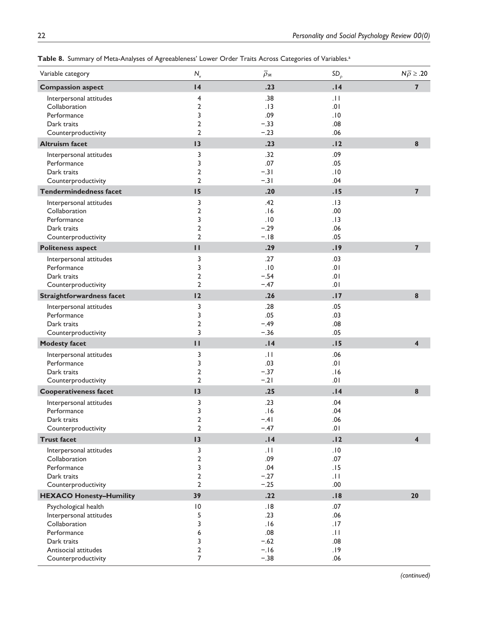| 4<br>.23<br>.14<br><b>Compassion aspect</b>                                       | $\overline{7}$          |
|-----------------------------------------------------------------------------------|-------------------------|
|                                                                                   |                         |
| .38<br>Interpersonal attitudes<br>4<br>.11                                        |                         |
| Collaboration<br>$\overline{2}$<br>.13<br>.01                                     |                         |
| 3<br>.09<br>Performance<br>.10                                                    |                         |
| $\mathbf 2$<br>$-.33$<br>.08<br>Dark traits                                       |                         |
| $\overline{2}$<br>$-.23$<br>.06<br>Counterproductivity                            |                         |
| <b>Altruism facet</b><br>13<br>.23<br>.12                                         | $\pmb{8}$               |
| .32<br>.09<br>Interpersonal attitudes<br>3                                        |                         |
| 3<br>.07<br>.05<br>Performance                                                    |                         |
| $\overline{2}$<br>$-.31$<br>.10<br>Dark traits                                    |                         |
| $\overline{2}$<br>$-.31$<br>.04<br>Counterproductivity                            |                         |
| <b>Tendermindedness facet</b><br>15<br>.20<br>.15                                 | $\overline{7}$          |
| 3<br>.42<br>Interpersonal attitudes<br>.13                                        |                         |
| $\overline{2}$<br>.16<br>Collaboration<br>.00.                                    |                         |
| 3<br>.10<br>Performance<br>.13                                                    |                         |
| $\overline{2}$<br>$-.29$<br>.06<br>Dark traits                                    |                         |
| $\overline{2}$<br>$-.18$<br>.05<br>Counterproductivity                            |                         |
| $\blacksquare$<br>.29<br>.19<br><b>Politeness aspect</b>                          | $\overline{7}$          |
| 3<br>.27<br>.03<br>Interpersonal attitudes                                        |                         |
| 3<br>.10<br>Performance<br>.01                                                    |                         |
| $\overline{2}$<br>$-.54$<br>Dark traits<br>.01                                    |                         |
| $\overline{2}$<br>$-.47$<br>10.<br>Counterproductivity                            |                         |
| 12<br>.26<br>.17<br><b>Straightforwardness facet</b>                              | 8                       |
| Interpersonal attitudes<br>3<br>.28<br>.05                                        |                         |
| .05<br>3<br>.03<br>Performance                                                    |                         |
| $\overline{2}$<br>Dark traits<br>$-.49$<br>.08                                    |                         |
| 3<br>$-.36$<br>.05<br>Counterproductivity                                         |                         |
| .14<br><b>Modesty facet</b><br>П<br>.15                                           | $\overline{\mathbf{4}}$ |
| 3<br>.11<br>.06<br>Interpersonal attitudes                                        |                         |
| .03<br>3<br>.01<br>Performance                                                    |                         |
| $\overline{2}$<br>$-.37$<br>Dark traits<br>.16<br>$\overline{2}$                  |                         |
| Counterproductivity<br>$-.21$<br>.01                                              |                         |
| 13<br><b>Cooperativeness facet</b><br>.25<br>.14                                  | $\pmb{8}$               |
| 3<br>.23<br>.04<br>Interpersonal attitudes                                        |                         |
| 3<br>.04<br>Performance<br>.16                                                    |                         |
| $\overline{2}$<br>Dark traits<br>$-.41$<br>.06<br>$\overline{2}$<br>.01<br>$-.47$ |                         |
| Counterproductivity                                                               |                         |
| <b>Trust facet</b><br>13<br>.14<br>.12                                            | $\overline{\mathbf{4}}$ |
| 3<br>.11<br>.10<br>Interpersonal attitudes                                        |                         |
| $\overline{2}$<br>Collaboration<br>.09<br>.07                                     |                         |
| 3<br>.04<br>Performance<br>.15<br>2<br>$-.27$<br>.11<br>Dark traits               |                         |
| $\overline{2}$<br>$-.25$<br>.00<br>Counterproductivity                            |                         |
| 39<br>.22                                                                         | 20                      |
| <b>HEXACO Honesty-Humility</b><br>.18                                             |                         |
| $\overline{10}$<br>.18<br>.07<br>Psychological health                             |                         |
| 5<br>.23<br>.06<br>Interpersonal attitudes<br>3<br>Collaboration<br>.16<br>.17    |                         |
| .08<br>Performance<br>6<br>$  \cdot  $                                            |                         |
| 3<br>$-.62$<br>Dark traits<br>.08                                                 |                         |
| $\overline{2}$<br>$-.16$<br>Antisocial attitudes<br>.19                           |                         |
| 7<br>$-.38$<br>.06<br>Counterproductivity                                         |                         |

Table 8. Summary of Meta-Analyses of Agreeableness' Lower Order Traits Across Categories of Variables.<sup>a</sup>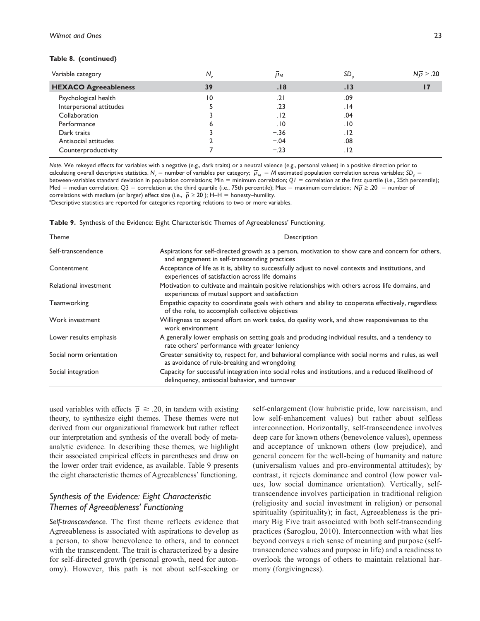#### **Table 8. (continued)**

| Variable category           | N.             | $\rho_M$ | SD   | $N\overline{\rho} \ge .20$ |
|-----------------------------|----------------|----------|------|----------------------------|
| <b>HEXACO Agreeableness</b> | 39             | .18      | . 13 |                            |
| Psychological health        | $\overline{0}$ | .21      | .09  |                            |
| Interpersonal attitudes     |                | .23      | ۱4.  |                            |
| Collaboration               |                | .12      | .04  |                            |
| Performance                 | ь              | .10      | .10  |                            |
| Dark traits                 |                | $-.36$   | . 12 |                            |
| Antisocial attitudes        |                | $-.04$   | .08  |                            |
| Counterproductivity         |                | $-.23$   | . 12 |                            |

*Note*. We rekeyed effects for variables with a negative (e.g., dark traits) or a neutral valence (e.g., personal values) in a positive direction prior to calculating overall descriptive statistics.  $N_v =$  number of variables per category;  $\bar{\rho}_M = M$  estimated population correlation across variables;  $SD_v =$ between-variables standard deviation in population correlations; Min = minimum correlation;  $QI =$  correlation at the first quartile (i.e., 25th percentile); Med = median correlation; Q3 = correlation at the third quartile (i.e., 75th percentile); Max = maximum correlation;  $N\overline{p} \ge 0.20$  = number of correlations with medium (or larger) effect size (i.e.,  $\bar{\rho} \ge 20$ ); H-H = honesty-humility. aDescriptive statistics are reported for categories reporting relations to two or more variables.

**Table 9.** Synthesis of the Evidence: Eight Characteristic Themes of Agreeableness' Functioning.

| Theme                   | Description                                                                                                                                            |
|-------------------------|--------------------------------------------------------------------------------------------------------------------------------------------------------|
| Self-transcendence      | Aspirations for self-directed growth as a person, motivation to show care and concern for others,<br>and engagement in self-transcending practices     |
| Contentment             | Acceptance of life as it is, ability to successfully adjust to novel contexts and institutions, and<br>experiences of satisfaction across life domains |
| Relational investment   | Motivation to cultivate and maintain positive relationships with others across life domains, and<br>experiences of mutual support and satisfaction     |
| Teamworking             | Empathic capacity to coordinate goals with others and ability to cooperate effectively, regardless<br>of the role, to accomplish collective objectives |
| Work investment         | Willingness to expend effort on work tasks, do quality work, and show responsiveness to the<br>work environment                                        |
| Lower results emphasis  | A generally lower emphasis on setting goals and producing individual results, and a tendency to<br>rate others' performance with greater leniency      |
| Social norm orientation | Greater sensitivity to, respect for, and behavioral compliance with social norms and rules, as well<br>as avoidance of rule-breaking and wrongdoing    |
| Social integration      | Capacity for successful integration into social roles and institutions, and a reduced likelihood of<br>delinquency, antisocial behavior, and turnover  |

used variables with effects  $\bar{\rho} \ge .20$ , in tandem with existing theory, to synthesize eight themes. These themes were not derived from our organizational framework but rather reflect our interpretation and synthesis of the overall body of metaanalytic evidence. In describing these themes, we highlight their associated empirical effects in parentheses and draw on the lower order trait evidence, as available. Table 9 presents the eight characteristic themes of Agreeableness' functioning.

# *Synthesis of the Evidence: Eight Characteristic Themes of Agreeableness' Functioning*

*Self-transcendence.* The first theme reflects evidence that Agreeableness is associated with aspirations to develop as a person, to show benevolence to others, and to connect with the transcendent. The trait is characterized by a desire for self-directed growth (personal growth, need for autonomy). However, this path is not about self-seeking or self-enlargement (low hubristic pride, low narcissism, and low self-enhancement values) but rather about selfless interconnection. Horizontally, self-transcendence involves deep care for known others (benevolence values), openness and acceptance of unknown others (low prejudice), and general concern for the well-being of humanity and nature (universalism values and pro-environmental attitudes); by contrast, it rejects dominance and control (low power values, low social dominance orientation). Vertically, selftranscendence involves participation in traditional religion (religiosity and social investment in religion) or personal spirituality (spirituality); in fact, Agreeableness is the primary Big Five trait associated with both self-transcending practices (Saroglou, 2010). Interconnection with what lies beyond conveys a rich sense of meaning and purpose (selftranscendence values and purpose in life) and a readiness to overlook the wrongs of others to maintain relational harmony (forgivingness).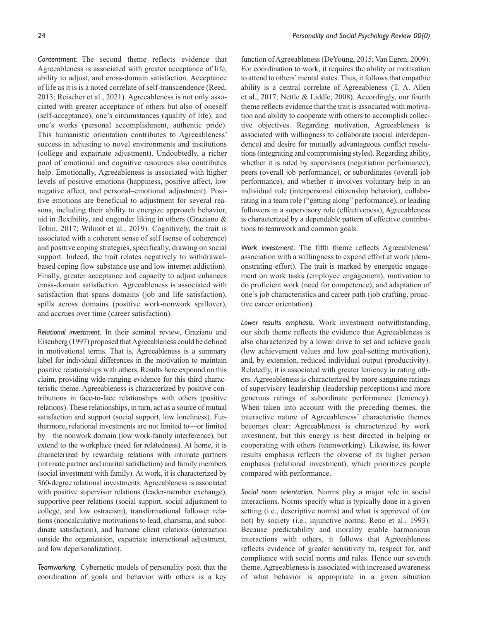*Contentment.* The second theme reflects evidence that Agreeableness is associated with greater acceptance of life, ability to adjust, and cross-domain satisfaction. Acceptance of life as it is is a noted correlate of self-transcendence (Reed, 2013; Reischer et al., 2021). Agreeableness is not only associated with greater acceptance of others but also of oneself (self-acceptance), one's circumstances (quality of life), and one's works (personal accomplishment, authentic pride). This humanistic orientation contributes to Agreeableness' success in adjusting to novel environments and institutions (college and expatriate adjustment). Undoubtedly, a richer pool of emotional and cognitive resources also contributes help. Emotionally, Agreeableness is associated with higher levels of positive emotions (happiness, positive affect, low negative affect, and personal–emotional adjustment). Positive emotions are beneficial to adjustment for several reasons, including their ability to energize approach behavior, aid in flexibility, and engender liking in others (Graziano & Tobin, 2017; Wilmot et al., 2019). Cognitively, the trait is associated with a coherent sense of self (sense of coherence) and positive coping strategies, specifically, drawing on social support. Indeed, the trait relates negatively to withdrawalbased coping (low substance use and low internet addiction). Finally, greater acceptance and capacity to adjust enhances cross-domain satisfaction. Agreeableness is associated with satisfaction that spans domains (job and life satisfaction), spills across domains (positive work-nonwork spillover), and accrues over time (career satisfaction).

*Relational investment.* In their seminal review, Graziano and Eisenberg (1997) proposed that Agreeableness could be defined in motivational terms. That is, Agreeableness is a summary label for individual differences in the motivation to maintain positive relationships with others. Results here expound on this claim, providing wide-ranging evidence for this third characteristic theme. Agreeableness is characterized by positive contributions in face-to-face relationships with others (positive relations). These relationships, in turn, act as a source of mutual satisfaction and support (social support, low loneliness). Furthermore, relational investments are not limited to—or limited by—the nonwork domain (low work-family interference), but extend to the workplace (need for relatedness). At home, it is characterized by rewarding relations with intimate partners (intimate partner and marital satisfaction) and family members (social investment with family). At work, it is characterized by 360-degree relational investments: Agreeableness is associated with positive supervisor relations (leader-member exchange), supportive peer relations (social support, social adjustment to college, and low ostracism), transformational follower relations (noncalculative motivations to lead, charisma, and subordinate satisfaction), and humane client relations (interaction outside the organization, expatriate interactional adjustment, and low depersonalization).

*Teamworking.* Cybernetic models of personality posit that the coordination of goals and behavior with others is a key

function of Agreeableness (DeYoung, 2015; Van Egren, 2009). For coordination to work, it requires the ability or motivation to attend to others' mental states. Thus, it follows that empathic ability is a central correlate of Agreeableness (T. A. Allen et al., 2017; Nettle & Liddle, 2008). Accordingly, our fourth theme reflects evidence that the trait is associated with motivation and ability to cooperate with others to accomplish collective objectives. Regarding motivation, Agreeableness is associated with willingness to collaborate (social interdependence) and desire for mutually advantageous conflict resolutions (integrating and compromising styles). Regarding ability, whether it is rated by supervisors (negotiation performance), peers (overall job performance), or subordinates (overall job performance), and whether it involves voluntary help in an individual role (interpersonal citizenship behavior), collaborating in a team role ("getting along" performance), or leading followers in a supervisory role (effectiveness), Agreeableness is characterized by a dependable pattern of effective contributions to teamwork and common goals.

*Work investment.* The fifth theme reflects Agreeableness' association with a willingness to expend effort at work (demonstrating effort). The trait is marked by energetic engagement on work tasks (employee engagement), motivation to do proficient work (need for competence), and adaptation of one's job characteristics and career path (job crafting, proactive career orientation).

*Lower results emphasis.* Work investment notwithstanding, our sixth theme reflects the evidence that Agreeableness is also characterized by a lower drive to set and achieve goals (low achievement values and low goal-setting motivation), and, by extension, reduced individual output (productivity). Relatedly, it is associated with greater leniency in rating others. Agreeableness is characterized by more sanguine ratings of supervisory leadership (leadership perceptions) and more generous ratings of subordinate performance (leniency). When taken into account with the preceding themes, the interactive nature of Agreeableness' characteristic themes becomes clear: Agreeableness is characterized by work investment, but this energy is best directed in helping or cooperating with others (teamworking). Likewise, its lower results emphasis reflects the obverse of its higher person emphasis (relational investment), which prioritizes people compared with performance.

*Social norm orientation.* Norms play a major role in social interactions. Norms specify what is typically done in a given setting (i.e., descriptive norms) and what is approved of (or not) by society (i.e., injunctive norms; Reno et al., 1993). Because predictability and morality enable harmonious interactions with others, it follows that Agreeableness reflects evidence of greater sensitivity to, respect for, and compliance with social norms and rules. Hence our seventh theme. Agreeableness is associated with increased awareness of what behavior is appropriate in a given situation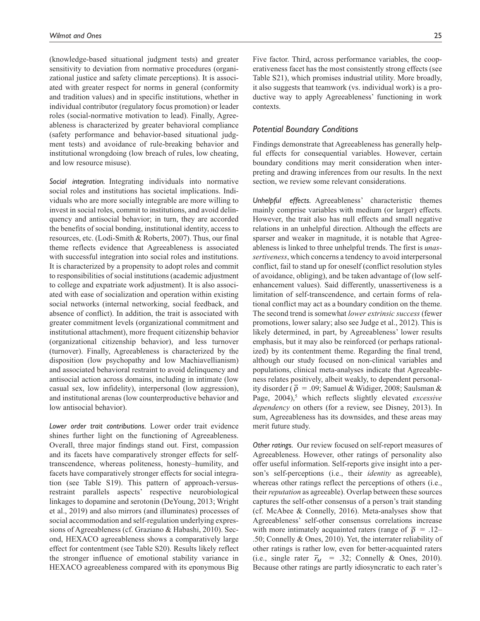(knowledge-based situational judgment tests) and greater sensitivity to deviation from normative procedures (organizational justice and safety climate perceptions). It is associated with greater respect for norms in general (conformity and tradition values) and in specific institutions, whether in individual contributor (regulatory focus promotion) or leader roles (social-normative motivation to lead). Finally, Agreeableness is characterized by greater behavioral compliance (safety performance and behavior-based situational judgment tests) and avoidance of rule-breaking behavior and institutional wrongdoing (low breach of rules, low cheating, and low resource misuse).

*Social integration.* Integrating individuals into normative social roles and institutions has societal implications. Individuals who are more socially integrable are more willing to invest in social roles, commit to institutions, and avoid delinquency and antisocial behavior; in turn, they are accorded the benefits of social bonding, institutional identity, access to resources, etc. (Lodi-Smith & Roberts, 2007). Thus, our final theme reflects evidence that Agreeableness is associated with successful integration into social roles and institutions. It is characterized by a propensity to adopt roles and commit to responsibilities of social institutions (academic adjustment to college and expatriate work adjustment). It is also associated with ease of socialization and operation within existing social networks (internal networking, social feedback, and absence of conflict). In addition, the trait is associated with greater commitment levels (organizational commitment and institutional attachment), more frequent citizenship behavior (organizational citizenship behavior), and less turnover (turnover). Finally, Agreeableness is characterized by the disposition (low psychopathy and low Machiavellianism) and associated behavioral restraint to avoid delinquency and antisocial action across domains, including in intimate (low casual sex, low infidelity), interpersonal (low aggression), and institutional arenas (low counterproductive behavior and low antisocial behavior).

*Lower order trait contributions.* Lower order trait evidence shines further light on the functioning of Agreeableness. Overall, three major findings stand out. First, compassion and its facets have comparatively stronger effects for selftranscendence, whereas politeness, honesty–humility, and facets have comparatively stronger effects for social integration (see Table S19). This pattern of approach-versusrestraint parallels aspects' respective neurobiological linkages to dopamine and serotonin (DeYoung, 2013; Wright et al., 2019) and also mirrors (and illuminates) processes of social accommodation and self-regulation underlying expressions of Agreeableness (cf. Graziano & Habashi, 2010). Second, HEXACO agreeableness shows a comparatively large effect for contentment (see Table S20). Results likely reflect the stronger influence of emotional stability variance in HEXACO agreeableness compared with its eponymous Big Five factor. Third, across performance variables, the cooperativeness facet has the most consistently strong effects (see Table S21), which promises industrial utility. More broadly, it also suggests that teamwork (vs. individual work) is a productive way to apply Agreeableness' functioning in work contexts.

# *Potential Boundary Conditions*

Findings demonstrate that Agreeableness has generally helpful effects for consequential variables. However, certain boundary conditions may merit consideration when interpreting and drawing inferences from our results. In the next section, we review some relevant considerations.

*Unhelpful effects.* Agreeableness' characteristic themes mainly comprise variables with medium (or larger) effects. However, the trait also has null effects and small negative relations in an unhelpful direction. Although the effects are sparser and weaker in magnitude, it is notable that Agreeableness is linked to three unhelpful trends. The first is *unassertiveness*, which concerns a tendency to avoid interpersonal conflict, fail to stand up for oneself (conflict resolution styles of avoidance, obliging), and be taken advantage of (low selfenhancement values). Said differently, unassertiveness is a limitation of self-transcendence, and certain forms of relational conflict may act as a boundary condition on the theme. The second trend is somewhat *lower extrinsic success* (fewer promotions, lower salary; also see Judge et al., 2012). This is likely determined, in part, by Agreeableness' lower results emphasis, but it may also be reinforced (or perhaps rationalized) by its contentment theme. Regarding the final trend, although our study focused on non-clinical variables and populations, clinical meta-analyses indicate that Agreeableness relates positively, albeit weakly, to dependent personality disorder ( $\bar{\rho} = .09$ ; Samuel & Widiger, 2008; Saulsman & Page, 2004),<sup>5</sup> which reflects slightly elevated *excessive dependency* on others (for a review, see Disney, 2013). In sum, Agreeableness has its downsides, and these areas may merit future study.

*Other ratings.* Our review focused on self-report measures of Agreeableness. However, other ratings of personality also offer useful information. Self-reports give insight into a person's self-perceptions (i.e., their *identity* as agreeable), whereas other ratings reflect the perceptions of others (i.e., their *reputation* as agreeable). Overlap between these sources captures the self-other consensus of a person's trait standing (cf. McAbee & Connelly, 2016). Meta-analyses show that Agreeableness' self-other consensus correlations increase with more intimately acquainted raters (range of  $\bar{\rho} = .12-$ .50; Connelly & Ones, 2010). Yet, the interrater reliability of other ratings is rather low, even for better-acquainted raters (i.e., single rater  $\bar{r}_M$  = .32; Connelly & Ones, 2010). Because other ratings are partly idiosyncratic to each rater's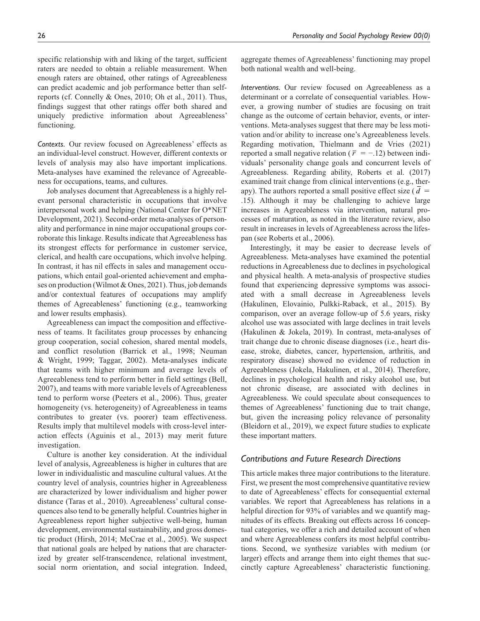specific relationship with and liking of the target, sufficient raters are needed to obtain a reliable measurement. When enough raters are obtained, other ratings of Agreeableness can predict academic and job performance better than selfreports (cf. Connelly & Ones, 2010; Oh et al., 2011). Thus, findings suggest that other ratings offer both shared and uniquely predictive information about Agreeableness' functioning.

*Contexts.* Our review focused on Agreeableness' effects as an individual-level construct. However, different contexts or levels of analysis may also have important implications. Meta-analyses have examined the relevance of Agreeableness for occupations, teams, and cultures.

Job analyses document that Agreeableness is a highly relevant personal characteristic in occupations that involve interpersonal work and helping (National Center for O\*NET Development, 2021). Second-order meta-analyses of personality and performance in nine major occupational groups corroborate this linkage. Results indicate that Agreeableness has its strongest effects for performance in customer service, clerical, and health care occupations, which involve helping. In contrast, it has nil effects in sales and management occupations, which entail goal-oriented achievement and emphases on production (Wilmot & Ones, 2021). Thus, job demands and/or contextual features of occupations may amplify themes of Agreeableness' functioning (e.g., teamworking and lower results emphasis).

Agreeableness can impact the composition and effectiveness of teams. It facilitates group processes by enhancing group cooperation, social cohesion, shared mental models, and conflict resolution (Barrick et al., 1998; Neuman & Wright, 1999; Taggar, 2002). Meta-analyses indicate that teams with higher minimum and average levels of Agreeableness tend to perform better in field settings (Bell, 2007), and teams with more variable levels of Agreeableness tend to perform worse (Peeters et al., 2006). Thus, greater homogeneity (vs. heterogeneity) of Agreeableness in teams contributes to greater (vs. poorer) team effectiveness. Results imply that multilevel models with cross-level interaction effects (Aguinis et al., 2013) may merit future investigation.

Culture is another key consideration. At the individual level of analysis, Agreeableness is higher in cultures that are lower in individualistic and masculine cultural values. At the country level of analysis, countries higher in Agreeableness are characterized by lower individualism and higher power distance (Taras et al., 2010). Agreeableness' cultural consequences also tend to be generally helpful. Countries higher in Agreeableness report higher subjective well-being, human development, environmental sustainability, and gross domestic product (Hirsh, 2014; McCrae et al., 2005). We suspect that national goals are helped by nations that are characterized by greater self-transcendence, relational investment, social norm orientation, and social integration. Indeed,

aggregate themes of Agreeableness' functioning may propel both national wealth and well-being.

*Interventions.* Our review focused on Agreeableness as a determinant or a correlate of consequential variables. However, a growing number of studies are focusing on trait change as the outcome of certain behavior, events, or interventions. Meta-analyses suggest that there may be less motivation and/or ability to increase one's Agreeableness levels. Regarding motivation, Thielmann and de Vries (2021) reported a small negative relation ( $\bar{r} = -.12$ ) between individuals' personality change goals and concurrent levels of Agreeableness. Regarding ability, Roberts et al. (2017) examined trait change from clinical interventions (e.g., therapy). The authors reported a small positive effect size  $(d =$ .15). Although it may be challenging to achieve large increases in Agreeableness via intervention, natural processes of maturation, as noted in the literature review, also result in increases in levels of Agreeableness across the lifespan (see Roberts et al., 2006).

Interestingly, it may be easier to decrease levels of Agreeableness. Meta-analyses have examined the potential reductions in Agreeableness due to declines in psychological and physical health. A meta-analysis of prospective studies found that experiencing depressive symptoms was associated with a small decrease in Agreeableness levels (Hakulinen, Elovainio, Pulkki-Raback, et al., 2015). By comparison, over an average follow-up of 5.6 years, risky alcohol use was associated with large declines in trait levels (Hakulinen & Jokela, 2019). In contrast, meta-analyses of trait change due to chronic disease diagnoses (i.e., heart disease, stroke, diabetes, cancer, hypertension, arthritis, and respiratory disease) showed no evidence of reduction in Agreeableness (Jokela, Hakulinen, et al., 2014). Therefore, declines in psychological health and risky alcohol use, but not chronic disease, are associated with declines in Agreeableness. We could speculate about consequences to themes of Agreeableness' functioning due to trait change, but, given the increasing policy relevance of personality (Bleidorn et al., 2019), we expect future studies to explicate these important matters.

### *Contributions and Future Research Directions*

This article makes three major contributions to the literature. First, we present the most comprehensive quantitative review to date of Agreeableness' effects for consequential external variables. We report that Agreeableness has relations in a helpful direction for 93% of variables and we quantify magnitudes of its effects. Breaking out effects across 16 conceptual categories, we offer a rich and detailed account of when and where Agreeableness confers its most helpful contributions. Second, we synthesize variables with medium (or larger) effects and arrange them into eight themes that succinctly capture Agreeableness' characteristic functioning.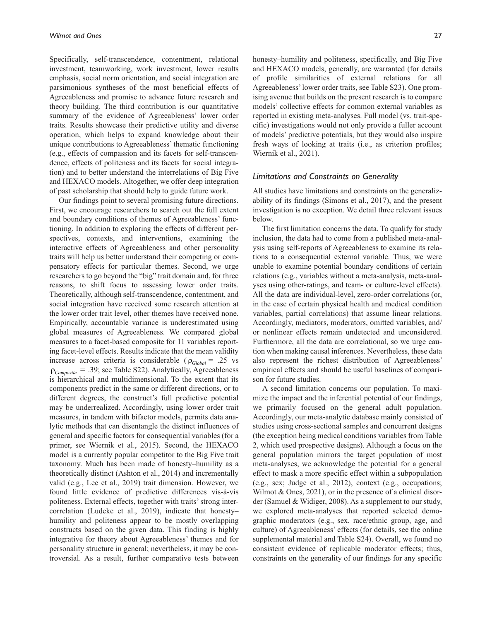Specifically, self-transcendence, contentment, relational investment, teamworking, work investment, lower results emphasis, social norm orientation, and social integration are parsimonious syntheses of the most beneficial effects of Agreeableness and promise to advance future research and theory building. The third contribution is our quantitative summary of the evidence of Agreeableness' lower order traits. Results showcase their predictive utility and diverse operation, which helps to expand knowledge about their unique contributions to Agreeableness' thematic functioning (e.g., effects of compassion and its facets for self-transcendence, effects of politeness and its facets for social integration) and to better understand the interrelations of Big Five and HEXACO models. Altogether, we offer deep integration of past scholarship that should help to guide future work.

Our findings point to several promising future directions. First, we encourage researchers to search out the full extent and boundary conditions of themes of Agreeableness' functioning. In addition to exploring the effects of different perspectives, contexts, and interventions, examining the interactive effects of Agreeableness and other personality traits will help us better understand their competing or compensatory effects for particular themes. Second, we urge researchers to go beyond the "big" trait domain and, for three reasons, to shift focus to assessing lower order traits. Theoretically, although self-transcendence, contentment, and social integration have received some research attention at the lower order trait level, other themes have received none. Empirically, accountable variance is underestimated using global measures of Agreeableness. We compared global measures to a facet-based composite for 11 variables reporting facet-level effects. Results indicate that the mean validity increase across criteria is considerable ( $\bar{p}_{Global}$  = .25 vs  $\overline{\rho}_{\textit{Composite}} = .39$ ; see Table S22). Analytically, Agreeableness is hierarchical and multidimensional. To the extent that its components predict in the same or different directions, or to different degrees, the construct's full predictive potential may be underrealized. Accordingly, using lower order trait measures, in tandem with bifactor models, permits data analytic methods that can disentangle the distinct influences of general and specific factors for consequential variables (for a primer, see Wiernik et al., 2015). Second, the HEXACO model is a currently popular competitor to the Big Five trait taxonomy. Much has been made of honesty–humility as a theoretically distinct (Ashton et al., 2014) and incrementally valid (e.g., Lee et al., 2019) trait dimension. However, we found little evidence of predictive differences vis-à-vis politeness. External effects, together with traits' strong intercorrelation (Ludeke et al., 2019), indicate that honesty– humility and politeness appear to be mostly overlapping constructs based on the given data. This finding is highly integrative for theory about Agreeableness' themes and for personality structure in general; nevertheless, it may be controversial. As a result, further comparative tests between

honesty–humility and politeness, specifically, and Big Five

and HEXACO models, generally, are warranted (for details of profile similarities of external relations for all Agreeableness' lower order traits, see Table S23). One promising avenue that builds on the present research is to compare models' collective effects for common external variables as reported in existing meta-analyses. Full model (vs. trait-specific) investigations would not only provide a fuller account of models' predictive potentials, but they would also inspire fresh ways of looking at traits (i.e., as criterion profiles; Wiernik et al., 2021).

### *Limitations and Constraints on Generality*

All studies have limitations and constraints on the generalizability of its findings (Simons et al., 2017), and the present investigation is no exception. We detail three relevant issues below.

The first limitation concerns the data. To qualify for study inclusion, the data had to come from a published meta-analysis using self-reports of Agreeableness to examine its relations to a consequential external variable. Thus, we were unable to examine potential boundary conditions of certain relations (e.g., variables without a meta-analysis, meta-analyses using other-ratings, and team- or culture-level effects). All the data are individual-level, zero-order correlations (or, in the case of certain physical health and medical condition variables, partial correlations) that assume linear relations. Accordingly, mediators, moderators, omitted variables, and/ or nonlinear effects remain undetected and unconsidered. Furthermore, all the data are correlational, so we urge caution when making causal inferences. Nevertheless, these data also represent the richest distribution of Agreeableness' empirical effects and should be useful baselines of comparison for future studies.

A second limitation concerns our population. To maximize the impact and the inferential potential of our findings, we primarily focused on the general adult population. Accordingly, our meta-analytic database mainly consisted of studies using cross-sectional samples and concurrent designs (the exception being medical conditions variables from Table 2, which used prospective designs). Although a focus on the general population mirrors the target population of most meta-analyses, we acknowledge the potential for a general effect to mask a more specific effect within a subpopulation (e.g., sex; Judge et al., 2012), context (e.g., occupations; Wilmot & Ones, 2021), or in the presence of a clinical disorder (Samuel & Widiger, 2008). As a supplement to our study, we explored meta-analyses that reported selected demographic moderators (e.g., sex, race/ethnic group, age, and culture) of Agreeableness' effects (for details, see the online supplemental material and Table S24). Overall, we found no consistent evidence of replicable moderator effects; thus, constraints on the generality of our findings for any specific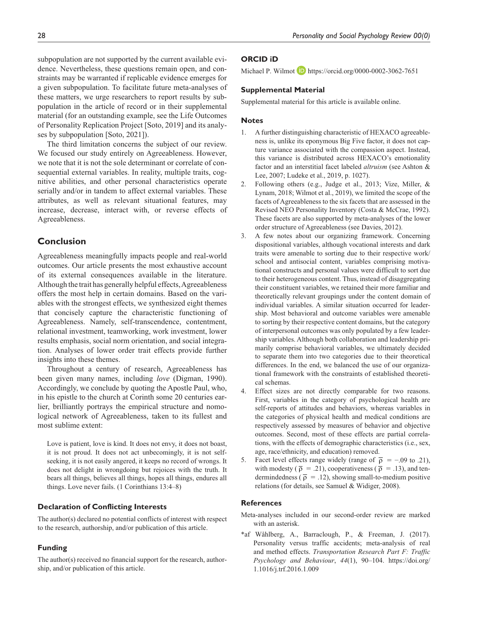straints may be warranted if replicable evidence emerges for a given subpopulation. To facilitate future meta-analyses of these matters, we urge researchers to report results by subpopulation in the article of record or in their supplemental material (for an outstanding example, see the Life Outcomes of Personality Replication Project [Soto, 2019] and its analyses by subpopulation [Soto, 2021]).

The third limitation concerns the subject of our review. We focused our study entirely on Agreeableness. However, we note that it is not the sole determinant or correlate of consequential external variables. In reality, multiple traits, cognitive abilities, and other personal characteristics operate serially and/or in tandem to affect external variables. These attributes, as well as relevant situational features, may increase, decrease, interact with, or reverse effects of Agreeableness.

# **Conclusion**

Agreeableness meaningfully impacts people and real-world outcomes. Our article presents the most exhaustive account of its external consequences available in the literature. Although the trait has generally helpful effects, Agreeableness offers the most help in certain domains. Based on the variables with the strongest effects, we synthesized eight themes that concisely capture the characteristic functioning of Agreeableness. Namely, self-transcendence, contentment, relational investment, teamworking, work investment, lower results emphasis, social norm orientation, and social integration. Analyses of lower order trait effects provide further insights into these themes.

Throughout a century of research, Agreeableness has been given many names, including *love* (Digman, 1990). Accordingly, we conclude by quoting the Apostle Paul, who, in his epistle to the church at Corinth some 20 centuries earlier, brilliantly portrays the empirical structure and nomological network of Agreeableness, taken to its fullest and most sublime extent:

Love is patient, love is kind. It does not envy, it does not boast, it is not proud. It does not act unbecomingly, it is not selfseeking, it is not easily angered, it keeps no record of wrongs. It does not delight in wrongdoing but rejoices with the truth. It bears all things, believes all things, hopes all things, endures all things. Love never fails. (1 Corinthians 13:4–8)

### **Declaration of Conflicting Interests**

The author(s) declared no potential conflicts of interest with respect to the research, authorship, and/or publication of this article.

# **Funding**

The author(s) received no financial support for the research, authorship, and/or publication of this article.

Michael P. Wilmot **D** https://orcid.org/0000-0002-3062-7651

# **Supplemental Material**

Supplemental material for this article is available online.

### **Notes**

- 1. A further distinguishing characteristic of HEXACO agreeableness is, unlike its eponymous Big Five factor, it does not capture variance associated with the compassion aspect. Instead, this variance is distributed across HEXACO's emotionality factor and an interstitial facet labeled *altruism* (see Ashton & Lee, 2007; Ludeke et al., 2019, p. 1027).
- 2. Following others (e.g., Judge et al., 2013; Vize, Miller, & Lynam, 2018; Wilmot et al., 2019), we limited the scope of the facets of Agreeableness to the six facets that are assessed in the Revised NEO Personality Inventory (Costa & McCrae, 1992). These facets are also supported by meta-analyses of the lower order structure of Agreeableness (see Davies, 2012).
- 3. A few notes about our organizing framework. Concerning dispositional variables, although vocational interests and dark traits were amenable to sorting due to their respective work/ school and antisocial content, variables comprising motivational constructs and personal values were difficult to sort due to their heterogeneous content. Thus, instead of disaggregating their constituent variables, we retained their more familiar and theoretically relevant groupings under the content domain of individual variables. A similar situation occurred for leadership. Most behavioral and outcome variables were amenable to sorting by their respective content domains, but the category of interpersonal outcomes was only populated by a few leadership variables. Although both collaboration and leadership primarily comprise behavioral variables, we ultimately decided to separate them into two categories due to their theoretical differences. In the end, we balanced the use of our organizational framework with the constraints of established theoretical schemas.
- 4. Effect sizes are not directly comparable for two reasons. First, variables in the category of psychological health are self-reports of attitudes and behaviors, whereas variables in the categories of physical health and medical conditions are respectively assessed by measures of behavior and objective outcomes. Second, most of these effects are partial correlations, with the effects of demographic characteristics (i.e., sex, age, race/ethnicity, and education) removed.
- 5. Facet level effects range widely (range of  $\bar{\rho} = -.09$  to .21), with modesty ( $\bar{\rho}$  = .21), cooperativeness ( $\bar{\rho}$  = .13), and tendermindedness ( $\overline{\rho}$  = .12), showing small-to-medium positive relations (for details, see Samuel & Widiger, 2008).

### **References**

- Meta-analyses included in our second-order review are marked with an asterisk.
- \*af Wåhlberg, A., Barraclough, P., & Freeman, J. (2017). Personality versus traffic accidents; meta-analysis of real and method effects. *Transportation Research Part F: Traffic Psychology and Behaviour*, *44*(1), 90–104. https://doi.org/ 1.1016/j.trf.2016.1.009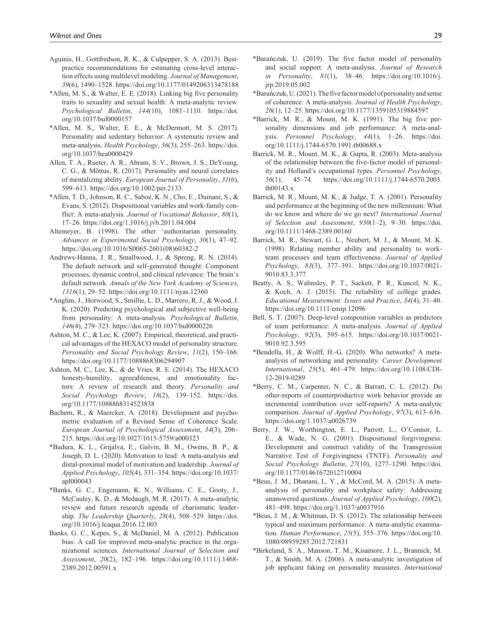- Aguinis, H., Gottfredson, R. K., & Culpepper, S. A. (2013). Bestpractice recommendations for estimating cross-level interaction effects using multilevel modeling. *Journal of Management*, *39*(6), 1490–1528. https://doi.org/10.1177/0149206313478188
- \*Allen, M. S., & Walter, E. E. (2018). Linking big five personality traits to sexuality and sexual health: A meta-analytic review. *Psychological Bulletin*, *144*(10), 1081–1110. https://doi. org/10.1037/bul0000157
- \*Allen, M. S., Walter, E. E., & McDermott, M. S. (2017). Personality and sedentary behavior: A systematic review and meta-analysis. *Health Psychology*, *36*(3), 255–263. https://doi. org/10.1037/hea0000429
- Allen, T. A., Rueter, A. R., Abram, S. V., Brown, J. S., DeYoung, C. G., & Mõttus, R. (2017). Personality and neural correlates of mentalizing ability. *European Journal of Personality*, *31*(6), 599–613. https://doi.org/10.1002/per.2133
- \*Allen, T. D., Johnson, R. C., Saboe, K. N., Cho, E., Dumani, S., & Evans, S. (2012). Dispositional variables and work-family conflict: A meta-analysis. *Journal of Vocational Behavior*, *80*(1), 17–26. https://doi.org/1.1016/j.jvb.2011.04.004
- Altemeyer, B. (1998). The other 'authoritarian personality. *Advances in Experimental Social Psychology*, *30*(1), 47–92. https://doi.org/10.1016/S0065-2601(08)60382-2
- Andrews-Hanna, J. R., Smallwood, J., & Spreng, R. N. (2014). The default network and self-generated thought: Component processes, dynamic control, and clinical relevance: The brain's default network. *Annals of the New York Academy of Sciences*, *1316*(1), 29–52. https://doi.org/10.1111/nyas.12360
- \*Anglim, J., Horwood, S., Smillie, L. D., Marrero, R. J., & Wood, J. K. (2020). Predicting psychological and subjective well-being from personality: A meta-analysis. *Psychological Bulletin*, *146*(4), 279–323. https://doi.org/10.1037/bul0000226
- Ashton, M. C., & Lee, K. (2007). Empirical, theoretical, and practical advantages of the HEXACO model of personality structure. *Personality and Social Psychology Review*, *11*(2), 150–166. https://doi.org/10.1177/1088868306294907
- Ashton, M. C., Lee, K., & de Vries, R. E. (2014). The HEXACO honesty-humility, agreeableness, and emotionality factors: A review of research and theory. *Personality and Social Psychology Review*, *18*(2), 139–152. https://doi. org/10.1177/1088868314523838
- Bachem, R., & Maercker, A. (2018). Development and psychometric evaluation of a Revised Sense of Coherence Scale. *European Journal of Psychological Assessment*, *34*(3), 206– 215. https://doi.org/10.1027/1015-5759/a000323
- \*Badura, K. L., Grijalva, E., Galvin, B. M., Owens, B. P., & Joseph, D. L. (2020). Motivation to lead: A meta-analysis and distal-proximal model of motivation and leadership. *Journal of Applied Psychology*, *105*(4), 331–354. https://doi.org/10.1037/ apl000043
- \*Banks, G. C., Engemann, K. N., Williams, C. E., Gooty, J., McCauley, K. D., & Medaugh, M. R. (2017). A meta-analytic review and future research agenda of charismatic leadership. *The Leadership Quarterly*, *28*(4), 508–529. https://doi. org/10.1016/j.leaqua.2016.12.003
- Banks, G. C., Kepes, S., & McDaniel, M. A. (2012). Publication bias: A call for improved meta-analytic practice in the organizational sciences. *International Journal of Selection and Assessment*, *20*(2), 182–196. https://doi.org/10.1111/j.1468- 2389.2012.00591.x
- \*Barańczuk, U. (2019). The five factor model of personality and social support: A meta-analysis. *Journal of Research in Personality*, *81*(1), 38–46. https://doi.org/10.1016/j. jrp.2019.05.002
- \*Barańczuk, U. (2021). The five factor model of personality and sense of coherence: A meta-analysis. *Journal of Health Psychology*, *26*(1), 12–25. https://doi.org/10.1177/1359105319884597
- \*Barrick, M. R., & Mount, M. K. (1991). The big five personality dimensions and job performance: A meta-analysis. *Personnel Psychology*, *44*(1), 1–26. https://doi. org/10.1111/j.1744-6570.1991.tb00688.x
- Barrick, M. R., Mount, M. K., & Gupta, R. (2003). Meta-analysis of the relationship between the five-factor model of personality and Holland's occupational types. *Personnel Psychology*, *56*(1), 45–74. https://doi.org/10.1111/j.1744-6570.2003. tb00143.x
- Barrick, M. R., Mount, M. K., & Judge, T. A. (2001). Personality and performance at the beginning of the new millennium: What do we know and where do we go next? *International Journal of Selection and Assessment*, *930*(1–2), 9–30. https://doi. org/10.1111/1468-2389.00160
- Barrick, M. R., Stewart, G. L., Neubert, M. J., & Mount, M. K. (1998). Relating member ability and personality to workteam processes and team effectiveness. *Journal of Applied Psychology*, *83*(3), 377–391. https://doi.org/10.1037/0021- 9010.83.3.377
- Beatty, A. S., Walmsley, P. T., Sackett, P. R., Kuncel, N. K., & Koch, A. J. (2015). The reliability of college grades. *Educational Measurement: Issues and Practice*, *34*(4), 31–40. https://doi.org/10.1111/emip.12096
- Bell, S. T. (2007). Deep-level composition variables as predictors of team performance: A meta-analysis. *Journal of Applied Psychology*, *92*(3), 595–615. https://doi.org/10.1037/0021- 9010.92.3.595
- \*Bendella, H., & Wolff, H.-G. (2020). Who networks? A metaanalysis of networking and personality. *Career Development International*, *25*(5), 461–479. https://doi.org/10.1108/CDI-12-2019-0289
- \*Berry, C. M., Carpenter, N. C., & Barratt, C. L. (2012). Do other-reports of counterproductive work behavior provide an incremental contribution over self-reports? A meta-analytic comparison. *Journal of Applied Psychology*, *97*(3), 613–636. https://doi.org/1.1037/a0026739
- Berry, J. W., Worthington, E. L., Parrott, L., O'Connor, L. E., & Wade, N. G. (2001). Dispositional forgivingness: Development and construct validity of the Transgression Narrative Test of Forgivingness (TNTF). *Personality and Social Psychology Bulletin*, *27*(10), 1277–1290. https://doi. org/10.1177/01461672012710004
- \*Beus, J. M., Dhanani, L. Y., & McCord, M. A. (2015). A metaanalysis of personality and workplace safety: Addressing unanswered questions. *Journal of Applied Psychology*, *100*(2), 481–498. https://doi.org/1.1037/a0037916
- \*Beus, J. M., & Whitman, D. S. (2012). The relationship between typical and maximum performance: A meta-analytic examination. *Human Performance*, *25*(5), 355–376. https://doi.org/10. 1080/08959285.2012.721831
- \*Birkeland, S. A., Manson, T. M., Kisamore, J. L., Brannick, M. T., & Smith, M. A. (2006). A meta-analytic investigation of job applicant faking on personality measures. *International*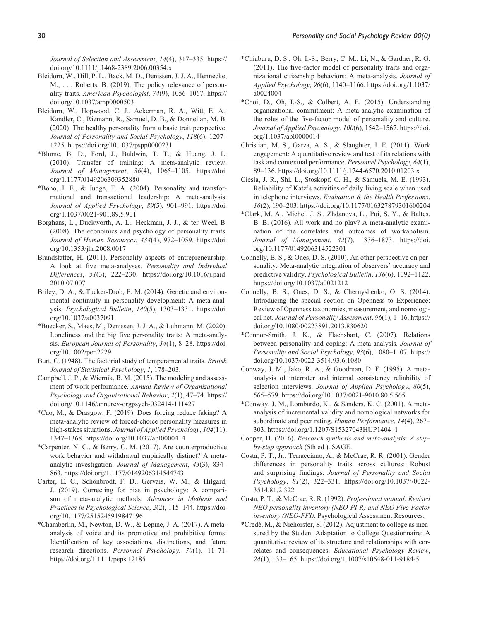*Journal of Selection and Assessment*, *14*(4), 317–335. https:// doi.org/10.1111/j.1468-2389.2006.00354.x

- Bleidorn, W., Hill, P. L., Back, M. D., Denissen, J. J. A., Hennecke, M., ... Roberts, B. (2019). The policy relevance of personality traits. *American Psychologist*, *74*(9), 1056–1067. https:// doi.org/10.1037/amp0000503
- Bleidorn, W., Hopwood, C. J., Ackerman, R. A., Witt, E. A., Kandler, C., Riemann, R., Samuel, D. B., & Donnellan, M. B. (2020). The healthy personality from a basic trait perspective. *Journal of Personality and Social Psychology*, *118*(6), 1207– 1225. https://doi.org/10.1037/pspp0000231
- \*Blume, B. D., Ford, J., Baldwin, T. T., & Huang, J. L. (2010). Transfer of training: A meta-analytic review. *Journal of Management*, *36*(4), 1065–1105. https://doi. org/1.1177/0149206309352880
- \*Bono, J. E., & Judge, T. A. (2004). Personality and transformational and transactional leadership: A meta-analysis. *Journal of Applied Psychology*, *89*(5), 901–991. https://doi. org/1.1037/0021-901.89.5.901
- Borghans, L., Duckworth, A. L., Heckman, J. J., & ter Weel, B. (2008). The economics and psychology of personality traits. *Journal of Human Resources*, *434*(4), 972–1059. https://doi. org/10.1353/jhr.2008.0017
- Brandstatter, H. (2011). Personality aspects of entrepreneurship: A look at five meta-analyses. *Personality and Individual Differences*, *51*(3), 222–230. https://doi.org/10.1016/j.paid. 2010.07.007
- Briley, D. A., & Tucker-Drob, E. M. (2014). Genetic and environmental continuity in personality development: A meta-analysis. *Psychological Bulletin*, *140*(5), 1303–1331. https://doi. org/10.1037/a0037091
- \*Buecker, S., Maes, M., Denissen, J. J. A., & Luhmann, M. (2020). Loneliness and the big five personality traits: A meta-analysis. *European Journal of Personality*, *34*(1), 8–28. https://doi. org/10.1002/per.2229
- Burt, C. (1948). The factorial study of temperamental traits. *British Journal of Statistical Psychology*, *1*, 178–203.
- Campbell, J. P., & Wiernik, B. M. (2015). The modeling and assessment of work performance. *Annual Review of Organizational Psychology and Organizational Behavior*, *2*(1), 47–74. https:// doi.org/10.1146/annurev-orgpsych-032414-111427
- \*Cao, M., & Drasgow, F. (2019). Does forcing reduce faking? A meta-analytic review of forced-choice personality measures in high-stakes situations. *Journal of Applied Psychology*, *104*(11), 1347–1368. https://doi.org/10.1037/apl0000414
- \*Carpenter, N. C., & Berry, C. M. (2017). Are counterproductive work behavior and withdrawal empirically distinct? A metaanalytic investigation. *Journal of Management*, *43*(3), 834– 863. https://doi.org/1.1177/0149206314544743
- Carter, E. C., Schönbrodt, F. D., Gervais, W. M., & Hilgard, J. (2019). Correcting for bias in psychology: A comparison of meta-analytic methods. *Advances in Methods and Practices in Psychological Science*, *2*(2), 115–144. https://doi. org/10.1177/2515245919847196
- \*Chamberlin, M., Newton, D. W., & Lepine, J. A. (2017). A metaanalysis of voice and its promotive and prohibitive forms: Identification of key associations, distinctions, and future research directions. *Personnel Psychology*, *70*(1), 11–71. https://doi.org/1.1111/peps.12185
- \*Chiaburu, D. S., Oh, I.-S., Berry, C. M., Li, N., & Gardner, R. G. (2011). The five-factor model of personality traits and organizational citizenship behaviors: A meta-analysis. *Journal of Applied Psychology*, *96*(6), 1140–1166. https://doi.org/1.1037/ a0024004
- \*Choi, D., Oh, I.-S., & Colbert, A. E. (2015). Understanding organizational commitment: A meta-analytic examination of the roles of the five-factor model of personality and culture. *Journal of Applied Psychology*, *100*(6), 1542–1567. https://doi. org/1.1037/apl0000014
- Christian, M. S., Garza, A. S., & Slaughter, J. E. (2011). Work engagement: A quantitative review and test of its relations with task and contextual performance. *Personnel Psychology*, *64*(1), 89–136. https://doi.org/10.1111/j.1744-6570.2010.01203.x
- Ciesla, J. R., Shi, L., Stoskopf, C. H., & Samuels, M. E. (1993). Reliability of Katz's activities of daily living scale when used in telephone interviews. *Evaluation & the Health Professions*, *16*(2), 190–203. https://doi.org/10.1177/016327879301600204
- \*Clark, M. A., Michel, J. S., Zhdanova, L., Pui, S. Y., & Baltes, B. B. (2016). All work and no play? A meta-analytic examination of the correlates and outcomes of workaholism. *Journal of Management*, *42*(7), 1836–1873. https://doi. org/10.1177/0149206314522301
- Connelly, B. S., & Ones, D. S. (2010). An other perspective on personality: Meta-analytic integration of observers' accuracy and predictive validity. *Psychological Bulletin*, *136*(6), 1092–1122. https://doi.org/10.1037/a0021212
- Connelly, B. S., Ones, D. S., & Chernyshenko, O. S. (2014). Introducing the special section on Openness to Experience: Review of Openness taxonomies, measurement, and nomological net. *Journal of Personality Assessment*, *96*(1), 1–16. https:// doi.org/10.1080/00223891.2013.830620
- \*Connor-Smith, J. K., & Flachsbart, C. (2007). Relations between personality and coping: A meta-analysis. *Journal of Personality and Social Psychology*, *93*(6), 1080–1107. https:// doi.org/10.1037/0022-3514.93.6.1080
- Conway, J. M., Jako, R. A., & Goodman, D. F. (1995). A metaanalysis of interrater and internal consistency reliability of selection interviews. *Journal of Applied Psychology*, *80*(5), 565–579. https://doi.org/10.1037/0021-9010.80.5.565
- \*Conway, J. M., Lombardo, K., & Sanders, K. C. (2001). A metaanalysis of incremental validity and nomological networks for subordinate and peer rating. *Human Performance*, *14*(4), 267– 303. https://doi.org/1.1207/S15327043HUP1404\_1
- Cooper, H. (2016). *Research synthesis and meta-analysis: A stepby-step approach* (5th ed.). SAGE.
- Costa, P. T., Jr., Terracciano, A., & McCrae, R. R. (2001). Gender differences in personality traits across cultures: Robust and surprising findings. *Journal of Personality and Social Psychology*, *81*(2), 322–331. https://doi.org/10.1037//0022- 3514.81.2.322
- Costa, P. T., & McCrae, R. R. (1992). *Professional manual: Revised NEO personality inventory (NEO-PI-R) and NEO Five-Factor inventory (NEO-FFI)*. Psychological Assessment Resources.
- \*Credé, M., & Niehorster, S. (2012). Adjustment to college as measured by the Student Adaptation to College Questionnaire: A quantitative review of its structure and relationships with correlates and consequences. *Educational Psychology Review*, *24*(1), 133–165. https://doi.org/1.1007/s10648-011-9184-5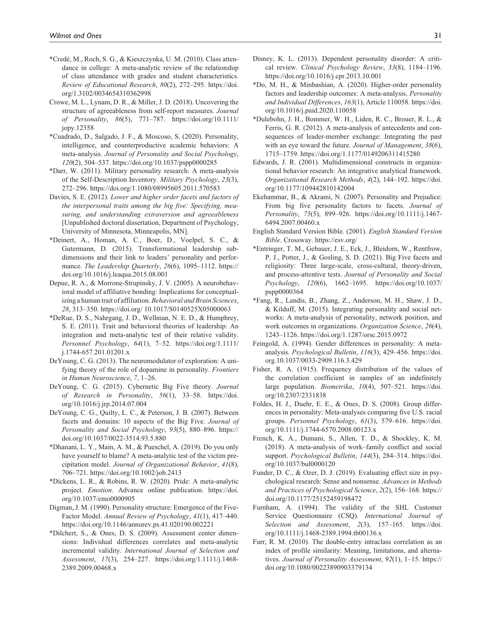- \*Credé, M., Roch, S. G., & Kieszczynka, U. M. (2010). Class attendance in college: A meta-analytic review of the relationship of class attendance with grades and student characteristics. *Review of Educational Research*, *80*(2), 272–295. https://doi. org/1.3102/0034654310362998
- Crowe, M. L., Lynam, D. R., & Miller, J. D. (2018). Uncovering the structure of agreeableness from self-report measures. *Journal of Personality*, *86*(5), 771–787. https://doi.org/10.1111/ jopy.12358
- \*Cuadrado, D., Salgado, J. F., & Moscoso, S. (2020). Personality, intelligence, and counterproductive academic behaviors: A meta-analysis. *Journal of Personality and Social Psychology*, *120*(2), 504–537. https://doi.org/10.1037/pspp0000285
- \*Darr, W. (2011). Military personality research: A meta-analysis of the Self-Description Inventory. *Military Psychology*, *23*(3), 272–296. https://doi.org/1.1080/08995605.2011.570583
- Davies, S. E. (2012). *Lower and higher order facets and factors of the interpersonal traits among the big five: Specifying, measuring, and understanding extraversion and agreeableness* [Unpublished doctoral dissertation, Department of Psychology, University of Minnesota, Minneapolis, MN].
- \*Deinert, A., Homan, A. C., Boer, D., Voelpel, S. C., & Gutermann, D. (2015). Transformational leadership subdimensions and their link to leaders' personality and performance. *The Leadership Quarterly*, *26*(6), 1095–1112. https:// doi.org/10.1016/j.leaqua.2015.08.001
- Depue, R. A., & Morrone-Strupinsky, J. V. (2005). A neurobehavioral model of affiliative bonding: Implications for conceptualizing a human trait of affiliation. *Behavioral and Brain Sciences*, *28*, 313–350. https://doi.org/ 10.1017/S0140525X05000063
- \*DeRue, D. S., Nahrgang, J. D., Wellman, N. E. D., & Humphrey, S. E. (2011). Trait and behavioral theories of leadership: An integration and meta-analytic test of their relative validity. *Personnel Psychology*, *64*(1), 7–52. https://doi.org/1.1111/ j.1744-657.201.01201.x
- DeYoung, C. G. (2013). The neuromodulator of exploration: A unifying theory of the role of dopamine in personality. *Frontiers in Human Neuroscience*, *7*, 1–26.
- DeYoung, C. G. (2015). Cybernetic Big Five theory. *Journal of Research in Personality*, *56*(1), 33–58. https://doi. org/10.1016/j.jrp.2014.07.004
- DeYoung, C. G., Quilty, L. C., & Peterson, J. B. (2007). Between facets and domains: 10 aspects of the Big Five. *Journal of Personality and Social Psychology*, *93*(5), 880–896. https:// doi.org/10.1037/0022-3514.93.5.880
- \*Dhanani, L. Y., Main, A. M., & Pueschel, A. (2019). Do you only have yourself to blame? A meta-analytic test of the victim precipitation model. *Journal of Organizational Behavior*, *41*(8), 706–721. https://doi.org/10.1002/job.2413
- \*Dickens, L. R., & Robins, R. W. (2020). Pride: A meta-analytic project. *Emotion*. Advance online publication. https://doi. org/10.1037/emo0000905
- Digman, J. M. (1990). Personality structure: Emergence of the Five-Factor Model. *Annual Review of Psychology*, *41*(1), 417–440. https://doi.org/10.1146/annurev.ps.41.020190.002221
- \*Dilchert, S., & Ones, D. S. (2009). Assessment center dimensions: Individual differences correlates and meta-analytic incremental validity. *International Journal of Selection and Assessment*, *17*(3), 254–227. https://doi.org/1.1111/j.1468- 2389.2009.00468.x
- Disney, K. L. (2013). Dependent personality disorder: A critical review. *Clinical Psychology Review*, *33*(8), 1184–1196. https://doi.org/10.1016/j.cpr.2013.10.001
- \*Do, M. H., & Minbashian, A. (2020). Higher-order personality factors and leadership outcomes: A meta-analysis. *Personality and Individual Differences*, *163*(1), Article 110058. https://doi. org/10.1016/j.paid.2020.110058
- \*Dulebohn, J. H., Bommer, W. H., Liden, R. C., Brouer, R. L., & Ferris, G. R. (2012). A meta-analysis of antecedents and consequences of leader-member exchange: Integrating the past with an eye toward the future. *Journal of Management*, *38*(6), 1715–1759. https://doi.org/1.1177/0149206311415280
- Edwards, J. R. (2001). Multidimensional constructs in organizational behavior research: An integrative analytical framework. *Organizational Research Methods*, *4*(2), 144–192. https://doi. org/10.1177/109442810142004
- Ekehammar, B., & Akrami, N. (2007). Personality and Prejudice: From big five personality factors to facets. *Journal of Personality*, *75*(5), 899–926. https://doi.org/10.1111/j.1467- 6494.2007.00460.x
- English Standard Version Bible. (2001). *English Standard Version Bible*. Crossway. https://esv.org/
- \*Entringer, T. M., Gebauer, J. E., Eck, J., Bleidorn, W., Rentfrow, P. J., Potter, J., & Gosling, S. D. (2021). Big Five facets and religiosity: Three large-scale, cross-cultural, theory-driven, and process-attentive tests. *Journal of Personality and Social Psychology*, *120*(6), 1662–1695. https://doi.org/10.1037/ pspp0000364
- \*Fang, R., Landis, B., Zhang, Z., Anderson, M. H., Shaw, J. D., & Kilduff, M. (2015). Integrating personality and social networks: A meta-analysis of personality, network position, and work outcomes in organizations. *Organization Science*, *26*(4), 1243–1126. https://doi.org/1.1287/orsc.2015.0972
- Feingold, A. (1994). Gender differences in personality: A metaanalysis. *Psychological Bulletin*, *116*(3), 429–456. https://doi. org.10.1037/0033-2909.116.3.429
- Fisher, R. A. (1915). Frequency distribution of the values of the correlation coefficient in samples of an indefinitely large population. *Biometrika*, *10*(4), 507–521. https://doi. org/10.2307/2331838
- Foldes, H. J., Duehr, E. E., & Ones, D. S. (2008). Group differences in personality: Meta-analyses comparing five U.S. racial groups. *Personnel Psychology*, *61*(3), 579–616. https://doi. org/10.1111/j.1744-6570.2008.00123.x
- French, K. A., Dumani, S., Allen, T. D., & Shockley, K. M. (2018). A meta-analysis of work–family conflict and social support. *Psychological Bulletin*, *144*(3), 284–314. https://doi. org/10.1037/bul0000120
- Funder, D. C., & Ozer, D. J. (2019). Evaluating effect size in psychological research: Sense and nonsense. *Advances in Methods and Practices of Psychological Science*, *2*(2), 156–168. https:// doi.org/10.1177/25152459198472
- Furnham, A. (1994). The validity of the SHL Customer Service Questionnaire (CSQ). *International Journal of Selection and Assessment*, *2*(3), 157–165. https://doi. org/10.1111/j.1468-2389.1994.tb00136.x
- Furr, R. M. (2010). The double-entry intraclass correlation as an index of profile similarity: Meaning, limitations, and alternatives. *Journal of Personality Assessment*, *92*(1), 1–15. https:// doi.org/10.1080/00223890903379134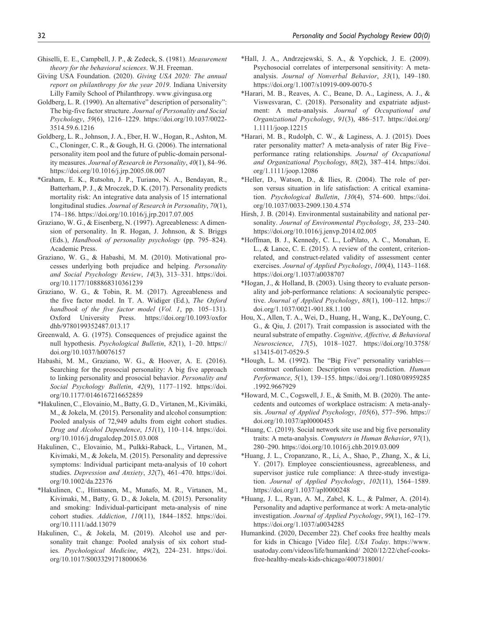- Ghiselli, E. E., Campbell, J. P., & Zedeck, S. (1981). *Measurement theory for the behavioral sciences*. W.H. Freeman.
- Giving USA Foundation. (2020). *Giving USA 2020: The annual report on philanthropy for the year 2019*. Indiana University Lilly Family School of Philanthropy. www.givingusa.org
- Goldberg, L. R. (1990). An alternative" description of personality": The big-five factor structure. *Journal of Personality and Social Psychology*, *59*(6), 1216–1229. https://doi.org/10.1037/0022- 3514.59.6.1216
- Goldberg, L. R., Johnson, J. A., Eber, H. W., Hogan, R., Ashton, M. C., Cloninger, C. R., & Gough, H. G. (2006). The international personality item pool and the future of public-domain personality measures. *Journal of Research in Personality*, *40*(1), 84–96. https://doi.org/10.1016/j.jrp.2005.08.007
- \*Graham, E. K., Rutsohn, J. P., Turiano, N. A., Bendayan, R., Batterham, P. J., & Mroczek, D. K. (2017). Personality predicts mortality risk: An integrative data analysis of 15 international longitudinal studies. *Journal of Research in Personality*, *70*(1), 174–186. https://doi.org/10.1016/j.jrp.2017.07.005
- Graziano, W. G., & Eisenberg, N. (1997). Agreeableness: A dimension of personality. In R. Hogan, J. Johnson, & S. Briggs (Eds.), *Handbook of personality psychology* (pp. 795–824). Academic Press.
- Graziano, W. G., & Habashi, M. M. (2010). Motivational processes underlying both prejudice and helping. *Personality and Social Psychology Review*, *14*(3), 313–331. https://doi. org/10.1177/1088868310361239
- Graziano, W. G., & Tobin, R. M. (2017). Agreeableness and the five factor model. In T. A. Widiger (Ed.), *The Oxford handbook of the five factor model* (*Vol. 1*, pp. 105–131). Oxford University Press. https://doi.org/10.1093/oxfor dhb/9780199352487.013.17
- Greenwald, A. G. (1975). Consequences of prejudice against the null hypothesis. *Psychological Bulletin*, *82*(1), 1–20. https:// doi.org/10.1037/h0076157
- Habashi, M. M., Graziano, W. G., & Hoover, A. E. (2016). Searching for the prosocial personality: A big five approach to linking personality and prosocial behavior. *Personality and Social Psychology Bulletin*, *42*(9), 1177–1192. https://doi. org/10.1177/0146167216652859
- \*Hakulinen, C., Elovainio, M., Batty, G. D., Virtanen, M., Kivimäki, M., & Jokela, M. (2015). Personality and alcohol consumption: Pooled analysis of 72,949 adults from eight cohort studies. *Drug and Alcohol Dependence*, *151*(1), 110–114. https://doi. org/10.1016/j.drugalcdep.2015.03.008
- Hakulinen, C., Elovainio, M., Pulkki-Raback, L., Virtanen, M., Kivimaki, M., & Jokela, M. (2015). Personality and depressive symptoms: Individual participant meta-analysis of 10 cohort studies. *Depression and Anxiety*, *32*(7), 461–470. https://doi. org/10.1002/da.22376
- \*Hakulinen, C., Hintsanen, M., Munafo, M. R., Virtanen, M., Kivimaki, M., Batty, G. D., & Jokela, M. (2015). Personality and smoking: Individual-participant meta-analysis of nine cohort studies. *Addiction*, *110*(11), 1844–1852. https://doi. org/10.1111/add.13079
- Hakulinen, C., & Jokela, M. (2019). Alcohol use and personality trait change: Pooled analysis of six cohort studies. *Psychological Medicine*, *49*(2), 224–231. https://doi. org/10.1017/S0033291718000636
- \*Hall, J. A., Andrzejewski, S. A., & Yopchick, J. E. (2009). Psychosocial correlates of interpersonal sensitivity: A metaanalysis. *Journal of Nonverbal Behavior*, *33*(1), 149–180. https://doi.org/1.1007/s10919-009-0070-5
- \*Harari, M. B., Reaves, A. C., Beane, D. A., Laginess, A. J., & Viswesvaran, C. (2018). Personality and expatriate adjustment: A meta-analysis. *Journal of Occupational and Organizational Psychology*, *91*(3), 486–517. https://doi.org/ 1.1111/joop.12215
- \*Harari, M. B., Rudolph, C. W., & Laginess, A. J. (2015). Does rater personality matter? A meta-analysis of rater Big Five– performance rating relationships. *Journal of Occupational and Organizational Psychology*, *88*(2), 387–414. https://doi. org/1.1111/joop.12086
- \*Heller, D., Watson, D., & Ilies, R. (2004). The role of person versus situation in life satisfaction: A critical examination. *Psychological Bulletin*, *130*(4), 574–600. https://doi. org/10.1037/0033-2909.130.4.574
- Hirsh, J. B. (2014). Environmental sustainability and national personality. *Journal of Environmental Psychology*, *38*, 233–240. https://doi.org/10.1016/j.jenvp.2014.02.005
- \*Hoffman, B. J., Kennedy, C. L., LoPilato, A. C., Monahan, E. L., & Lance, C. E. (2015). A review of the content, criterionrelated, and construct-related validity of assessment center exercises. *Journal of Applied Psychology*, *100*(4), 1143–1168. https://doi.org/1.1037/a0038707
- \*Hogan, J., & Holland, B. (2003). Using theory to evaluate personality and job-performance relations: A socioanalytic perspective. *Journal of Applied Psychology*, *88*(1), 100–112. https:// doi.org/1.1037/0021-901.88.1.100
- Hou, X., Allen, T. A., Wei, D., Huang, H., Wang, K., DeYoung, C. G., & Qiu, J. (2017). Trait compassion is associated with the neural substrate of empathy. *Cognitive, Affective, & Behavioral Neuroscience*, *17*(5), 1018–1027. https://doi.org/10.3758/ s13415-017-0529-5
- \*Hough, L. M. (1992). The "Big Five" personality variables construct confusion: Description versus prediction. *Human Performance*, *5*(1), 139–155. https://doi.org/1.1080/08959285 .1992.9667929
- \*Howard, M. C., Cogswell, J. E., & Smith, M. B. (2020). The antecedents and outcomes of workplace ostracism: A meta-analysis. *Journal of Applied Psychology*, *105*(6), 577–596. https:// doi.org/10.1037/apl0000453
- \*Huang, C. (2019). Social network site use and big five personality traits: A meta-analysis. *Computers in Human Behavior*, *97*(1), 280–290. https://doi.org/10.1016/j.chb.2019.03.009
- \*Huang, J. L., Cropanzano, R., Li, A., Shao, P., Zhang, X., & Li, Y. (2017). Employee conscientiousness, agreeableness, and supervisor justice rule compliance: A three-study investigation. *Journal of Applied Psychology*, *102*(11), 1564–1589. https://doi.org/1.1037/apl0000248
- \*Huang, J. L., Ryan, A. M., Zabel, K. L., & Palmer, A. (2014). Personality and adaptive performance at work: A meta-analytic investigation. *Journal of Applied Psychology*, *99*(1), 162–179. https://doi.org/1.1037/a0034285
- Humankind. (2020, December 22). Chef cooks free healthy meals for kids in Chicago [Video file]. *USA Today*. https://www. usatoday.com/videos/life/humankind/ 2020/12/22/chef-cooksfree-healthy-meals-kids-chicago/4007318001/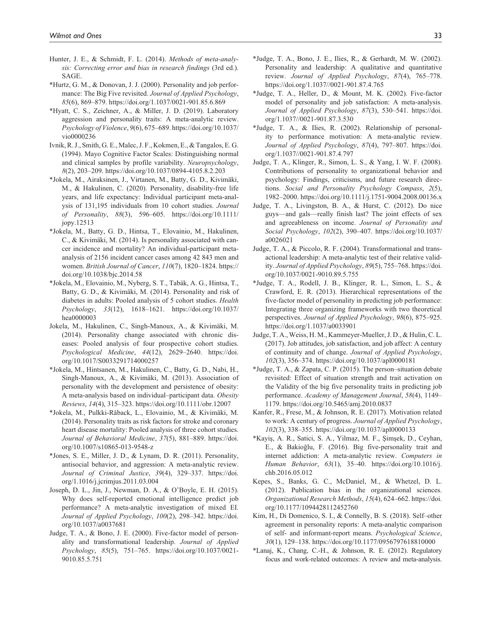- Hunter, J. E., & Schmidt, F. L. (2014). *Methods of meta-analysis: Correcting error and bias in research findings* (3rd ed.). SAGE.
- \*Hurtz, G. M., & Donovan, J. J. (2000). Personality and job performance: The Big Five revisited. *Journal of Applied Psychology*, *85*(6), 869–879. https://doi.org/1.1037/0021-901.85.6.869
- \*Hyatt, C. S., Zeichner, A., & Miller, J. D. (2019). Laboratory aggression and personality traits: A meta-analytic review. *Psychology of Violence*, *9*(6), 675–689. https://doi.org/10.1037/ vio0000236
- Ivnik, R. J., Smith, G. E., Malec, J. F., Kokmen, E., & Tangalos, E. G. (1994). Mayo Cognitive Factor Scales: Distinguishing normal and clinical samples by profile variability. *Neuropsychology*, *8*(2), 203–209. https://doi.org/10.1037/0894-4105.8.2.203
- \*Jokela, M., Airaksinen, J., Virtanen, M., Batty, G. D., Kivimäki, M., & Hakulinen, C. (2020). Personality, disability-free life years, and life expectancy: Individual participant meta-analysis of 131,195 individuals from 10 cohort studies. *Journal of Personality*, *88*(3), 596–605. https://doi.org/10.1111/ jopy.12513
- \*Jokela, M., Batty, G. D., Hintsa, T., Elovainio, M., Hakulinen, C., & Kivimäki, M. (2014). Is personality associated with cancer incidence and mortality? An individual-participant metaanalysis of 2156 incident cancer cases among 42 843 men and women. *British Journal of Cancer*, *110*(7), 1820–1824. https:// doi.org/10.1038/bjc.2014.58
- \*Jokela, M., Elovainio, M., Nyberg, S. T., Tabák, A. G., Hintsa, T., Batty, G. D., & Kivimäki, M. (2014). Personality and risk of diabetes in adults: Pooled analysis of 5 cohort studies. *Health Psychology*, *33*(12), 1618–1621. https://doi.org/10.1037/ hea0000003
- Jokela, M., Hakulinen, C., Singh-Manoux, A., & Kivimäki, M. (2014). Personality change associated with chronic diseases: Pooled analysis of four prospective cohort studies. *Psychological Medicine*, *44*(12), 2629–2640. https://doi. org/10.1017/S0033291714000257
- \*Jokela, M., Hintsanen, M., Hakulinen, C., Batty, G. D., Nabi, H., Singh-Manoux, A., & Kivimäki, M. (2013). Association of personality with the development and persistence of obesity: A meta-analysis based on individual–participant data. *Obesity Reviews*, *14*(4), 315–323. https://doi.org/10.1111/obr.12007
- \*Jokela, M., Pulkki-Råback, L., Elovainio, M., & Kivimäki, M. (2014). Personality traits as risk factors for stroke and coronary heart disease mortality: Pooled analysis of three cohort studies. *Journal of Behavioral Medicine*, *37*(5), 881–889. https://doi. org/10.1007/s10865-013-9548-z
- \*Jones, S. E., Miller, J. D., & Lynam, D. R. (2011). Personality, antisocial behavior, and aggression: A meta-analytic review. *Journal of Criminal Justice*, *39*(4), 329–337. https://doi. org/1.1016/j.jcrimjus.2011.03.004
- Joseph, D. L., Jin, J., Newman, D. A., & O'Boyle, E. H. (2015). Why does self-reported emotional intelligence predict job performance? A meta-analytic investigation of mixed EI. *Journal of Applied Psychology*, *100*(2), 298–342. https://doi. org/10.1037/a0037681
- Judge, T. A., & Bono, J. E. (2000). Five-factor model of personality and transformational leadership. *Journal of Applied Psychology*, *85*(5), 751–765. https://doi.org/10.1037/0021- 9010.85.5.751
- \*Judge, T. A., Bono, J. E., Ilies, R., & Gerhardt, M. W. (2002). Personality and leadership: A qualitative and quantitative review. *Journal of Applied Psychology*, *87*(4), 765–778. https://doi.org/1.1037//0021-901.87.4.765
- \*Judge, T. A., Heller, D., & Mount, M. K. (2002). Five-factor model of personality and job satisfaction: A meta-analysis. *Journal of Applied Psychology*, *87*(3), 530–541. https://doi. org/1.1037//0021-901.87.3.530
- \*Judge, T. A., & Ilies, R. (2002). Relationship of personality to performance motivation: A meta-analytic review. *Journal of Applied Psychology*, *87*(4), 797–807. https://doi. org/1.1037//0021-901.87.4.797
- Judge, T. A., Klinger, R., Simon, L. S., & Yang, I. W. F. (2008). Contributions of personality to organizational behavior and psychology: Findings, criticisms, and future research directions. *Social and Personality Psychology Compass*, *2*(5), 1982–2000. https://doi.org/10.1111/j.1751-9004.2008.00136.x
- Judge, T. A., Livingston, B. A., & Hurst, C. (2012). Do nice guys—and gals—really finish last? The joint effects of sex and agreeableness on income. *Journal of Personality and Social Psychology*, *102*(2), 390–407. https://doi.org/10.1037/ a0026021
- Judge, T. A., & Piccolo, R. F. (2004). Transformational and transactional leadership: A meta-analytic test of their relative validity. *Journal of Applied Psychology*, *89*(5), 755–768. https://doi. org/10.1037/0021-9010.89.5.755
- \*Judge, T. A., Rodell, J. B., Klinger, R. L., Simon, L. S., & Crawford, E. R. (2013). Hierarchical representations of the five-factor model of personality in predicting job performance: Integrating three organizing frameworks with two theoretical perspectives. *Journal of Applied Psychology*, *98*(6), 875–925. https://doi.org/1.1037/a0033901
- Judge, T. A., Weiss, H. M., Kammeyer-Mueller, J. D., & Hulin, C. L. (2017). Job attitudes, job satisfaction, and job affect: A century of continuity and of change. *Journal of Applied Psychology*, *102*(3), 356–374. https://doi.org/10.1037/apl0000181
- \*Judge, T. A., & Zapata, C. P. (2015). The person–situation debate revisited: Effect of situation strength and trait activation on the Validity of the big five personality traits in predicting job performance. *Academy of Management Journal*, *58*(4), 1149– 1179. https://doi.org/10.5465/amj.2010.0837
- Kanfer, R., Frese, M., & Johnson, R. E. (2017). Motivation related to work: A century of progress. *Journal of Applied Psychology*, *102*(3), 338–355. https://doi.org/10.1037/apl0000133
- \*Kayiş, A. R., Satici, S. A., Yilmaz, M. F., Şimşek, D., Ceyhan, E., & Bakioğlu, F. (2016). Big five-personality trait and internet addiction: A meta-analytic review. *Computers in Human Behavior*, *63*(1), 35–40. https://doi.org/10.1016/j. chb.2016.05.012
- Kepes, S., Banks, G. C., McDaniel, M., & Whetzel, D. L. (2012). Publication bias in the organizational sciences. *Organizational Research Methods*, *15*(4), 624–662. https://doi. org/10.1177/1094428112452760
- Kim, H., Di Domenico, S. I., & Connelly, B. S. (2018). Self–other agreement in personality reports: A meta-analytic comparison of self- and informant-report means. *Psychological Science*, *30*(1), 129–138. https://doi.org/10.1177/0956797618810000
- \*Lanaj, K., Chang, C.-H., & Johnson, R. E. (2012). Regulatory focus and work-related outcomes: A review and meta-analysis.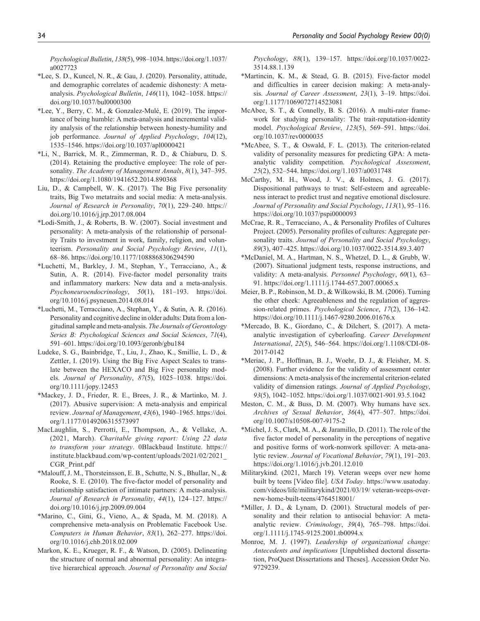*Psychological Bulletin*, *138*(5), 998–1034. https://doi.org/1.1037/ a0027723

- \*Lee, S. D., Kuncel, N. R., & Gau, J. (2020). Personality, attitude, and demographic correlates of academic dishonesty: A metaanalysis. *Psychological Bulletin*, *146*(11), 1042–1058. https:// doi.org/10.1037/bul0000300
- \*Lee, Y., Berry, C. M., & Gonzalez-Mulé, E. (2019). The importance of being humble: A meta-analysis and incremental validity analysis of the relationship between honesty-humility and job performance. *Journal of Applied Psychology*, *104*(12), 1535–1546. https://doi.org/10.1037/apl0000421
- \*Li, N., Barrick, M. R., Zimmerman, R. D., & Chiaburu, D. S. (2014). Retaining the productive employee: The role of personality. *The Academy of Management Annals*, *8*(1), 347–395. https://doi.org/1.1080/1941652.2014.890368
- Liu, D., & Campbell, W. K. (2017). The Big Five personality traits, Big Two metatraits and social media: A meta-analysis. *Journal of Research in Personality*, *70*(1), 229–240. https:// doi.org/10.1016/j.jrp.2017.08.004
- \*Lodi-Smith, J., & Roberts, B. W. (2007). Social investment and personality: A meta-analysis of the relationship of personality Traits to investment in work, family, religion, and volunteerism. *Personality and Social Psychology Review*, *11*(1), 68–86. https://doi.org/10.1177/1088868306294590
- \*Luchetti, M., Barkley, J. M., Stephan, Y., Terracciano, A., & Sutin, A. R. (2014). Five-factor model personality traits and inflammatory markers: New data and a meta-analysis. *Psychoneuroendocrinology*, *50*(1), 181–193. https://doi. org/10.1016/j.psyneuen.2014.08.014
- \*Luchetti, M., Terracciano, A., Stephan, Y., & Sutin, A. R. (2016). Personality and cognitive decline in older adults: Data from a longitudinal sample and meta-analysis. *The Journals of Gerontology Series B: Psychological Sciences and Social Sciences*, *71*(4), 591–601. https://doi.org/10.1093/geronb/gbu184
- Ludeke, S. G., Bainbridge, T., Liu, J., Zhao, K., Smillie, L. D., & Zettler, I. (2019). Using the Big Five Aspect Scales to translate between the HEXACO and Big Five personality models. *Journal of Personality*, *87*(5), 1025–1038. https://doi. org/10.1111/jopy.12453
- \*Mackey, J. D., Frieder, R. E., Brees, J. R., & Martinko, M. J. (2017). Abusive supervision: A meta-analysis and empirical review. *Journal of Management*, *43*(6), 1940–1965. https://doi. org/1.1177/0149206315573997
- MacLaughlin, S., Perrotti, E., Thompson, A., & Vellake, A. (2021, March). *Charitable giving report: Using 22 data to transform your strategy*. 0Blackbaud Institute. https:// institute.blackbaud.com/wp-content/uploads/2021/02/2021\_ CGR\_Print.pdf
- \*Malouff, J. M., Thorsteinsson, E. B., Schutte, N. S., Bhullar, N., & Rooke, S. E. (2010). The five-factor model of personality and relationship satisfaction of intimate partners: A meta-analysis. *Journal of Research in Personality*, *44*(1), 124–127. https:// doi.org/10.1016/j.jrp.2009.09.004
- \*Marino, C., Gini, G., Vieno, A., & Spada, M. M. (2018). A comprehensive meta-analysis on Problematic Facebook Use. *Computers in Human Behavior*, *83*(1), 262–277. https://doi. org/10.1016/j.chb.2018.02.009
- Markon, K. E., Krueger, R. F., & Watson, D. (2005). Delineating the structure of normal and abnormal personality: An integrative hierarchical approach. *Journal of Personality and Social*

*Psychology*, *88*(1), 139–157. https://doi.org/10.1037/0022- 3514.88.1.139

- \*Martincin, K. M., & Stead, G. B. (2015). Five-factor model and difficulties in career decision making: A meta-analysis. *Journal of Career Assessment*, *23*(1), 3–19. https://doi. org/1.1177/1069072714523081
- McAbee, S. T., & Connelly, B. S. (2016). A multi-rater framework for studying personality: The trait-reputation-identity model. *Psychological Review*, *123*(5), 569–591. https://doi. org/10.1037/rev0000035
- \*McAbee, S. T., & Oswald, F. L. (2013). The criterion-related validity of personality measures for predicting GPA: A metaanalytic validity competition. *Psychological Assessment*, *25*(2), 532–544. https://doi.org/1.1037/a0031748
- McCarthy, M. H., Wood, J. V., & Holmes, J. G. (2017). Dispositional pathways to trust: Self-esteem and agreeableness interact to predict trust and negative emotional disclosure. *Journal of Personality and Social Psychology*, *113*(1), 95–116. https://doi.org/10.1037/pspi0000093
- McCrae, R. R., Terracciano, A., & Personality Profiles of Cultures Project. (2005). Personality profiles of cultures: Aggregate personality traits. *Journal of Personality and Social Psychology*, *89*(3), 407–425. https://doi.org/10.1037/0022-3514.89.3.407
- \*McDaniel, M. A., Hartman, N. S., Whetzel, D. L., & Grubb, W. (2007). Situational judgment tests, response instructions, and validity: A meta-analysis. *Personnel Psychology*, *60*(1), 63– 91. https://doi.org/1.1111/j.1744-657.2007.00065.x
- Meier, B. P., Robinson, M. D., & Wilkowski, B. M. (2006). Turning the other cheek: Agreeableness and the regulation of aggression-related primes. *Psychological Science*, *17*(2), 136–142. https://doi.org/10.1111/j.1467-9280.2006.01676.x
- \*Mercado, B. K., Giordano, C., & Dilchert, S. (2017). A metaanalytic investigation of cyberloafing. *Career Development International*, *22*(5), 546–564. https://doi.org/1.1108/CDI-08- 2017-0142
- \*Meriac, J. P., Hoffman, B. J., Woehr, D. J., & Fleisher, M. S. (2008). Further evidence for the validity of assessment center dimensions: A meta-analysis of the incremental criterion-related validity of dimension ratings. *Journal of Applied Psychology*, *93*(5), 1042–1052. https://doi.org/1.1037/0021-901.93.5.1042
- Meston, C. M., & Buss, D. M. (2007). Why humans have sex. *Archives of Sexual Behavior*, *36*(4), 477–507. https://doi. org/10.1007/s10508-007-9175-2
- \*Michel, J. S., Clark, M. A., & Jaramillo, D. (2011). The role of the five factor model of personality in the perceptions of negative and positive forms of work-nonwork spillover: A meta-analytic review. *Journal of Vocational Behavior*, *79*(1), 191–203. https://doi.org/1.1016/j.jvb.201.12.010
- Militarykind. (2021, March 19). Veteran weeps over new home built by teens [Video file]. *USA Today*. https://www.usatoday. com/videos/life/militarykind/2021/03/19/ veteran-weeps-overnew-home-built-teens/4764518001/
- \*Miller, J. D., & Lynam, D. (2001). Structural models of personality and their relation to antisocial behavior: A metaanalytic review. *Criminology*, *39*(4), 765–798. https://doi. org/1.1111/j.1745-9125.2001.tb0094.x
- Monroe, M. J. (1997). *Leadership of organizational change: Antecedents and implications* [Unpublished doctoral dissertation, ProQuest Dissertations and Theses]. Accession Order No. 9729239.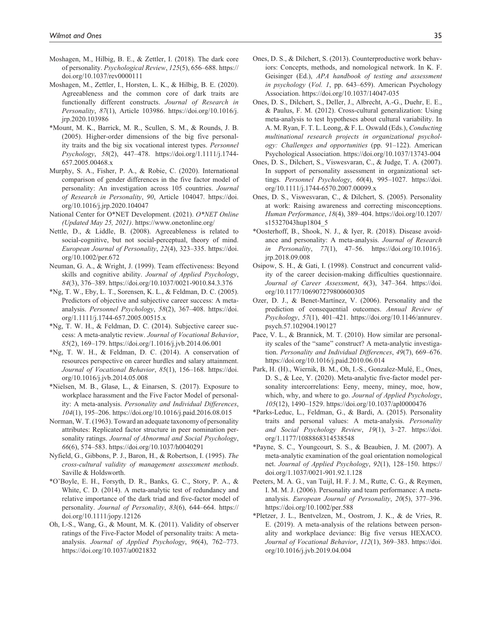- Moshagen, M., Hilbig, B. E., & Zettler, I. (2018). The dark core of personality. *Psychological Review*, *125*(5), 656–688. https:// doi.org/10.1037/rev0000111
- Moshagen, M., Zettler, I., Horsten, L. K., & Hilbig, B. E. (2020). Agreeableness and the common core of dark traits are functionally different constructs. *Journal of Research in Personality*, *87*(1), Article 103986. https://doi.org/10.1016/j. jrp.2020.103986
- \*Mount, M. K., Barrick, M. R., Scullen, S. M., & Rounds, J. B. (2005). Higher-order dimensions of the big five personality traits and the big six vocational interest types. *Personnel Psychology*, *58*(2), 447–478. https://doi.org/1.1111/j.1744- 657.2005.00468.x
- Murphy, S. A., Fisher, P. A., & Robie, C. (2020). International comparison of gender differences in the five factor model of personality: An investigation across 105 countries. *Journal of Research in Personality*, *90*, Article 104047. https://doi. org/10.1016/j.jrp.2020.104047
- National Center for O\*NET Development. (2021). *O\*NET Online (Updated May 25, 2021)*. https://www.onetonline.org/
- Nettle, D., & Liddle, B. (2008). Agreeableness is related to social-cognitive, but not social-perceptual, theory of mind. *European Journal of Personality*, *22*(4), 323–335. https://doi. org/10.1002/per.672
- Neuman, G. A., & Wright, J. (1999). Team effectiveness: Beyond skills and cognitive ability. *Journal of Applied Psychology*, *84*(3), 376–389. https://doi.org/10.1037/0021-9010.84.3.376
- \*Ng, T. W., Eby, L. T., Sorensen, K. L., & Feldman, D. C. (2005). Predictors of objective and subjective career success: A metaanalysis. *Personnel Psychology*, *58*(2), 367–408. https://doi. org/1.1111/j.1744-657.2005.00515.x
- \*Ng, T. W. H., & Feldman, D. C. (2014). Subjective career success: A meta-analytic review. *Journal of Vocational Behavior*, *85*(2), 169–179. https://doi.org/1.1016/j.jvb.2014.06.001
- \*Ng, T. W. H., & Feldman, D. C. (2014). A conservation of resources perspective on career hurdles and salary attainment. *Journal of Vocational Behavior*, *85*(1), 156–168. https://doi. org/10.1016/j.jvb.2014.05.008
- \*Nielsen, M. B., Glasø, L., & Einarsen, S. (2017). Exposure to workplace harassment and the Five Factor Model of personality: A meta-analysis. *Personality and Individual Differences*, *104*(1), 195–206. https://doi.org/10.1016/j.paid.2016.08.015
- Norman, W. T. (1963). Toward an adequate taxonomy of personality attributes: Replicated factor structure in peer nomination personality ratings. *Journal of Abnormal and Social Psychology*, *66*(6), 574–583. https://doi.org/10.1037/h0040291
- Nyfield, G., Gibbons, P. J., Baron, H., & Robertson, I. (1995). *The cross-cultural validity of management assessment methods*. Saville & Holdsworth.
- \*O'Boyle, E. H., Forsyth, D. R., Banks, G. C., Story, P. A., & White, C. D. (2014). A meta-analytic test of redundancy and relative importance of the dark triad and five-factor model of personality. *Journal of Personality*, *83*(6), 644–664. https:// doi.org/10.1111/jopy.12126
- Oh, I.-S., Wang, G., & Mount, M. K. (2011). Validity of observer ratings of the Five-Factor Model of personality traits: A metaanalysis. *Journal of Applied Psychology*, *96*(4), 762–773. https://doi.org/10.1037/a0021832
- Ones, D. S., & Dilchert, S. (2013). Counterproductive work behaviors: Concepts, methods, and nomological network. In K. F. Geisinger (Ed.), *APA handbook of testing and assessment in psychology* (*Vol. 1*, pp. 643–659). American Psychology Association. https://doi.org/10.1037/14047-035
- Ones, D. S., Dilchert, S., Deller, J., Albrecht, A.-G., Duehr, E. E., & Paulus, F. M. (2012). Cross-cultural generalization: Using meta-analysis to test hypotheses about cultural variability. In A. M. Ryan, F. T. L. Leong, & F. L. Oswald (Eds.), *Conducting multinational research projects in organizational psychology: Challenges and opportunities* (pp. 91–122). American Psychological Association. https://doi.org/10.1037/13743-004
- Ones, D. S., Dilchert, S., Viswesvaran, C., & Judge, T. A. (2007). In support of personality assessment in organizational settings. *Personnel Psychology*, *60*(4), 995–1027. https://doi. org/10.1111/j.1744-6570.2007.00099.x
- Ones, D. S., Viswesvaran, C., & Dilchert, S. (2005). Personality at work: Raising awareness and correcting misconceptions. *Human Performance*, *18*(4), 389–404. https://doi.org/10.1207/ s15327043hup1804\_5
- \*Oosterhoff, B., Shook, N. J., & Iyer, R. (2018). Disease avoidance and personality: A meta-analysis. *Journal of Research in Personality*, *77*(1), 47–56. https://doi.org/10.1016/j. jrp.2018.09.008
- Osipow, S. H., & Gati, I. (1998). Construct and concurrent validity of the career decision-making difficulties questionnaire. *Journal of Career Assessment*, *6*(3), 347–364. https://doi. org/10.1177/106907279800600305
- Ozer, D. J., & Benet-Martínez, V. (2006). Personality and the prediction of consequential outcomes. *Annual Review of Psychology*, *57*(1), 401–421. https://doi.org/10.1146/annurev. psych.57.102904.190127
- Pace, V. L., & Brannick, M. T. (2010). How similar are personality scales of the "same" construct? A meta-analytic investigation. *Personality and Individual Differences*, *49*(7), 669–676. https://doi.org/10.1016/j.paid.2010.06.014
- Park, H. (H)., Wiernik, B. M., Oh, I.-S., Gonzalez-Mulé, E., Ones, D. S., & Lee, Y. (2020). Meta-analytic five-factor model personality intercorrelations: Eeny, meeny, miney, moe, how, which, why, and where to go. *Journal of Applied Psychology*, *105*(12), 1490–1529. https://doi.org/10.1037/apl0000476
- \*Parks-Leduc, L., Feldman, G., & Bardi, A. (2015). Personality traits and personal values: A meta-analysis. *Personality and Social Psychology Review*, *19*(1), 3–27. https://doi. org/1.1177/1088868314538548
- \*Payne, S. C., Youngcourt, S. S., & Beaubien, J. M. (2007). A meta-analytic examination of the goal orientation nomological net. *Journal of Applied Psychology*, *92*(1), 128–150. https:// doi.org/1.1037/0021-901.92.1.128
- Peeters, M. A. G., van Tuijl, H. F. J. M., Rutte, C. G., & Reymen, I. M. M. J. (2006). Personality and team performance: A metaanalysis. *European Journal of Personality*, *20*(5), 377–396. https://doi.org/10.1002/per.588
- \*Pletzer, J. L., Bentvelzen, M., Oostrom, J. K., & de Vries, R. E. (2019). A meta-analysis of the relations between personality and workplace deviance: Big five versus HEXACO. *Journal of Vocational Behavior*, *112*(1), 369–383. https://doi. org/10.1016/j.jvb.2019.04.004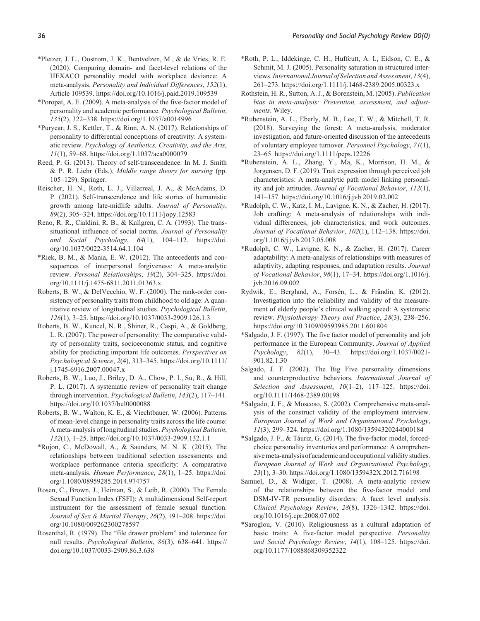- \*Pletzer, J. L., Oostrom, J. K., Bentvelzen, M., & de Vries, R. E. (2020). Comparing domain- and facet-level relations of the HEXACO personality model with workplace deviance: A meta-analysis. *Personality and Individual Differences*, *152*(1), Article 109539. https://doi.org/10.1016/j.paid.2019.109539
- \*Poropat, A. E. (2009). A meta-analysis of the five-factor model of personality and academic performance. *Psychological Bulletin*, *135*(2), 322–338. https://doi.org/1.1037/a0014996
- \*Puryear, J. S., Kettler, T., & Rinn, A. N. (2017). Relationships of personality to differential conceptions of creativity: A systematic review. *Psychology of Aesthetics, Creativity, and the Arts*, *11*(1), 59–68. https://doi.org/1.1037/aca0000079
- Reed, P. G. (2013). Theory of self-transcendence. In M. J. Smith & P. R. Liehr (Eds.), *Middle range theory for nursing* (pp. 105–129). Springer.
- Reischer, H. N., Roth, L. J., Villarreal, J. A., & McAdams, D. P. (2021). Self-transcendence and life stories of humanistic growth among late-midlife adults. *Journal of Personality*, *89*(2), 305–324. https://doi.org/10.1111/jopy.12583
- Reno, R. R., Cialdini, R. B., & Kallgren, C. A. (1993). The transsituational influence of social norms. *Journal of Personality and Social Psychology*, *64*(1), 104–112. https://doi. org/10.1037/0022-3514.64.1.104
- \*Riek, B. M., & Mania, E. W. (2012). The antecedents and consequences of interpersonal forgiveness: A meta-analytic review. *Personal Relationships*, *19*(2), 304–325. https://doi. org/10.1111/j.1475-6811.2011.01363.x
- Roberts, B. W., & DelVecchio, W. F. (2000). The rank-order consistency of personality traits from childhood to old age: A quantitative review of longitudinal studies. *Psychological Bulletin*, *126*(1), 3–25. https://doi.org/10.1037/0033-2909.126.1.3
- Roberts, B. W., Kuncel, N. R., Shiner, R., Caspi, A., & Goldberg, L. R. (2007). The power of personality: The comparative validity of personality traits, socioeconomic status, and cognitive ability for predicting important life outcomes. *Perspectives on Psychological Science*, *2*(4), 313–345. https://doi.org/10.1111/ j.1745-6916.2007.00047.x
- Roberts, B. W., Luo, J., Briley, D. A., Chow, P. I., Su, R., & Hill, P. L. (2017). A systematic review of personality trait change through intervention. *Psychological Bulletin*, *143*(2), 117–141. https://doi.org/10.1037/bul0000088
- Roberts, B. W., Walton, K. E., & Viechtbauer, W. (2006). Patterns of mean-level change in personality traits across the life course: A meta-analysis of longitudinal studies. *Psychological Bulletin*, *132*(1), 1–25. https://doi.org/10.1037/0033-2909.132.1.1
- \*Rojon, C., McDowall, A., & Saunders, M. N. K. (2015). The relationships between traditional selection assessments and workplace performance criteria specificity: A comparative meta-analysis. *Human Performance*, *28*(1), 1–25. https://doi. org/1.1080/08959285.2014.974757
- Rosen, C., Brown, J., Heiman, S., & Leib, R. (2000). The Female Sexual Function Index (FSFI): A multidimensional Self-report instrument for the assessment of female sexual function. *Journal of Sex & Marital Therapy*, *26*(2), 191–208. https://doi. org/10.1080/009262300278597
- Rosenthal, R. (1979). The "file drawer problem" and tolerance for null results. *Psychological Bulletin*, *86*(3), 638–641. https:// doi.org/10.1037/0033-2909.86.3.638
- \*Roth, P. L., Iddekinge, C. H., Huffcutt, A. I., Eidson, C. E., & Schmit, M. J. (2005). Personality saturation in structured interviews. *International Journal of Selection and Assessment*, *13*(4), 261–273. https://doi.org/1.1111/j.1468-2389.2005.00323.x
- Rothstein, H. R., Sutton, A. J., & Borenstein, M. (2005). *Publication bias in meta-analysis: Prevention, assessment, and adjustments*. Wiley.
- \*Rubenstein, A. L., Eberly, M. B., Lee, T. W., & Mitchell, T. R. (2018). Surveying the forest: A meta-analysis, moderator investigation, and future-oriented discussion of the antecedents of voluntary employee turnover. *Personnel Psychology*, *71*(1), 23–65. https://doi.org/1.1111/peps.12226
- \*Rubenstein, A. L., Zhang, Y., Ma, K., Morrison, H. M., & Jorgensen, D. F. (2019). Trait expression through perceived job characteristics: A meta-analytic path model linking personality and job attitudes. *Journal of Vocational Behavior*, *112*(1), 141–157. https://doi.org/10.1016/j.jvb.2019.02.002
- \*Rudolph, C. W., Katz, I. M., Lavigne, K. N., & Zacher, H. (2017). Job crafting: A meta-analysis of relationships with individual differences, job characteristics, and work outcomes. *Journal of Vocational Behavior*, *102*(1), 112–138. https://doi. org/1.1016/j.jvb.2017.05.008
- \*Rudolph, C. W., Lavigne, K. N., & Zacher, H. (2017). Career adaptability: A meta-analysis of relationships with measures of adaptivity, adapting responses, and adaptation results. *Journal of Vocational Behavior*, *98*(1), 17–34. https://doi.org/1.1016/j. jvb.2016.09.002
- Rydwik, E., Bergland, A., Forsén, L., & Frändin, K. (2012). Investigation into the reliability and validity of the measurement of elderly people's clinical walking speed: A systematic review. *Physiotherapy Theory and Practice*, *28*(3), 238–256. https://doi.org/10.3109/09593985.2011.601804
- \*Salgado, J. F. (1997). The five factor model of personality and job performance in the European Community. *Journal of Applied Psychology*, *82*(1), 30–43. https://doi.org/1.1037/0021- 901.82.1.30
- Salgado, J. F. (2002). The Big Five personality dimensions and counterproductive behaviors. *International Journal of Selection and Assessment*, *10*(1–2), 117–125. https://doi. org/10.1111/1468-2389.00198
- \*Salgado, J. F., & Moscoso, S. (2002). Comprehensive meta-analysis of the construct validity of the employment interview. *European Journal of Work and Organizational Psychology*, *11*(3), 299–324. https://doi.org/1.1080/13594320244000184
- \*Salgado, J. F., & Táuriz, G. (2014). The five-factor model, forcedchoice personality inventories and performance: A comprehensive meta-analysis of academic and occupational validity studies. *European Journal of Work and Organizational Psychology*, *23*(1), 3–30. https://doi.org/1.1080/1359432X.2012.716198
- Samuel, D., & Widiger, T. (2008). A meta-analytic review of the relationships between the five-factor model and DSM-IV-TR personality disorders: A facet level analysis. *Clinical Psychology Review*, *28*(8), 1326–1342. https://doi. org/10.1016/j.cpr.2008.07.002
- \*Saroglou, V. (2010). Religiousness as a cultural adaptation of basic traits: A five-factor model perspective. *Personality and Social Psychology Review*, *14*(1), 108–125. https://doi. org/10.1177/1088868309352322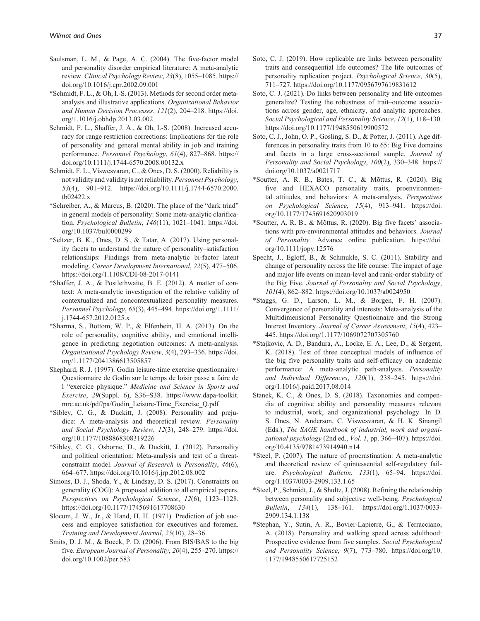- Saulsman, L. M., & Page, A. C. (2004). The five-factor model and personality disorder empirical literature: A meta-analytic review. *Clinical Psychology Review*, *23*(8), 1055–1085. https:// doi.org/10.1016/j.cpr.2002.09.001
- \*Schmidt, F. L., & Oh, I.-S. (2013). Methods for second order metaanalysis and illustrative applications. *Organizational Behavior and Human Decision Processes*, *121*(2), 204–218. https://doi. org/1.1016/j.obhdp.2013.03.002
- Schmidt, F. L., Shaffer, J. A., & Oh, I.-S. (2008). Increased accuracy for range restriction corrections: Implications for the role of personality and general mental ability in job and training performance. *Personnel Psychology*, *61*(4), 827–868. https:// doi.org/10.1111/j.1744-6570.2008.00132.x
- Schmidt, F. L., Viswesvaran, C., & Ones, D. S. (2000). Reliability is not validity and validity is not reliability. *Personnel Psychology*, *53*(4), 901–912. https://doi.org/10.1111/j.1744-6570.2000. tb02422.x
- \*Schreiber, A., & Marcus, B. (2020). The place of the "dark triad" in general models of personality: Some meta-analytic clarification. *Psychological Bulletin*, *146*(11), 1021–1041. https://doi. org/10.1037/bul0000299
- \*Seltzer, B. K., Ones, D. S., & Tatar, A. (2017). Using personality facets to understand the nature of personality–satisfaction relationships: Findings from meta-analytic bi-factor latent modeling. *Career Development International*, *22*(5), 477–506. https://doi.org/1.1108/CDI-08-2017-0141
- \*Shaffer, J. A., & Postlethwaite, B. E. (2012). A matter of context: A meta-analytic investigation of the relative validity of contextualized and noncontextualized personality measures. *Personnel Psychology*, *65*(3), 445–494. https://doi.org/1.1111/ j.1744-657.2012.0125.x
- \*Sharma, S., Bottom, W. P., & Elfenbein, H. A. (2013). On the role of personality, cognitive ability, and emotional intelligence in predicting negotiation outcomes: A meta-analysis. *Organizational Psychology Review*, *3*(4), 293–336. https://doi. org/1.1177/2041386613505857
- Shephard, R. J. (1997). Godin leisure-time exercise questionnaire./ Questionnaire de Godin sur le temps de loisir passe a faire de l "exercice physique." *Medicine and Science in Sports and Exercise*, *29*(Suppl. 6), S36–S38. https://www.dapa-toolkit. mrc.ac.uk/pdf/pa/Godin\_Leisure-Time\_Exercise\_Q.pdf
- \*Sibley, C. G., & Duckitt, J. (2008). Personality and prejudice: A meta-analysis and theoretical review. *Personality and Social Psychology Review*, *12*(3), 248–279. https://doi. org/10.1177/1088868308319226
- \*Sibley, C. G., Osborne, D., & Duckitt, J. (2012). Personality and political orientation: Meta-analysis and test of a threatconstraint model. *Journal of Research in Personality*, *46*(6), 664–677. https://doi.org/10.1016/j.jrp.2012.08.002
- Simons, D. J., Shoda, Y., & Lindsay, D. S. (2017). Constraints on generality (COG): A proposed addition to all empirical papers. *Perspectives on Psychological Science*, *12*(6), 1123–1128. https://doi.org/10.1177/1745691617708630
- Slocum, J. W., Jr., & Hand, H. H. (1971). Prediction of job success and employee satisfaction for executives and foremen. *Training and Development Journal*, *25*(10), 28–36.
- Smits, D. J. M., & Boeck, P. D. (2006). From BIS/BAS to the big five. *European Journal of Personality*, *20*(4), 255–270. https:// doi.org/10.1002/per.583
- Soto, C. J. (2019). How replicable are links between personality traits and consequential life outcomes? The life outcomes of personality replication project. *Psychological Science*, *30*(5), 711–727. https://doi.org/10.1177/0956797619831612
- Soto, C. J. (2021). Do links between personality and life outcomes generalize? Testing the robustness of trait–outcome associations across gender, age, ethnicity, and analytic approaches. *Social Psychological and Personality Science*, *12*(1), 118–130. https://doi.org/10.1177/1948550619900572
- Soto, C. J., John, O. P., Gosling, S. D., & Potter, J. (2011). Age differences in personality traits from 10 to 65: Big Five domains and facets in a large cross-sectional sample. *Journal of Personality and Social Psychology*, *100*(2), 330–348. https:// doi.org/10.1037/a0021717
- \*Soutter, A. R. B., Bates, T. C., & Mõttus, R. (2020). Big five and HEXACO personality traits, proenvironmental attitudes, and behaviors: A meta-analysis. *Perspectives on Psychological Science*, *15*(4), 913–941. https://doi. org/10.1177/1745691620903019
- \*Soutter, A. R. B., & Mõttus, R. (2020). Big five facets' associations with pro-environmental attitudes and behaviors. *Journal of Personality*. Advance online publication. https://doi. org/10.1111/jopy.12576
- Specht, J., Egloff, B., & Schmukle, S. C. (2011). Stability and change of personality across the life course: The impact of age and major life events on mean-level and rank-order stability of the Big Five. *Journal of Personality and Social Psychology*, *101*(4), 862–882. https://doi.org/10.1037/a0024950
- \*Staggs, G. D., Larson, L. M., & Borgen, F. H. (2007). Convergence of personality and interests: Meta-analysis of the Multidimensional Personality Questionnaire and the Strong Interest Inventory. *Journal of Career Assessment*, *15*(4), 423– 445. https://doi.org/1.1177/1069072707305760
- \*Stajkovic, A. D., Bandura, A., Locke, E. A., Lee, D., & Sergent, K. (2018). Test of three conceptual models of influence of the big five personality traits and self-efficacy on academic performance: A meta-analytic path-analysis. *Personality and Individual Differences*, *120*(1), 238–245. https://doi. org/1.1016/j.paid.2017.08.014
- Stanek, K. C., & Ones, D. S. (2018). Taxonomies and compendia of cognitive ability and personality measures relevant to industrial, work, and organizational psychology. In D. S. Ones, N. Anderson, C. Viswesvaran, & H. K. Sinangil (Eds.), *The SAGE handbook of industrial, work and organizational psychology* (2nd ed., *Vol. 1*, pp. 366–407). https://doi. org/10.4135/9781473914940.n14
- \*Steel, P. (2007). The nature of procrastination: A meta-analytic and theoretical review of quintessential self-regulatory failure. *Psychological Bulletin*, *133*(1), 65–94. https://doi. org/1.1037/0033-2909.133.1.65
- \*Steel, P., Schmidt, J., & Shultz, J. (2008). Refining the relationship between personality and subjective well-being. *Psychological Bulletin*, *134*(1), 138–161. https://doi.org/1.1037/0033- 2909.134.1.138
- \*Stephan, Y., Sutin, A. R., Bovier-Lapierre, G., & Terracciano, A. (2018). Personality and walking speed across adulthood: Prospective evidence from five samples. *Social Psychological and Personality Science*, *9*(7), 773–780. https://doi.org/10. 1177/1948550617725152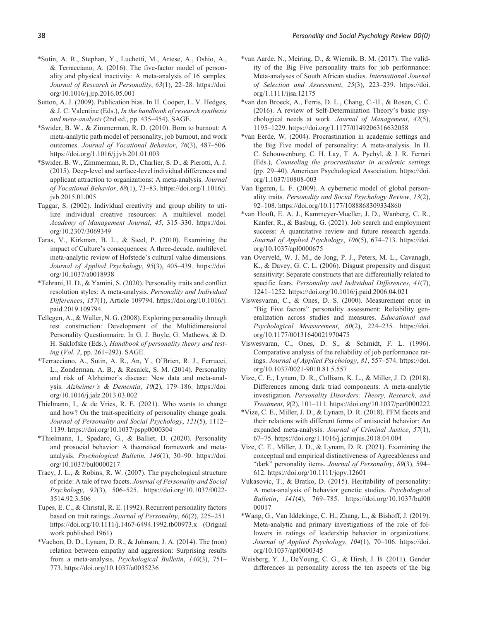- \*Sutin, A. R., Stephan, Y., Luchetti, M., Artese, A., Oshio, A., & Terracciano, A. (2016). The five-factor model of personality and physical inactivity: A meta-analysis of 16 samples. *Journal of Research in Personality*, *63*(1), 22–28. https://doi. org/10.1016/j.jrp.2016.05.001
- Sutton, A. J. (2009). Publication bias. In H. Cooper, L. V. Hedges, & J. C. Valentine (Eds.), *In the handbook of research synthesis and meta-analysis* (2nd ed., pp. 435–454). SAGE.
- \*Swider, B. W., & Zimmerman, R. D. (2010). Born to burnout: A meta-analytic path model of personality, job burnout, and work outcomes. *Journal of Vocational Behavior*, *76*(3), 487–506. https://doi.org/1.1016/j.jvb.201.01.003
- \*Swider, B. W., Zimmerman, R. D., Charlier, S. D., & Pierotti, A. J. (2015). Deep-level and surface-level individual differences and applicant attraction to organizations: A meta-analysis. *Journal of Vocational Behavior*, *88*(1), 73–83. https://doi.org/1.1016/j. jvb.2015.01.005
- Taggar, S. (2002). Individual creativity and group ability to utilize individual creative resources: A multilevel model. *Academy of Management Journal*, *45*, 315–330. https://doi. org/10.2307/3069349
- Taras, V., Kirkman, B. L., & Steel, P. (2010). Examining the impact of Culture's consequences: A three-decade, multilevel, meta-analytic review of Hofstede's cultural value dimensions. *Journal of Applied Psychology*, *95*(3), 405–439. https://doi. org/10.1037/a0018938
- \*Tehrani, H. D., & Yamini, S. (2020). Personality traits and conflict resolution styles: A meta-analysis. *Personality and Individual Differences*, *157*(1), Article 109794. https://doi.org/10.1016/j. paid.2019.109794
- Tellegen, A., & Waller, N. G. (2008). Exploring personality through test construction: Development of the Multidimensional Personality Questionnaire. In G. J. Boyle, G. Mathews, & D. H. Saklofske (Eds.), *Handbook of personality theory and testing* (*Vol. 2*, pp. 261–292). SAGE.
- \*Terracciano, A., Sutin, A. R., An, Y., O'Brien, R. J., Ferrucci, L., Zonderman, A. B., & Resnick, S. M. (2014). Personality and risk of Alzheimer's disease: New data and meta-analysis. *Alzheimer's & Dementia*, *10*(2), 179–186. https://doi. org/10.1016/j.jalz.2013.03.002
- Thielmann, I., & de Vries, R. E. (2021). Who wants to change and how? On the trait-specificity of personality change goals. *Journal of Personality and Social Psychology*, *121*(5), 1112– 1139. https://doi.org/10.1037/pspp0000304
- \*Thielmann, I., Spadaro, G., & Balliet, D. (2020). Personality and prosocial behavior: A theoretical framework and metaanalysis. *Psychological Bulletin*, *146*(1), 30–90. https://doi. org/10.1037/bul0000217
- Tracy, J. L., & Robins, R. W. (2007). The psychological structure of pride: A tale of two facets. *Journal of Personality and Social Psychology*, *92*(3), 506–525. https://doi.org/10.1037/0022- 3514.92.3.506
- Tupes, E. C., & Christal, R. E. (1992). Recurrent personality factors based on trait ratings. *Journal of Personality*, *60*(2), 225–251. https://doi.org/10.1111/j.1467-6494.1992.tb00973.x (Orignal work published 1961)
- \*Vachon, D. D., Lynam, D. R., & Johnson, J. A. (2014). The (non) relation between empathy and aggression: Surprising results from a meta-analysis. *Psychological Bulletin*, *140*(3), 751– 773. https://doi.org/10.1037/a0035236
- \*van Aarde, N., Meiring, D., & Wiernik, B. M. (2017). The validity of the Big Five personality traits for job performance: Meta-analyses of South African studies. *International Journal of Selection and Assessment*, *25*(3), 223–239. https://doi. org/1.1111/ijsa.12175
- \*van den Broeck, A., Ferris, D. L., Chang, C.-H., & Rosen, C. C. (2016). A review of Self-Determination Theory's basic psychological needs at work. *Journal of Management*, *42*(5), 1195–1229. https://doi.org/1.1177/0149206316632058
- \*van Eerde, W. (2004). Procrastination in academic settings and the Big Five model of personality: A meta-analysis. In H. C. Schouwenburg, C. H. Lay, T. A. Pychyl, & J. R. Ferrari (Eds.), *Counseling the procrastinator in academic settings* (pp. 29–40). American Psychological Association. https://doi. org/1.1037/10808-003
- Van Egeren, L. F. (2009). A cybernetic model of global personality traits. *Personality and Social Psychology Review*, *13*(2), 92–108. https://doi.org/10.1177/1088868309334860
- \*van Hooft, E. A. J., Kammeyer-Mueller, J. D., Wanberg, C. R., Kanfer, R., & Basbug, G. (2021). Job search and employment success: A quantitative review and future research agenda. *Journal of Applied Psychology*, *106*(5), 674–713. https://doi. org/10.1037/apl0000675
- van Overveld, W. J. M., de Jong, P. J., Peters, M. L., Cavanagh, K., & Davey, G. C. L. (2006). Disgust propensity and disgust sensitivity: Separate constructs that are differentially related to specific fears. *Personality and Individual Differences*, *41*(7), 1241–1252. https://doi.org/10.1016/j.paid.2006.04.021
- Viswesvaran, C., & Ones, D. S. (2000). Measurement error in "Big Five factors" personality assessment: Reliability generalization across studies and measures. *Educational and Psychological Measurement*, *60*(2), 224–235. https://doi. org/10.1177/00131640021970475
- Viswesvaran, C., Ones, D. S., & Schmidt, F. L. (1996). Comparative analysis of the reliability of job performance ratings. *Journal of Applied Psychology*, *81*, 557–574. https://doi. org/10.1037/0021-9010.81.5.557
- Vize, C. E., Lynam, D. R., Collison, K. L., & Miller, J. D. (2018). Differences among dark triad components: A meta-analytic investigation. *Personality Disorders: Theory, Research, and Treatment*, *9*(2), 101–111. https://doi.org/10.1037/per0000222
- \*Vize, C. E., Miller, J. D., & Lynam, D. R. (2018). FFM facets and their relations with different forms of antisocial behavior: An expanded meta-analysis. *Journal of Criminal Justice*, *57*(1), 67–75. https://doi.org/1.1016/j.jcrimjus.2018.04.004
- Vize, C. E., Miller, J. D., & Lynam, D. R. (2021). Examining the conceptual and empirical distinctiveness of Agreeableness and "dark" personality items. *Journal of Personality*, *89*(3), 594– 612. https://doi.org/10.1111/jopy.12601
- Vukasovic, T., & Bratko, D. (2015). Heritability of personality: A meta-analysis of behavior genetic studies. *Psychological Bulletin*, *141*(4), 769–785. https://doi.org/10.1037/bul00 00017
- \*Wang, G., Van Iddekinge, C. H., Zhang, L., & Bishoff, J. (2019). Meta-analytic and primary investigations of the role of followers in ratings of leadership behavior in organizations. *Journal of Applied Psychology*, *104*(1), 70–106. https://doi. org/10.1037/apl0000345
- Weisberg, Y. J., DeYoung, C. G., & Hirsh, J. B. (2011). Gender differences in personality across the ten aspects of the big